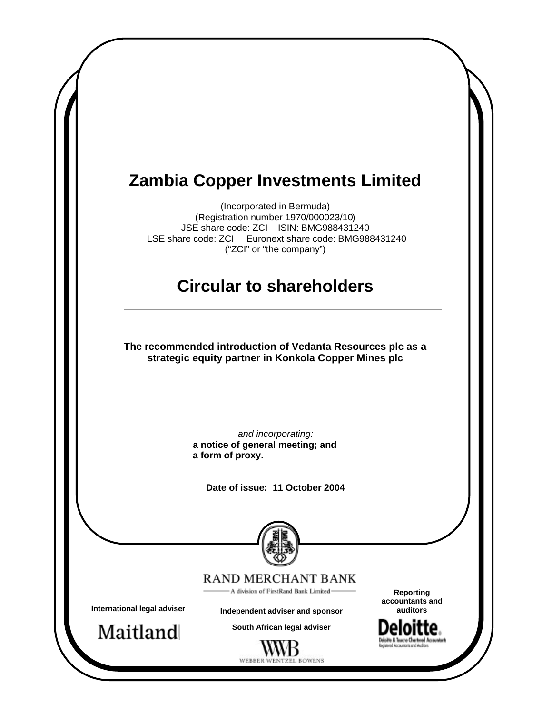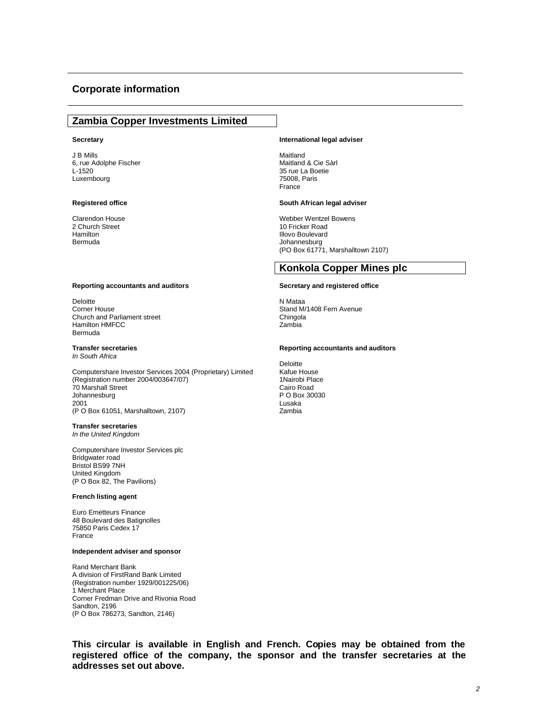#### **Corporate information**

#### **Zambia Copper Investments Limited**

#### **Secretary**

J B Mills 6, rue Adolphe Fischer L-1520 Luxembourg

#### **Registered office**

Clarendon House 2 Church Street Hamilton Bermuda

#### **Reporting accountants and auditors**

Deloitte Corner House Church and Parliament street Hamilton HMFCC Bermuda

#### **Transfer secretaries** *In South Africa*

Computershare Investor Services 2004 (Proprietary) Limited (Registration number 2004/003647/07) 70 Marshall Street Johannesburg 2001 (P O Box 61051, Marshalltown, 2107)

# **Transfer secretaries**

*In the United Kingdom*

Computershare Investor Services plc Bridgwater road Bristol BS99 7NH United Kingdom (P O Box 82, The Pavilions)

#### **French listing agent**

Euro Emetteurs Finance 48 Boulevard des Batignolles 75850 Paris Cedex 17 France

#### **Independent adviser and sponsor**

Rand Merchant Bank A division of FirstRand Bank Limited (Registration number 1929/001225/06) 1 Merchant Place Corner Fredman Drive and Rivonia Road Sandton, 2196 (P O Box 786273, Sandton, 2146)

#### **International legal adviser**

Maitland Maitland & Cie Sàrl 35 rue La Boetie 75008, Paris France

#### **South African legal adviser**

Webber Wentzel Bowens 10 Fricker Road Illovo Boulevard Johannesburg (PO Box 61771, Marshalltown 2107)

#### **Konkola Copper Mines plc**

#### **Secretary and registered office**

N Mataa Stand M/1408 Fern Avenue **Chingola** Zambia

#### **Reporting accountants and auditors**

Deloitte Kafue House 1Nairobi Place Cairo Road P O Box 30030 Lusaka Zambia

**This circular is available in English and French. Copies may be obtained from the registered office of the company, the sponsor and the transfer secretaries at the addresses set out above.**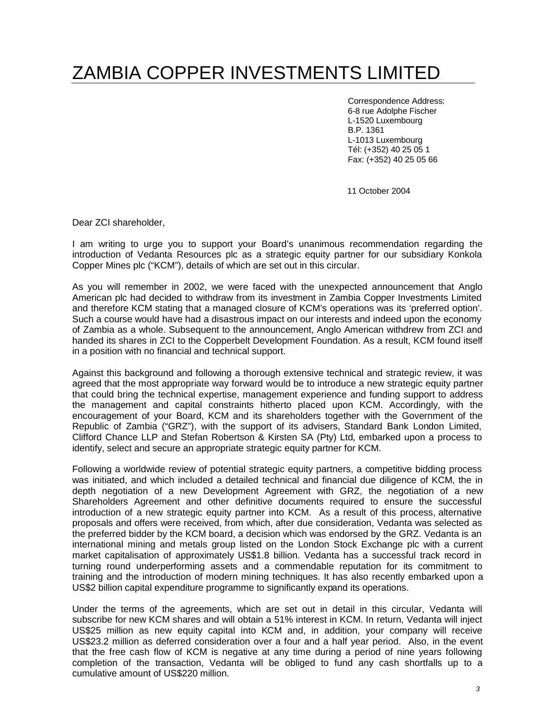# ZAMBIA COPPER INVESTMENTS LIMITED

Correspondence Address: 6-8 rue Adolphe Fischer L-1520 Luxembourg B.P. 1361 L-1013 Luxembourg Tél: (+352) 40 25 05 1 Fax: (+352) 40 25 05 66

11 October 2004

Dear ZCI shareholder,

I am writing to urge you to support your Board's unanimous recommendation regarding the introduction of Vedanta Resources plc as a strategic equity partner for our subsidiary Konkola Copper Mines plc ("KCM"), details of which are set out in this circular.

As you will remember in 2002, we were faced with the unexpected announcement that Anglo American plc had decided to withdraw from its investment in Zambia Copper Investments Limited and therefore KCM stating that a managed closure of KCM's operations was its 'preferred option'. Such a course would have had a disastrous impact on our interests and indeed upon the economy of Zambia as a whole. Subsequent to the announcement, Anglo American withdrew from ZCI and handed its shares in ZCI to the Copperbelt Development Foundation. As a result, KCM found itself in a position with no financial and technical support.

Against this background and following a thorough extensive technical and strategic review, it was agreed that the most appropriate way forward would be to introduce a new strategic equity partner that could bring the technical expertise, management experience and funding support to address the management and capital constraints hitherto placed upon KCM. Accordingly, with the encouragement of your Board, KCM and its shareholders together with the Government of the Republic of Zambia ("GRZ"), with the support of its advisers, Standard Bank London Limited, Clifford Chance LLP and Stefan Robertson & Kirsten SA (Pty) Ltd, embarked upon a process to identify, select and secure an appropriate strategic equity partner for KCM.

Following a worldwide review of potential strategic equity partners, a competitive bidding process was initiated, and which included a detailed technical and financial due diligence of KCM, the in depth negotiation of a new Development Agreement with GRZ, the negotiation of a new Shareholders Agreement and other definitive documents required to ensure the successful introduction of a new strategic equity partner into KCM. As a result of this process, alternative proposals and offers were received, from which, after due consideration, Vedanta was selected as the preferred bidder by the KCM board, a decision which was endorsed by the GRZ. Vedanta is an international mining and metals group listed on the London Stock Exchange plc with a current market capitalisation of approximately US\$1.8 billion. Vedanta has a successful track record in turning round underperforming assets and a commendable reputation for its commitment to training and the introduction of modern mining techniques. It has also recently embarked upon a US\$2 billion capital expenditure programme to significantly expand its operations.

Under the terms of the agreements, which are set out in detail in this circular, Vedanta will subscribe for new KCM shares and will obtain a 51% interest in KCM. In return, Vedanta will inject US\$25 million as new equity capital into KCM and, in addition, your company will receive US\$23.2 million as deferred consideration over a four and a half year period. Also, in the event that the free cash flow of KCM is negative at any time during a period of nine years following completion of the transaction, Vedanta will be obliged to fund any cash shortfalls up to a cumulative amount of US\$220 million.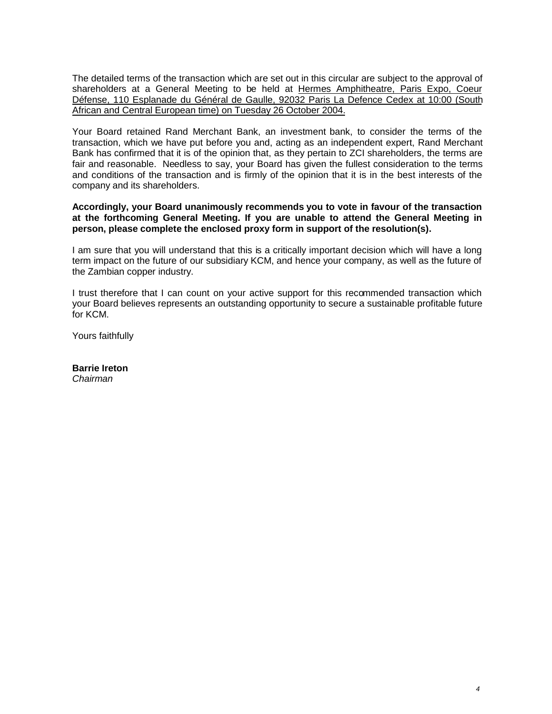The detailed terms of the transaction which are set out in this circular are subject to the approval of shareholders at a General Meeting to be held at Hermes Amphitheatre, Paris Expo, Coeur Défense, 110 Esplanade du Général de Gaulle, 92032 Paris La Defence Cedex at 10:00 (South African and Central European time) on Tuesday 26 October 2004.

Your Board retained Rand Merchant Bank, an investment bank, to consider the terms of the transaction, which we have put before you and, acting as an independent expert, Rand Merchant Bank has confirmed that it is of the opinion that, as they pertain to ZCI shareholders, the terms are fair and reasonable. Needless to say, your Board has given the fullest consideration to the terms and conditions of the transaction and is firmly of the opinion that it is in the best interests of the company and its shareholders.

#### **Accordingly, your Board unanimously recommends you to vote in favour of the transaction at the forthcoming General Meeting. If you are unable to attend the General Meeting in person, please complete the enclosed proxy form in support of the resolution(s).**

I am sure that you will understand that this is a critically important decision which will have a long term impact on the future of our subsidiary KCM, and hence your company, as well as the future of the Zambian copper industry.

I trust therefore that I can count on your active support for this recommended transaction which your Board believes represents an outstanding opportunity to secure a sustainable profitable future for KCM.

Yours faithfully

**Barrie Ireton** *Chairman*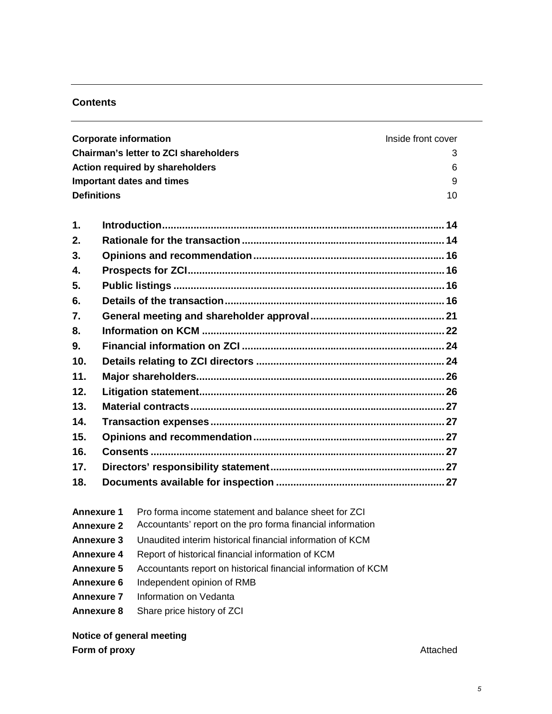# **Contents**

|                    |  | <b>Corporate information</b>                                  | Inside front cover |
|--------------------|--|---------------------------------------------------------------|--------------------|
|                    |  | <b>Chairman's letter to ZCI shareholders</b>                  | 3                  |
|                    |  | <b>Action required by shareholders</b>                        | 6                  |
|                    |  | <b>Important dates and times</b>                              | 9                  |
| <b>Definitions</b> |  |                                                               | 10                 |
| $\mathbf 1$ .      |  |                                                               |                    |
| 2.                 |  |                                                               |                    |
| 3.                 |  |                                                               |                    |
| 4.                 |  |                                                               |                    |
| 5.                 |  |                                                               |                    |
| 6.                 |  |                                                               |                    |
| 7.                 |  |                                                               |                    |
| 8.                 |  |                                                               |                    |
| 9.                 |  |                                                               |                    |
| 10.                |  |                                                               |                    |
| 11.                |  |                                                               |                    |
| 12.                |  |                                                               |                    |
| 13.                |  |                                                               |                    |
| 14.                |  |                                                               |                    |
| 15.                |  |                                                               |                    |
| 16.                |  |                                                               |                    |
| 17.                |  |                                                               |                    |
| 18.                |  |                                                               |                    |
| <b>Annexure 1</b>  |  | Pro forma income statement and balance sheet for ZCI          |                    |
| <b>Annexure 2</b>  |  | Accountants' report on the pro forma financial information    |                    |
| <b>Annexure 3</b>  |  | Unaudited interim historical financial information of KCM     |                    |
| <b>Annexure 4</b>  |  | Report of historical financial information of KCM             |                    |
| <b>Annexure 5</b>  |  | Accountants report on historical financial information of KCM |                    |
| <b>Annexure 6</b>  |  | Independent opinion of RMB                                    |                    |
| <b>Annexure 7</b>  |  | Information on Vedanta                                        |                    |

**Annexure 8** Share price history of ZCI

# **Notice of general meeting**

**Form of proxy** Attached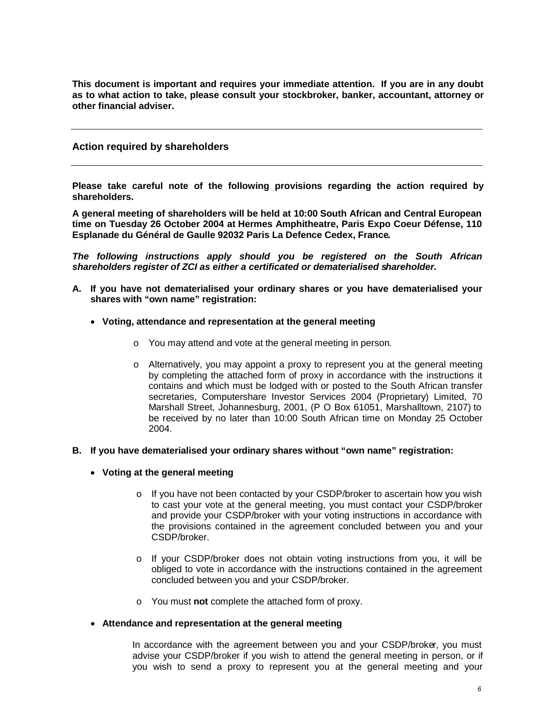**This document is important and requires your immediate attention. If you are in any doubt as to what action to take, please consult your stockbroker, banker, accountant, attorney or other financial adviser.** 

#### **Action required by shareholders**

**Please take careful note of the following provisions regarding the action required by shareholders.**

**A general meeting of shareholders will be held at 10:00 South African and Central European time on Tuesday 26 October 2004 at Hermes Amphitheatre, Paris Expo Coeur Défense, 110 Esplanade du Général de Gaulle 92032 Paris La Defence Cedex, France.** 

*The following instructions apply should you be registered on the South African shareholders register of ZCI as either a certificated or dematerialised shareholder.*

- **A. If you have not dematerialised your ordinary shares or you have dematerialised your shares with "own name" registration:**
	- **Voting, attendance and representation at the general meeting**
		- o You may attend and vote at the general meeting in person.
		- o Alternatively, you may appoint a proxy to represent you at the general meeting by completing the attached form of proxy in accordance with the instructions it contains and which must be lodged with or posted to the South African transfer secretaries, Computershare Investor Services 2004 (Proprietary) Limited, 70 Marshall Street, Johannesburg, 2001, (P O Box 61051, Marshalltown, 2107) to be received by no later than 10:00 South African time on Monday 25 October 2004.

#### **B. If you have dematerialised your ordinary shares without "own name" registration:**

#### **Voting at the general meeting**

- $\circ$  If you have not been contacted by your CSDP/broker to ascertain how you wish to cast your vote at the general meeting, you must contact your CSDP/broker and provide your CSDP/broker with your voting instructions in accordance with the provisions contained in the agreement concluded between you and your CSDP/broker.
- $\circ$  If your CSDP/broker does not obtain voting instructions from you, it will be obliged to vote in accordance with the instructions contained in the agreement concluded between you and your CSDP/broker.
- o You must **not** complete the attached form of proxy.
- **Attendance and representation at the general meeting**

In accordance with the agreement between you and your CSDP/broker, you must advise your CSDP/broker if you wish to attend the general meeting in person, or if you wish to send a proxy to represent you at the general meeting and your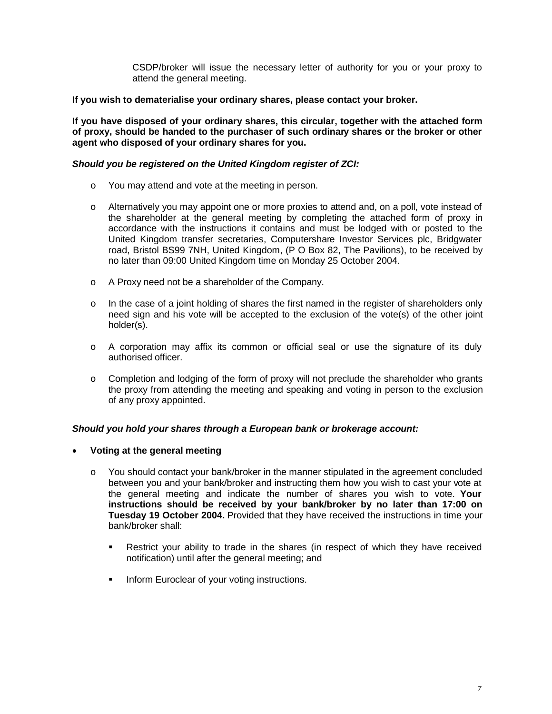CSDP/broker will issue the necessary letter of authority for you or your proxy to attend the general meeting.

#### **If you wish to dematerialise your ordinary shares, please contact your broker.**

**If you have disposed of your ordinary shares, this circular, together with the attached form of proxy, should be handed to the purchaser of such ordinary shares or the broker or other agent who disposed of your ordinary shares for you.**

#### *Should you be registered on the United Kingdom register of ZCI:*

- o You may attend and vote at the meeting in person.
- o Alternatively you may appoint one or more proxies to attend and, on a poll, vote instead of the shareholder at the general meeting by completing the attached form of proxy in accordance with the instructions it contains and must be lodged with or posted to the United Kingdom transfer secretaries, Computershare Investor Services plc, Bridgwater road, Bristol BS99 7NH, United Kingdom, (P O Box 82, The Pavilions), to be received by no later than 09:00 United Kingdom time on Monday 25 October 2004.
- o A Proxy need not be a shareholder of the Company.
- $\circ$  In the case of a joint holding of shares the first named in the register of shareholders only need sign and his vote will be accepted to the exclusion of the vote(s) of the other joint holder(s).
- o A corporation may affix its common or official seal or use the signature of its duly authorised officer.
- $\circ$  Completion and lodging of the form of proxy will not preclude the shareholder who grants the proxy from attending the meeting and speaking and voting in person to the exclusion of any proxy appointed.

## *Should you hold your shares through a European bank or brokerage account:*

- **Voting at the general meeting**
	- o You should contact your bank/broker in the manner stipulated in the agreement concluded between you and your bank/broker and instructing them how you wish to cast your vote at the general meeting and indicate the number of shares you wish to vote. **Your instructions should be received by your bank/broker by no later than 17:00 on Tuesday 19 October 2004.** Provided that they have received the instructions in time your bank/broker shall:
		- Restrict your ability to trade in the shares (in respect of which they have received notification) until after the general meeting; and
		- **Inform Euroclear of your voting instructions.**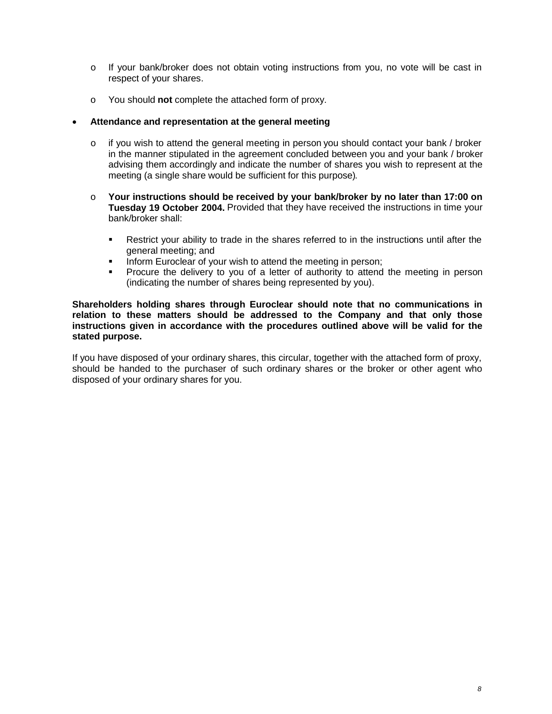- o If your bank/broker does not obtain voting instructions from you, no vote will be cast in respect of your shares.
- o You should **not** complete the attached form of proxy.

#### **Attendance and representation at the general meeting**

- o if you wish to attend the general meeting in person you should contact your bank / broker in the manner stipulated in the agreement concluded between you and your bank / broker advising them accordingly and indicate the number of shares you wish to represent at the meeting (a single share would be sufficient for this purpose).
- o **Your instructions should be received by your bank/broker by no later than 17:00 on Tuesday 19 October 2004.** Provided that they have received the instructions in time your bank/broker shall:
	- Restrict your ability to trade in the shares referred to in the instructions until after the general meeting; and
	- Inform Euroclear of your wish to attend the meeting in person;
	- Procure the delivery to you of a letter of authority to attend the meeting in person (indicating the number of shares being represented by you).

#### **Shareholders holding shares through Euroclear should note that no communications in relation to these matters should be addressed to the Company and that only those instructions given in accordance with the procedures outlined above will be valid for the stated purpose.**

If you have disposed of your ordinary shares, this circular, together with the attached form of proxy, should be handed to the purchaser of such ordinary shares or the broker or other agent who disposed of your ordinary shares for you.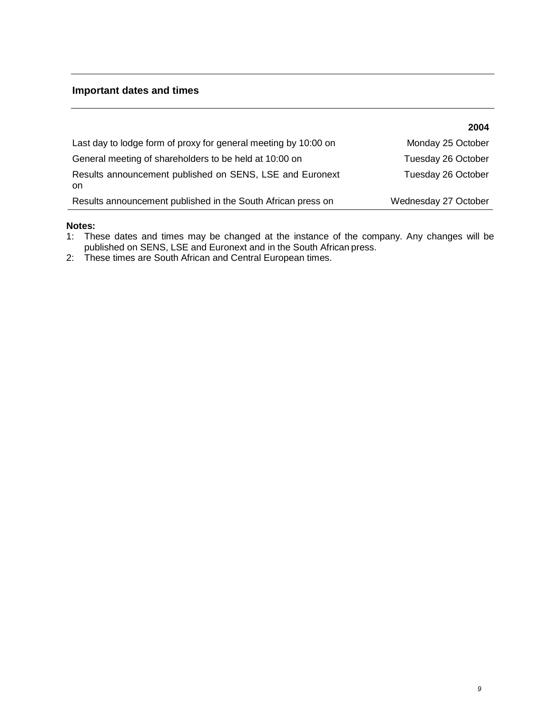# **Important dates and times**

|                                                                 | 2004                 |
|-----------------------------------------------------------------|----------------------|
| Last day to lodge form of proxy for general meeting by 10:00 on | Monday 25 October    |
| General meeting of shareholders to be held at 10:00 on          | Tuesday 26 October   |
| Results announcement published on SENS, LSE and Euronext<br>on  | Tuesday 26 October   |
| Results announcement published in the South African press on    | Wednesday 27 October |

#### **Notes:**

- 1: These dates and times may be changed at the instance of the company. Any changes will be published on SENS, LSE and Euronext and in the South African press.
- 2: These times are South African and Central European times.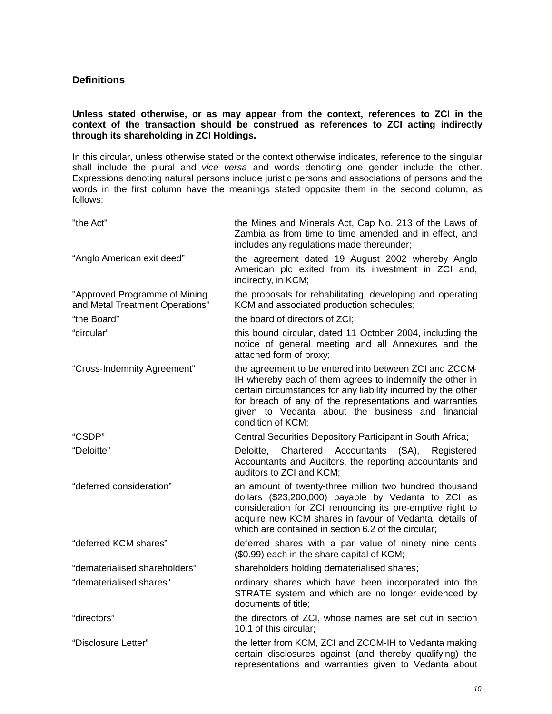## **Definitions**

#### **Unless stated otherwise, or as may appear from the context, references to ZCI in the context of the transaction should be construed as references to ZCI acting indirectly through its shareholding in ZCI Holdings.**

In this circular, unless otherwise stated or the context otherwise indicates, reference to the singular shall include the plural and *vice versa* and words denoting one gender include the other. Expressions denoting natural persons include juristic persons and associations of persons and the words in the first column have the meanings stated opposite them in the second column, as follows:

| "the Act"                                                        | the Mines and Minerals Act, Cap No. 213 of the Laws of<br>Zambia as from time to time amended and in effect, and<br>includes any regulations made thereunder;                                                                                                                                                            |
|------------------------------------------------------------------|--------------------------------------------------------------------------------------------------------------------------------------------------------------------------------------------------------------------------------------------------------------------------------------------------------------------------|
| "Anglo American exit deed"                                       | the agreement dated 19 August 2002 whereby Anglo<br>American plc exited from its investment in ZCI and,<br>indirectly, in KCM;                                                                                                                                                                                           |
| "Approved Programme of Mining<br>and Metal Treatment Operations" | the proposals for rehabilitating, developing and operating<br>KCM and associated production schedules;                                                                                                                                                                                                                   |
| "the Board"                                                      | the board of directors of ZCI;                                                                                                                                                                                                                                                                                           |
| "circular"                                                       | this bound circular, dated 11 October 2004, including the<br>notice of general meeting and all Annexures and the<br>attached form of proxy;                                                                                                                                                                              |
| "Cross-Indemnity Agreement"                                      | the agreement to be entered into between ZCI and ZCCM-<br>IH whereby each of them agrees to indemnify the other in<br>certain circumstances for any liability incurred by the other<br>for breach of any of the representations and warranties<br>given to Vedanta about the business and financial<br>condition of KCM; |
| "CSDP"                                                           | Central Securities Depository Participant in South Africa;                                                                                                                                                                                                                                                               |
| "Deloitte"                                                       | Deloitte,<br>Chartered Accountants (SA),<br>Registered<br>Accountants and Auditors, the reporting accountants and<br>auditors to ZCI and KCM;                                                                                                                                                                            |
| "deferred consideration"                                         | an amount of twenty-three million two hundred thousand<br>dollars (\$23,200,000) payable by Vedanta to ZCI as<br>consideration for ZCI renouncing its pre-emptive right to<br>acquire new KCM shares in favour of Vedanta, details of<br>which are contained in section 6.2 of the circular;                             |
| "deferred KCM shares"                                            | deferred shares with a par value of ninety nine cents<br>(\$0.99) each in the share capital of KCM;                                                                                                                                                                                                                      |
| "dematerialised shareholders"                                    | shareholders holding dematerialised shares;                                                                                                                                                                                                                                                                              |
| "dematerialised shares"                                          | ordinary shares which have been incorporated into the<br>STRATE system and which are no longer evidenced by<br>documents of title;                                                                                                                                                                                       |
| "directors"                                                      | the directors of ZCI, whose names are set out in section<br>10.1 of this circular:                                                                                                                                                                                                                                       |
| "Disclosure Letter"                                              | the letter from KCM, ZCI and ZCCM-IH to Vedanta making<br>certain disclosures against (and thereby qualifying) the<br>representations and warranties given to Vedanta about                                                                                                                                              |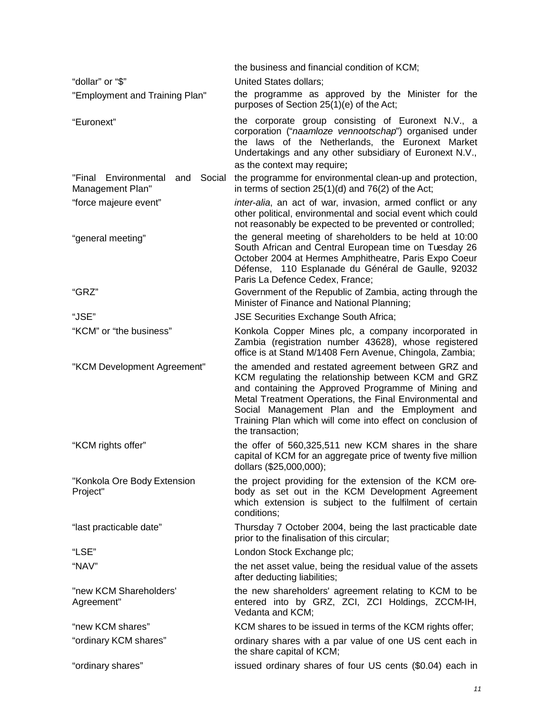|                                                              | the business and financial condition of KCM;                                                                                                                                                                                                                                                                                                                   |  |  |
|--------------------------------------------------------------|----------------------------------------------------------------------------------------------------------------------------------------------------------------------------------------------------------------------------------------------------------------------------------------------------------------------------------------------------------------|--|--|
| "dollar" or "\$"                                             | <b>United States dollars:</b>                                                                                                                                                                                                                                                                                                                                  |  |  |
| "Employment and Training Plan"                               | the programme as approved by the Minister for the<br>purposes of Section 25(1)(e) of the Act;                                                                                                                                                                                                                                                                  |  |  |
| "Euronext"                                                   | the corporate group consisting of Euronext N.V., a<br>corporation ("naamloze vennootschap") organised under<br>the laws of the Netherlands, the Euronext Market<br>Undertakings and any other subsidiary of Euronext N.V.,<br>as the context may require;                                                                                                      |  |  |
| "Final<br>Environmental<br>Social<br>and<br>Management Plan" | the programme for environmental clean-up and protection,<br>in terms of section $25(1)(d)$ and $76(2)$ of the Act;                                                                                                                                                                                                                                             |  |  |
| "force majeure event"                                        | inter-alia, an act of war, invasion, armed conflict or any<br>other political, environmental and social event which could<br>not reasonably be expected to be prevented or controlled;                                                                                                                                                                         |  |  |
| "general meeting"                                            | the general meeting of shareholders to be held at 10:00<br>South African and Central European time on Tuesday 26<br>October 2004 at Hermes Amphitheatre, Paris Expo Coeur<br>Défense, 110 Esplanade du Général de Gaulle, 92032<br>Paris La Defence Cedex, France;                                                                                             |  |  |
| "GRZ"                                                        | Government of the Republic of Zambia, acting through the<br>Minister of Finance and National Planning;                                                                                                                                                                                                                                                         |  |  |
| "JSE"                                                        | <b>JSE Securities Exchange South Africa;</b>                                                                                                                                                                                                                                                                                                                   |  |  |
| "KCM" or "the business"                                      | Konkola Copper Mines plc, a company incorporated in<br>Zambia (registration number 43628), whose registered<br>office is at Stand M/1408 Fern Avenue, Chingola, Zambia;                                                                                                                                                                                        |  |  |
| "KCM Development Agreement"                                  | the amended and restated agreement between GRZ and<br>KCM regulating the relationship between KCM and GRZ<br>and containing the Approved Programme of Mining and<br>Metal Treatment Operations, the Final Environmental and<br>Social Management Plan and the Employment and<br>Training Plan which will come into effect on conclusion of<br>the transaction; |  |  |
| "KCM rights offer"                                           | the offer of 560,325,511 new KCM shares in the share<br>capital of KCM for an aggregate price of twenty five million<br>dollars (\$25,000,000);                                                                                                                                                                                                                |  |  |
| "Konkola Ore Body Extension<br>Project"                      | the project providing for the extension of the KCM ore-<br>body as set out in the KCM Development Agreement<br>which extension is subject to the fulfilment of certain<br>conditions;                                                                                                                                                                          |  |  |
| "last practicable date"                                      | Thursday 7 October 2004, being the last practicable date<br>prior to the finalisation of this circular;                                                                                                                                                                                                                                                        |  |  |
| "LSE"                                                        | London Stock Exchange plc;                                                                                                                                                                                                                                                                                                                                     |  |  |
| "NAV"                                                        | the net asset value, being the residual value of the assets<br>after deducting liabilities;                                                                                                                                                                                                                                                                    |  |  |
| "new KCM Shareholders'<br>Agreement"                         | the new shareholders' agreement relating to KCM to be<br>entered into by GRZ, ZCI, ZCI Holdings, ZCCM-IH,<br>Vedanta and KCM;                                                                                                                                                                                                                                  |  |  |
| "new KCM shares"                                             | KCM shares to be issued in terms of the KCM rights offer;                                                                                                                                                                                                                                                                                                      |  |  |
| "ordinary KCM shares"                                        | ordinary shares with a par value of one US cent each in<br>the share capital of KCM;                                                                                                                                                                                                                                                                           |  |  |
| "ordinary shares"                                            | issued ordinary shares of four US cents (\$0.04) each in                                                                                                                                                                                                                                                                                                       |  |  |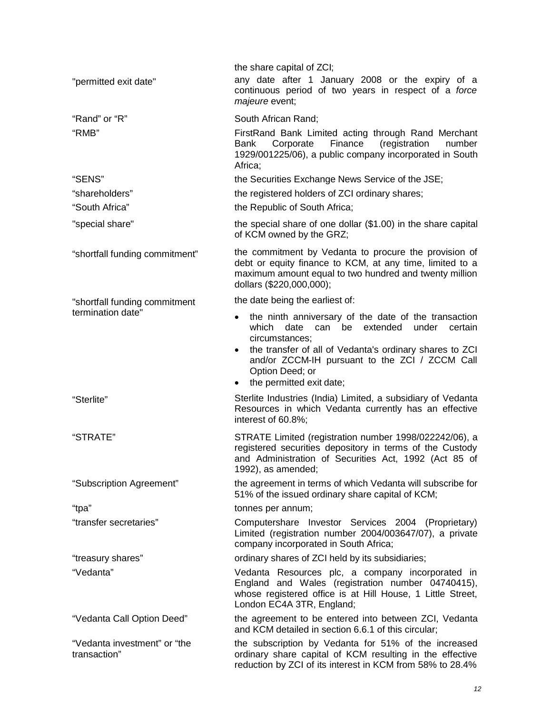|                                              | the share capital of ZCI;                                                                                                                                                                                                             |  |  |  |
|----------------------------------------------|---------------------------------------------------------------------------------------------------------------------------------------------------------------------------------------------------------------------------------------|--|--|--|
| "permitted exit date"                        | any date after 1 January 2008 or the expiry of a<br>continuous period of two years in respect of a force<br>majeure event;                                                                                                            |  |  |  |
| "Rand" or "R"                                | South African Rand;                                                                                                                                                                                                                   |  |  |  |
| "RMB"                                        | FirstRand Bank Limited acting through Rand Merchant<br>Finance<br>(registration<br>Corporate<br>number<br>Bank<br>1929/001225/06), a public company incorporated in South<br>Africa:                                                  |  |  |  |
| "SENS"                                       | the Securities Exchange News Service of the JSE;                                                                                                                                                                                      |  |  |  |
| "shareholders"                               | the registered holders of ZCI ordinary shares;                                                                                                                                                                                        |  |  |  |
| "South Africa"                               | the Republic of South Africa;                                                                                                                                                                                                         |  |  |  |
| "special share"                              | the special share of one dollar (\$1.00) in the share capital<br>of KCM owned by the GRZ;                                                                                                                                             |  |  |  |
| "shortfall funding commitment"               | the commitment by Vedanta to procure the provision of<br>debt or equity finance to KCM, at any time, limited to a<br>maximum amount equal to two hundred and twenty million<br>dollars (\$220,000,000);                               |  |  |  |
| "shortfall funding commitment                | the date being the earliest of:                                                                                                                                                                                                       |  |  |  |
| termination date"                            | the ninth anniversary of the date of the transaction<br>which date can be<br>extended under<br>certain<br>circumstances;<br>the transfer of all of Vedanta's ordinary shares to ZCI<br>and/or ZCCM-IH pursuant to the ZCI / ZCCM Call |  |  |  |
|                                              | Option Deed; or<br>the permitted exit date;                                                                                                                                                                                           |  |  |  |
| "Sterlite"                                   | Sterlite Industries (India) Limited, a subsidiary of Vedanta<br>Resources in which Vedanta currently has an effective<br>interest of 60.8%;                                                                                           |  |  |  |
| "STRATE"                                     | STRATE Limited (registration number 1998/022242/06), a<br>registered securities depository in terms of the Custody<br>and Administration of Securities Act, 1992 (Act 85 of<br>1992), as amended;                                     |  |  |  |
| "Subscription Agreement"                     | the agreement in terms of which Vedanta will subscribe for<br>51% of the issued ordinary share capital of KCM;                                                                                                                        |  |  |  |
| "tpa"                                        | tonnes per annum;                                                                                                                                                                                                                     |  |  |  |
| "transfer secretaries"                       | Computershare Investor Services 2004 (Proprietary)<br>Limited (registration number 2004/003647/07), a private<br>company incorporated in South Africa;                                                                                |  |  |  |
| "treasury shares"                            | ordinary shares of ZCI held by its subsidiaries;                                                                                                                                                                                      |  |  |  |
| "Vedanta"                                    | Vedanta Resources plc, a company incorporated in<br>England and Wales (registration number 04740415),<br>whose registered office is at Hill House, 1 Little Street,<br>London EC4A 3TR, England;                                      |  |  |  |
| "Vedanta Call Option Deed"                   | the agreement to be entered into between ZCI, Vedanta<br>and KCM detailed in section 6.6.1 of this circular;                                                                                                                          |  |  |  |
| "Vedanta investment" or "the<br>transaction" | the subscription by Vedanta for 51% of the increased<br>ordinary share capital of KCM resulting in the effective<br>reduction by ZCI of its interest in KCM from 58% to 28.4%                                                         |  |  |  |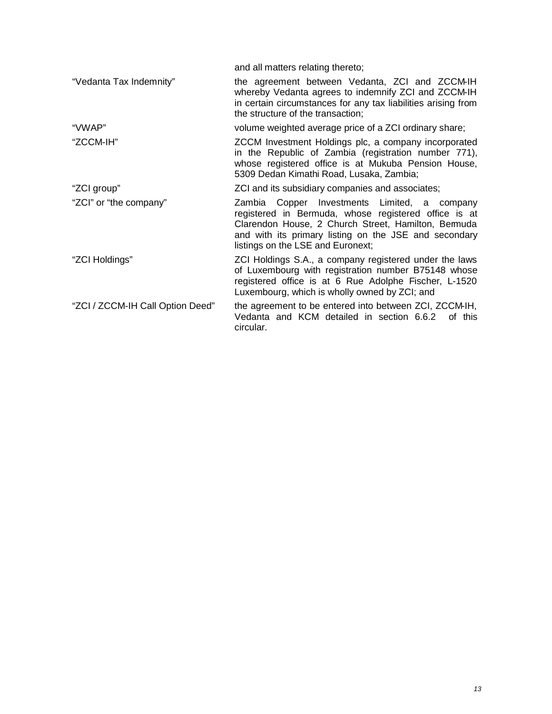| and all matters relating thereto;                                                                                                                                                                                                                        |
|----------------------------------------------------------------------------------------------------------------------------------------------------------------------------------------------------------------------------------------------------------|
| the agreement between Vedanta, ZCI and ZCCM-IH<br>whereby Vedanta agrees to indemnify ZCI and ZCCM-IH<br>in certain circumstances for any tax liabilities arising from<br>the structure of the transaction;                                              |
| volume weighted average price of a ZCI ordinary share;                                                                                                                                                                                                   |
| ZCCM Investment Holdings plc, a company incorporated<br>in the Republic of Zambia (registration number 771),<br>whose registered office is at Mukuba Pension House,<br>5309 Dedan Kimathi Road, Lusaka, Zambia;                                          |
| ZCI and its subsidiary companies and associates;                                                                                                                                                                                                         |
| Zambia Copper Investments Limited, a company<br>registered in Bermuda, whose registered office is at<br>Clarendon House, 2 Church Street, Hamilton, Bemuda<br>and with its primary listing on the JSE and secondary<br>listings on the LSE and Euronext; |
| ZCI Holdings S.A., a company registered under the laws<br>of Luxembourg with registration number B75148 whose<br>registered office is at 6 Rue Adolphe Fischer, L-1520<br>Luxembourg, which is wholly owned by ZCI; and                                  |
| the agreement to be entered into between ZCI, ZCCM-IH,<br>Vedanta and KCM detailed in section 6.6.2 of this<br>circular.                                                                                                                                 |
|                                                                                                                                                                                                                                                          |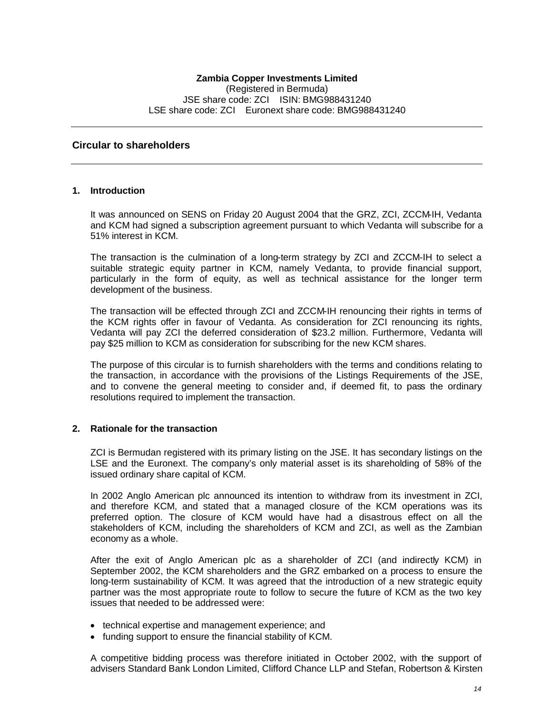#### **Circular to shareholders**

#### **1. Introduction**

It was announced on SENS on Friday 20 August 2004 that the GRZ, ZCI, ZCCM-IH, Vedanta and KCM had signed a subscription agreement pursuant to which Vedanta will subscribe for a 51% interest in KCM.

The transaction is the culmination of a long-term strategy by ZCI and ZCCM-IH to select a suitable strategic equity partner in KCM, namely Vedanta, to provide financial support, particularly in the form of equity, as well as technical assistance for the longer term development of the business.

The transaction will be effected through ZCI and ZCCM-IH renouncing their rights in terms of the KCM rights offer in favour of Vedanta. As consideration for ZCI renouncing its rights, Vedanta will pay ZCI the deferred consideration of \$23.2 million. Furthermore, Vedanta will pay \$25 million to KCM as consideration for subscribing for the new KCM shares.

The purpose of this circular is to furnish shareholders with the terms and conditions relating to the transaction, in accordance with the provisions of the Listings Requirements of the JSE, and to convene the general meeting to consider and, if deemed fit, to pass the ordinary resolutions required to implement the transaction.

#### **2. Rationale for the transaction**

ZCI is Bermudan registered with its primary listing on the JSE. It has secondary listings on the LSE and the Euronext. The company's only material asset is its shareholding of 58% of the issued ordinary share capital of KCM.

In 2002 Anglo American plc announced its intention to withdraw from its investment in ZCI, and therefore KCM, and stated that a managed closure of the KCM operations was its preferred option. The closure of KCM would have had a disastrous effect on all the stakeholders of KCM, including the shareholders of KCM and ZCI, as well as the Zambian economy as a whole.

After the exit of Anglo American plc as a shareholder of ZCI (and indirectly KCM) in September 2002, the KCM shareholders and the GRZ embarked on a process to ensure the long-term sustainability of KCM. It was agreed that the introduction of a new strategic equity partner was the most appropriate route to follow to secure the future of KCM as the two key issues that needed to be addressed were:

- technical expertise and management experience; and
- funding support to ensure the financial stability of KCM.

A competitive bidding process was therefore initiated in October 2002, with the support of advisers Standard Bank London Limited, Clifford Chance LLP and Stefan, Robertson & Kirsten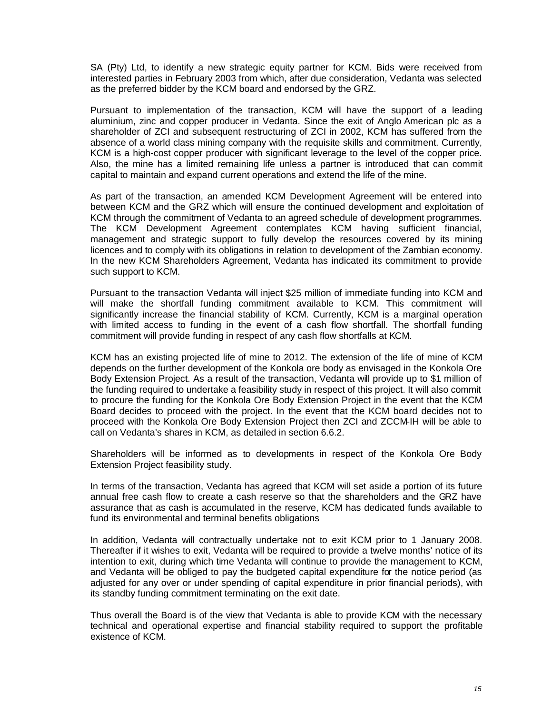SA (Pty) Ltd, to identify a new strategic equity partner for KCM. Bids were received from interested parties in February 2003 from which, after due consideration, Vedanta was selected as the preferred bidder by the KCM board and endorsed by the GRZ.

Pursuant to implementation of the transaction, KCM will have the support of a leading aluminium, zinc and copper producer in Vedanta. Since the exit of Anglo American plc as a shareholder of ZCI and subsequent restructuring of ZCI in 2002, KCM has suffered from the absence of a world class mining company with the requisite skills and commitment. Currently, KCM is a high-cost copper producer with significant leverage to the level of the copper price. Also, the mine has a limited remaining life unless a partner is introduced that can commit capital to maintain and expand current operations and extend the life of the mine.

As part of the transaction, an amended KCM Development Agreement will be entered into between KCM and the GRZ which will ensure the continued development and exploitation of KCM through the commitment of Vedanta to an agreed schedule of development programmes. The KCM Development Agreement contemplates KCM having sufficient financial, management and strategic support to fully develop the resources covered by its mining licences and to comply with its obligations in relation to development of the Zambian economy. In the new KCM Shareholders Agreement, Vedanta has indicated its commitment to provide such support to KCM.

Pursuant to the transaction Vedanta will inject \$25 million of immediate funding into KCM and will make the shortfall funding commitment available to KCM. This commitment will significantly increase the financial stability of KCM. Currently, KCM is a marginal operation with limited access to funding in the event of a cash flow shortfall. The shortfall funding commitment will provide funding in respect of any cash flow shortfalls at KCM.

KCM has an existing projected life of mine to 2012. The extension of the life of mine of KCM depends on the further development of the Konkola ore body as envisaged in the Konkola Ore Body Extension Project. As a result of the transaction, Vedanta will provide up to \$1 million of the funding required to undertake a feasibility study in respect of this project. It will also commit to procure the funding for the Konkola Ore Body Extension Project in the event that the KCM Board decides to proceed with the project. In the event that the KCM board decides not to proceed with the Konkola Ore Body Extension Project then ZCI and ZCCM-IH will be able to call on Vedanta's shares in KCM, as detailed in section 6.6.2.

Shareholders will be informed as to developments in respect of the Konkola Ore Body Extension Project feasibility study.

In terms of the transaction, Vedanta has agreed that KCM will set aside a portion of its future annual free cash flow to create a cash reserve so that the shareholders and the GRZ have assurance that as cash is accumulated in the reserve, KCM has dedicated funds available to fund its environmental and terminal benefits obligations

In addition, Vedanta will contractually undertake not to exit KCM prior to 1 January 2008. Thereafter if it wishes to exit, Vedanta will be required to provide a twelve months' notice of its intention to exit, during which time Vedanta will continue to provide the management to KCM, and Vedanta will be obliged to pay the budgeted capital expenditure for the notice period (as adjusted for any over or under spending of capital expenditure in prior financial periods), with its standby funding commitment terminating on the exit date.

Thus overall the Board is of the view that Vedanta is able to provide KCM with the necessary technical and operational expertise and financial stability required to support the profitable existence of KCM.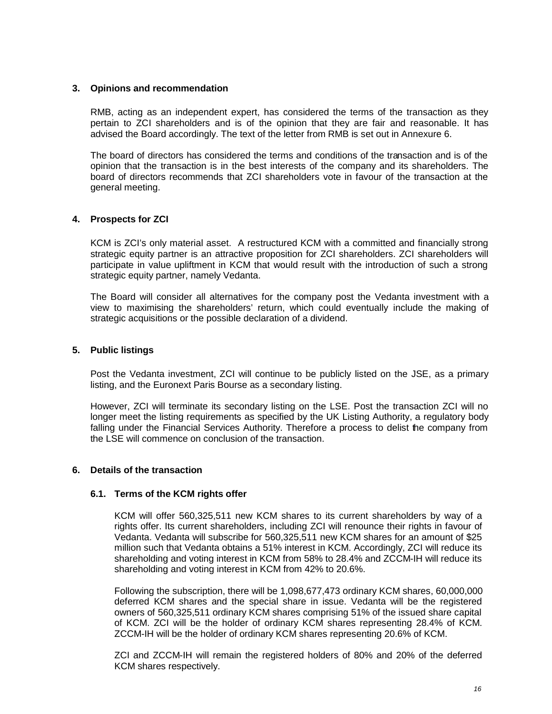#### **3. Opinions and recommendation**

RMB, acting as an independent expert, has considered the terms of the transaction as they pertain to ZCI shareholders and is of the opinion that they are fair and reasonable. It has advised the Board accordingly. The text of the letter from RMB is set out in Annexure 6.

The board of directors has considered the terms and conditions of the transaction and is of the opinion that the transaction is in the best interests of the company and its shareholders. The board of directors recommends that ZCI shareholders vote in favour of the transaction at the general meeting.

## **4. Prospects for ZCI**

KCM is ZCI's only material asset. A restructured KCM with a committed and financially strong strategic equity partner is an attractive proposition for ZCI shareholders. ZCI shareholders will participate in value upliftment in KCM that would result with the introduction of such a strong strategic equity partner, namely Vedanta.

The Board will consider all alternatives for the company post the Vedanta investment with a view to maximising the shareholders' return, which could eventually include the making of strategic acquisitions or the possible declaration of a dividend.

## **5. Public listings**

Post the Vedanta investment, ZCI will continue to be publicly listed on the JSE, as a primary listing, and the Euronext Paris Bourse as a secondary listing.

However, ZCI will terminate its secondary listing on the LSE. Post the transaction ZCI will no longer meet the listing requirements as specified by the UK Listing Authority, a regulatory body falling under the Financial Services Authority. Therefore a process to delist the company from the LSE will commence on conclusion of the transaction.

#### **6. Details of the transaction**

#### **6.1. Terms of the KCM rights offer**

KCM will offer 560,325,511 new KCM shares to its current shareholders by way of a rights offer. Its current shareholders, including ZCI will renounce their rights in favour of Vedanta. Vedanta will subscribe for 560,325,511 new KCM shares for an amount of \$25 million such that Vedanta obtains a 51% interest in KCM. Accordingly, ZCI will reduce its shareholding and voting interest in KCM from 58% to 28.4% and ZCCM-IH will reduce its shareholding and voting interest in KCM from 42% to 20.6%.

Following the subscription, there will be 1,098,677,473 ordinary KCM shares, 60,000,000 deferred KCM shares and the special share in issue. Vedanta will be the registered owners of 560,325,511 ordinary KCM shares comprising 51% of the issued share capital of KCM. ZCI will be the holder of ordinary KCM shares representing 28.4% of KCM. ZCCM-IH will be the holder of ordinary KCM shares representing 20.6% of KCM.

ZCI and ZCCM-IH will remain the registered holders of 80% and 20% of the deferred KCM shares respectively.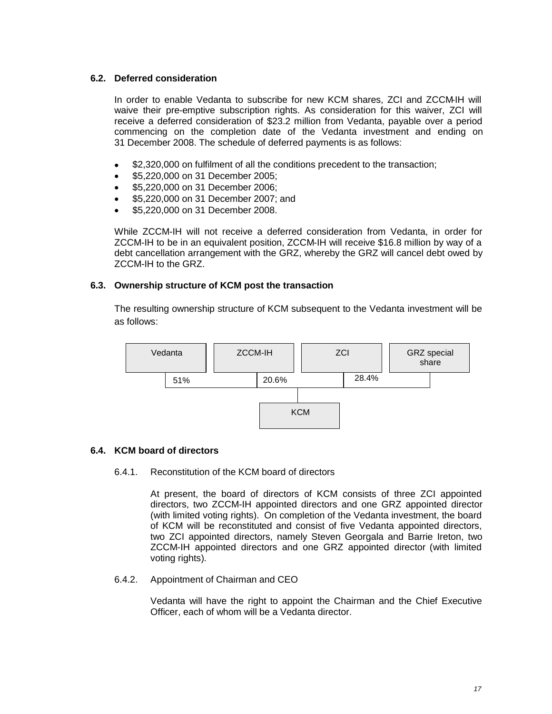## **6.2. Deferred consideration**

In order to enable Vedanta to subscribe for new KCM shares, ZCI and ZCCM-IH will waive their pre-emptive subscription rights. As consideration for this waiver, ZCI will receive a deferred consideration of \$23.2 million from Vedanta, payable over a period commencing on the completion date of the Vedanta investment and ending on 31 December 2008. The schedule of deferred payments is as follows:

- \$2,320,000 on fulfilment of all the conditions precedent to the transaction;
- \$5,220,000 on 31 December 2005;
- \$5,220,000 on 31 December 2006;
- \$5,220,000 on 31 December 2007; and
- \$5,220,000 on 31 December 2008.

While ZCCM-IH will not receive a deferred consideration from Vedanta, in order for ZCCM-IH to be in an equivalent position, ZCCM-IH will receive \$16.8 million by way of a debt cancellation arrangement with the GRZ, whereby the GRZ will cancel debt owed by ZCCM-IH to the GRZ.

## **6.3. Ownership structure of KCM post the transaction**

The resulting ownership structure of KCM subsequent to the Vedanta investment will be as follows:



## **6.4. KCM board of directors**

## 6.4.1. Reconstitution of the KCM board of directors

At present, the board of directors of KCM consists of three ZCI appointed directors, two ZCCM-IH appointed directors and one GRZ appointed director (with limited voting rights). On completion of the Vedanta investment, the board of KCM will be reconstituted and consist of five Vedanta appointed directors, two ZCI appointed directors, namely Steven Georgala and Barrie Ireton, two ZCCM-IH appointed directors and one GRZ appointed director (with limited voting rights).

## 6.4.2. Appointment of Chairman and CEO

Vedanta will have the right to appoint the Chairman and the Chief Executive Officer, each of whom will be a Vedanta director.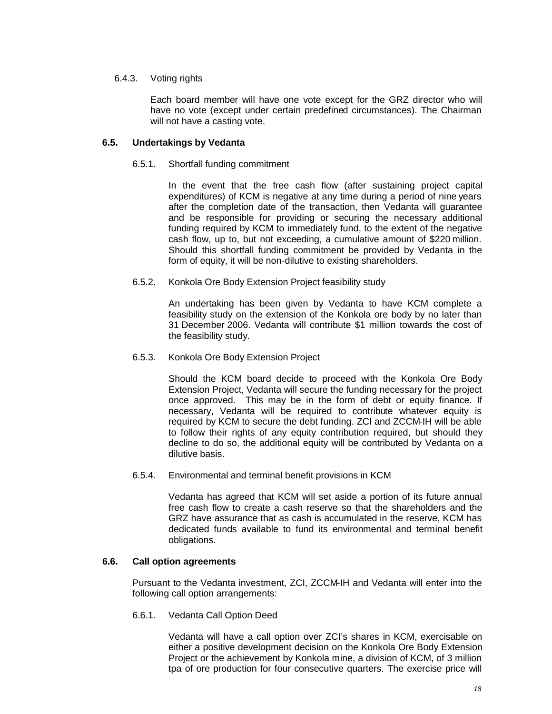#### 6.4.3. Voting rights

Each board member will have one vote except for the GRZ director who will have no vote (except under certain predefined circumstances). The Chairman will not have a casting vote.

#### **6.5. Undertakings by Vedanta**

#### 6.5.1. Shortfall funding commitment

In the event that the free cash flow (after sustaining project capital expenditures) of KCM is negative at any time during a period of nine years after the completion date of the transaction, then Vedanta will guarantee and be responsible for providing or securing the necessary additional funding required by KCM to immediately fund, to the extent of the negative cash flow, up to, but not exceeding, a cumulative amount of \$220 million. Should this shortfall funding commitment be provided by Vedanta in the form of equity, it will be non-dilutive to existing shareholders.

#### 6.5.2. Konkola Ore Body Extension Project feasibility study

An undertaking has been given by Vedanta to have KCM complete a feasibility study on the extension of the Konkola ore body by no later than 31 December 2006. Vedanta will contribute \$1 million towards the cost of the feasibility study.

#### 6.5.3. Konkola Ore Body Extension Project

Should the KCM board decide to proceed with the Konkola Ore Body Extension Project, Vedanta will secure the funding necessary for the project once approved. This may be in the form of debt or equity finance. If necessary, Vedanta will be required to contribute whatever equity is required by KCM to secure the debt funding. ZCI and ZCCM-IH will be able to follow their rights of any equity contribution required, but should they decline to do so, the additional equity will be contributed by Vedanta on a dilutive basis.

6.5.4. Environmental and terminal benefit provisions in KCM

Vedanta has agreed that KCM will set aside a portion of its future annual free cash flow to create a cash reserve so that the shareholders and the GRZ have assurance that as cash is accumulated in the reserve, KCM has dedicated funds available to fund its environmental and terminal benefit obligations.

#### **6.6. Call option agreements**

Pursuant to the Vedanta investment, ZCI, ZCCM-IH and Vedanta will enter into the following call option arrangements:

#### 6.6.1. Vedanta Call Option Deed

Vedanta will have a call option over ZCI's shares in KCM, exercisable on either a positive development decision on the Konkola Ore Body Extension Project or the achievement by Konkola mine, a division of KCM, of 3 million tpa of ore production for four consecutive quarters. The exercise price will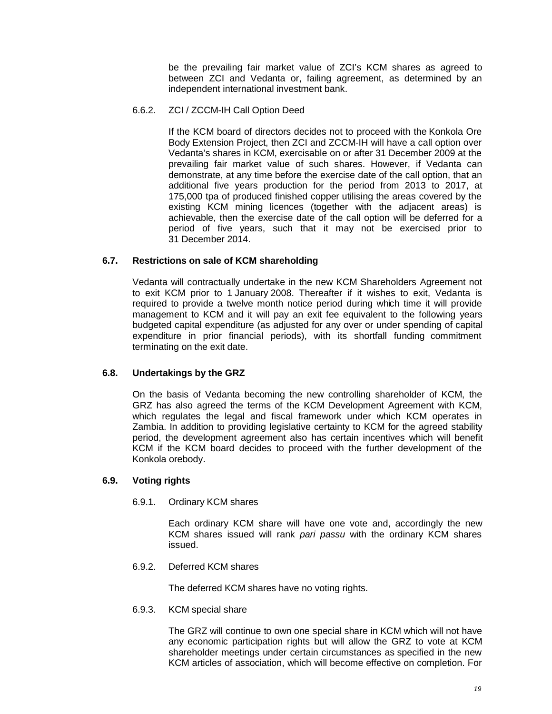be the prevailing fair market value of ZCI's KCM shares as agreed to between ZCI and Vedanta or, failing agreement, as determined by an independent international investment bank.

#### 6.6.2. ZCI / ZCCM-IH Call Option Deed

If the KCM board of directors decides not to proceed with the Konkola Ore Body Extension Project, then ZCI and ZCCM-IH will have a call option over Vedanta's shares in KCM, exercisable on or after 31 December 2009 at the prevailing fair market value of such shares. However, if Vedanta can demonstrate, at any time before the exercise date of the call option, that an additional five years production for the period from 2013 to 2017, at 175,000 tpa of produced finished copper utilising the areas covered by the existing KCM mining licences (together with the adjacent areas) is achievable, then the exercise date of the call option will be deferred for a period of five years, such that it may not be exercised prior to 31 December 2014.

## **6.7. Restrictions on sale of KCM shareholding**

Vedanta will contractually undertake in the new KCM Shareholders Agreement not to exit KCM prior to 1 January 2008. Thereafter if it wishes to exit, Vedanta is required to provide a twelve month notice period during which time it will provide management to KCM and it will pay an exit fee equivalent to the following years budgeted capital expenditure (as adjusted for any over or under spending of capital expenditure in prior financial periods), with its shortfall funding commitment terminating on the exit date.

#### **6.8. Undertakings by the GRZ**

On the basis of Vedanta becoming the new controlling shareholder of KCM, the GRZ has also agreed the terms of the KCM Development Agreement with KCM, which regulates the legal and fiscal framework under which KCM operates in Zambia. In addition to providing legislative certainty to KCM for the agreed stability period, the development agreement also has certain incentives which will benefit KCM if the KCM board decides to proceed with the further development of the Konkola orebody.

#### **6.9. Voting rights**

6.9.1. Ordinary KCM shares

Each ordinary KCM share will have one vote and, accordingly the new KCM shares issued will rank *pari passu* with the ordinary KCM shares issued.

6.9.2. Deferred KCM shares

The deferred KCM shares have no voting rights.

6.9.3. KCM special share

The GRZ will continue to own one special share in KCM which will not have any economic participation rights but will allow the GRZ to vote at KCM shareholder meetings under certain circumstances as specified in the new KCM articles of association, which will become effective on completion. For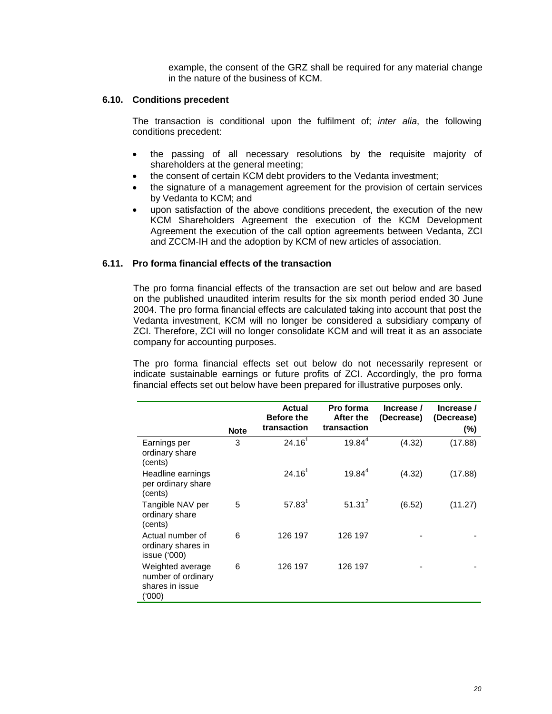example, the consent of the GRZ shall be required for any material change in the nature of the business of KCM.

#### **6.10. Conditions precedent**

The transaction is conditional upon the fulfilment of; *inter alia*, the following conditions precedent:

- the passing of all necessary resolutions by the requisite majority of shareholders at the general meeting;
- the consent of certain KCM debt providers to the Vedanta investment;
- the signature of a management agreement for the provision of certain services by Vedanta to KCM; and
- upon satisfaction of the above conditions precedent, the execution of the new KCM Shareholders Agreement the execution of the KCM Development Agreement the execution of the call option agreements between Vedanta, ZCI and ZCCM-IH and the adoption by KCM of new articles of association.

#### **6.11. Pro forma financial effects of the transaction**

The pro forma financial effects of the transaction are set out below and are based on the published unaudited interim results for the six month period ended 30 June 2004. The pro forma financial effects are calculated taking into account that post the Vedanta investment, KCM will no longer be considered a subsidiary company of ZCI. Therefore, ZCI will no longer consolidate KCM and will treat it as an associate company for accounting purposes.

The pro forma financial effects set out below do not necessarily represent or indicate sustainable earnings or future profits of ZCI. Accordingly, the pro forma financial effects set out below have been prepared for illustrative purposes only.

|                                                                    | <b>Note</b> | <b>Actual</b><br><b>Before the</b><br>transaction | Pro forma<br>After the<br>transaction | Increase /<br>(Decrease) | Increase /<br>(Decrease)<br>$(\%)$ |
|--------------------------------------------------------------------|-------------|---------------------------------------------------|---------------------------------------|--------------------------|------------------------------------|
| Earnings per<br>ordinary share<br>(cents)                          | 3           | 24.16 <sup>1</sup>                                | $19.84^{4}$                           | (4.32)                   | (17.88)                            |
| Headline earnings<br>per ordinary share<br>(cents)                 |             | 24.16 <sup>1</sup>                                | $19.84^{4}$                           | (4.32)                   | (17.88)                            |
| Tangible NAV per<br>ordinary share<br>(cents)                      | 5           | 57.83 <sup>1</sup>                                | $51.31^{2}$                           | (6.52)                   | (11.27)                            |
| Actual number of<br>ordinary shares in<br>issue ('000)             | 6           | 126 197                                           | 126 197                               |                          |                                    |
| Weighted average<br>number of ordinary<br>shares in issue<br>(000) | 6           | 126 197                                           | 126 197                               |                          |                                    |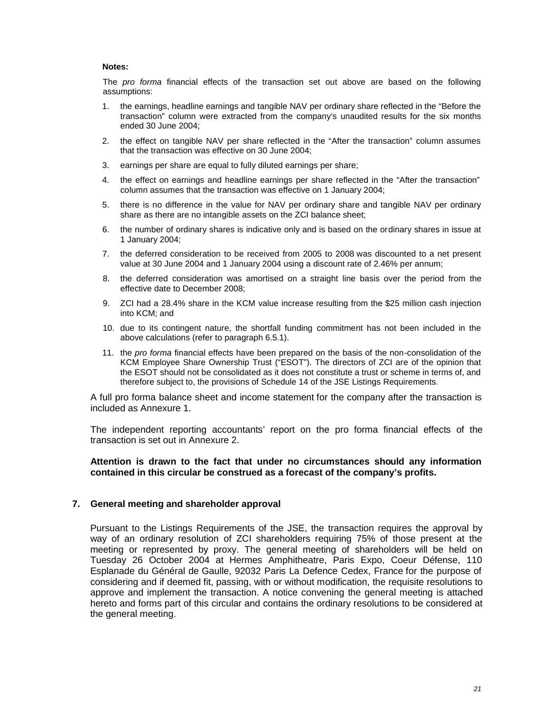#### **Notes:**

The *pro forma* financial effects of the transaction set out above are based on the following assumptions:

- 1. the earnings, headline earnings and tangible NAV per ordinary share reflected in the "Before the transaction" column were extracted from the company's unaudited results for the six months ended 30 June 2004;
- 2. the effect on tangible NAV per share reflected in the "After the transaction" column assumes that the transaction was effective on 30 June 2004;
- 3. earnings per share are equal to fully diluted earnings per share;
- 4. the effect on earnings and headline earnings per share reflected in the "After the transaction" column assumes that the transaction was effective on 1 January 2004;
- 5. there is no difference in the value for NAV per ordinary share and tangible NAV per ordinary share as there are no intangible assets on the ZCI balance sheet;
- 6. the number of ordinary shares is indicative only and is based on the ordinary shares in issue at 1 January 2004;
- 7. the deferred consideration to be received from 2005 to 2008 was discounted to a net present value at 30 June 2004 and 1 January 2004 using a discount rate of 2.46% per annum;
- 8. the deferred consideration was amortised on a straight line basis over the period from the effective date to December 2008;
- 9. ZCI had a 28.4% share in the KCM value increase resulting from the \$25 million cash injection into KCM; and
- 10. due to its contingent nature, the shortfall funding commitment has not been included in the above calculations (refer to paragraph 6.5.1).
- 11. the *pro forma* financial effects have been prepared on the basis of the non-consolidation of the KCM Employee Share Ownership Trust ("ESOT"). The directors of ZCI are of the opinion that the ESOT should not be consolidated as it does not constitute a trust or scheme in terms of, and therefore subject to, the provisions of Schedule 14 of the JSE Listings Requirements.

A full pro forma balance sheet and income statement for the company after the transaction is included as Annexure 1.

The independent reporting accountants' report on the pro forma financial effects of the transaction is set out in Annexure 2.

#### **Attention is drawn to the fact that under no circumstances should any information contained in this circular be construed as a forecast of the company's profits.**

## **7. General meeting and shareholder approval**

Pursuant to the Listings Requirements of the JSE, the transaction requires the approval by way of an ordinary resolution of ZCI shareholders requiring 75% of those present at the meeting or represented by proxy. The general meeting of shareholders will be held on Tuesday 26 October 2004 at Hermes Amphitheatre, Paris Expo, Coeur Défense, 110 Esplanade du Général de Gaulle, 92032 Paris La Defence Cedex, France for the purpose of considering and if deemed fit, passing, with or without modification, the requisite resolutions to approve and implement the transaction. A notice convening the general meeting is attached hereto and forms part of this circular and contains the ordinary resolutions to be considered at the general meeting.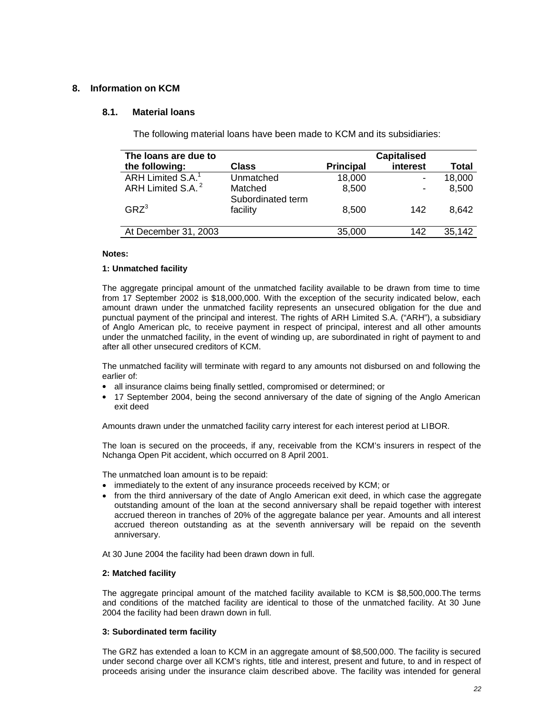## **8. Information on KCM**

#### **8.1. Material loans**

The following material loans have been made to KCM and its subsidiaries:

| The loans are due to          |                   |                  |                |        |
|-------------------------------|-------------------|------------------|----------------|--------|
| the following:                | <b>Class</b>      | <b>Principal</b> | interest       | Total  |
| ARH Limited S.A. <sup>1</sup> | Unmatched         | 18,000           |                | 18,000 |
| ARH Limited S.A. <sup>2</sup> | Matched           | 8,500            | $\blacksquare$ | 8,500  |
|                               | Subordinated term |                  |                |        |
| GRZ <sup>3</sup>              | facility          | 8,500            | 142            | 8.642  |
|                               |                   |                  |                |        |
| At December 31, 2003          |                   | 35,000           | 142            | 35,142 |

#### **Notes:**

#### **1: Unmatched facility**

The aggregate principal amount of the unmatched facility available to be drawn from time to time from 17 September 2002 is \$18,000,000. With the exception of the security indicated below, each amount drawn under the unmatched facility represents an unsecured obligation for the due and punctual payment of the principal and interest. The rights of ARH Limited S.A. ("ARH"), a subsidiary of Anglo American plc, to receive payment in respect of principal, interest and all other amounts under the unmatched facility, in the event of winding up, are subordinated in right of payment to and after all other unsecured creditors of KCM.

The unmatched facility will terminate with regard to any amounts not disbursed on and following the earlier of:

- all insurance claims being finally settled, compromised or determined; or
- 17 September 2004, being the second anniversary of the date of signing of the Anglo American exit deed

Amounts drawn under the unmatched facility carry interest for each interest period at LIBOR.

The loan is secured on the proceeds, if any, receivable from the KCM's insurers in respect of the Nchanga Open Pit accident, which occurred on 8 April 2001.

The unmatched loan amount is to be repaid:

- immediately to the extent of any insurance proceeds received by KCM; or
- from the third anniversary of the date of Anglo American exit deed, in which case the aggregate outstanding amount of the loan at the second anniversary shall be repaid together with interest accrued thereon in tranches of 20% of the aggregate balance per year. Amounts and all interest accrued thereon outstanding as at the seventh anniversary will be repaid on the seventh anniversary.

At 30 June 2004 the facility had been drawn down in full.

#### **2: Matched facility**

The aggregate principal amount of the matched facility available to KCM is \$8,500,000.The terms and conditions of the matched facility are identical to those of the unmatched facility. At 30 June 2004 the facility had been drawn down in full.

#### **3: Subordinated term facility**

The GRZ has extended a loan to KCM in an aggregate amount of \$8,500,000. The facility is secured under second charge over all KCM's rights, title and interest, present and future, to and in respect of proceeds arising under the insurance claim described above. The facility was intended for general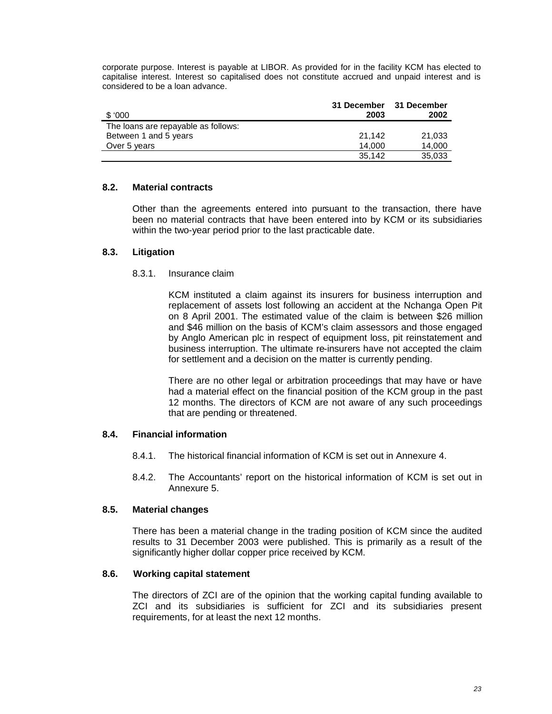corporate purpose. Interest is payable at LIBOR. As provided for in the facility KCM has elected to capitalise interest. Interest so capitalised does not constitute accrued and unpaid interest and is considered to be a loan advance.

|                                     | 31 December | 31 December |
|-------------------------------------|-------------|-------------|
| \$000                               | 2003        | 2002        |
| The loans are repayable as follows: |             |             |
| Between 1 and 5 years               | 21.142      | 21.033      |
| Over 5 years                        | 14.000      | 14.000      |
|                                     | 35.142      | 35,033      |

#### **8.2. Material contracts**

Other than the agreements entered into pursuant to the transaction, there have been no material contracts that have been entered into by KCM or its subsidiaries within the two-year period prior to the last practicable date.

#### **8.3. Litigation**

#### 8.3.1. Insurance claim

KCM instituted a claim against its insurers for business interruption and replacement of assets lost following an accident at the Nchanga Open Pit on 8 April 2001. The estimated value of the claim is between \$26 million and \$46 million on the basis of KCM's claim assessors and those engaged by Anglo American plc in respect of equipment loss, pit reinstatement and business interruption. The ultimate re-insurers have not accepted the claim for settlement and a decision on the matter is currently pending.

There are no other legal or arbitration proceedings that may have or have had a material effect on the financial position of the KCM group in the past 12 months. The directors of KCM are not aware of any such proceedings that are pending or threatened.

#### **8.4. Financial information**

- 8.4.1. The historical financial information of KCM is set out in Annexure 4.
- 8.4.2. The Accountants' report on the historical information of KCM is set out in Annexure 5.

#### **8.5. Material changes**

There has been a material change in the trading position of KCM since the audited results to 31 December 2003 were published. This is primarily as a result of the significantly higher dollar copper price received by KCM.

#### **8.6. Working capital statement**

The directors of ZCI are of the opinion that the working capital funding available to ZCI and its subsidiaries is sufficient for ZCI and its subsidiaries present requirements, for at least the next 12 months.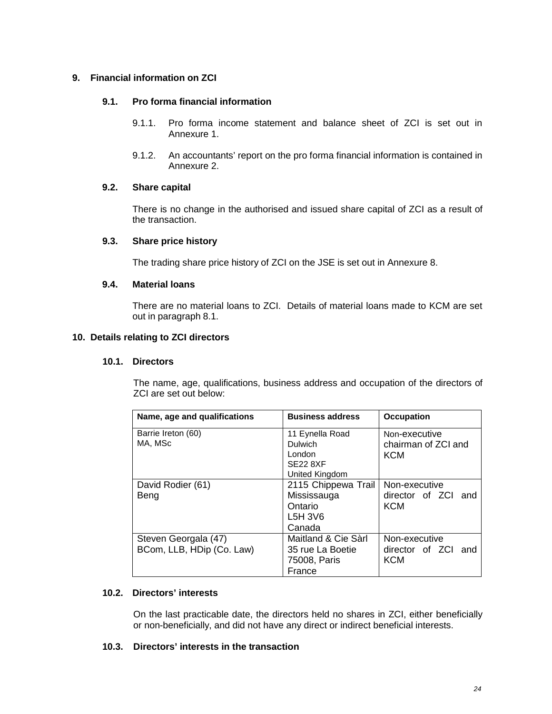## **9. Financial information on ZCI**

## **9.1. Pro forma financial information**

- 9.1.1. Pro forma income statement and balance sheet of ZCI is set out in Annexure 1.
- 9.1.2. An accountants' report on the pro forma financial information is contained in Annexure 2.

## **9.2. Share capital**

There is no change in the authorised and issued share capital of ZCI as a result of the transaction.

#### **9.3. Share price history**

The trading share price history of ZCI on the JSE is set out in Annexure 8.

#### **9.4. Material loans**

There are no material loans to ZCI. Details of material loans made to KCM are set out in paragraph 8.1.

## **10. Details relating to ZCI directors**

#### **10.1. Directors**

The name, age, qualifications, business address and occupation of the directors of ZCI are set out below:

| Name, age and qualifications | <b>Business address</b> | <b>Occupation</b>   |  |  |
|------------------------------|-------------------------|---------------------|--|--|
| Barrie Ireton (60)           | 11 Eynella Road         | Non-executive       |  |  |
| MA, MSc                      | Dulwich                 | chairman of ZCI and |  |  |
|                              | London                  | KCM                 |  |  |
|                              | <b>SE22 8XF</b>         |                     |  |  |
|                              | United Kingdom          |                     |  |  |
| David Rodier (61)            | 2115 Chippewa Trail     | Non-executive       |  |  |
| Beng                         | Mississauga             | director of ZCI and |  |  |
|                              | Ontario                 | KCM                 |  |  |
|                              | L5H 3V6                 |                     |  |  |
|                              | Canada                  |                     |  |  |
| Steven Georgala (47)         | Maitland & Cie Sàrl     | Non-executive       |  |  |
| BCom, LLB, HDip (Co. Law)    | 35 rue La Boetie        | director of ZCI and |  |  |
|                              | 75008, Paris            | <b>KCM</b>          |  |  |
|                              | France                  |                     |  |  |

## **10.2. Directors' interests**

On the last practicable date, the directors held no shares in ZCI, either beneficially or non-beneficially, and did not have any direct or indirect beneficial interests.

## **10.3. Directors' interests in the transaction**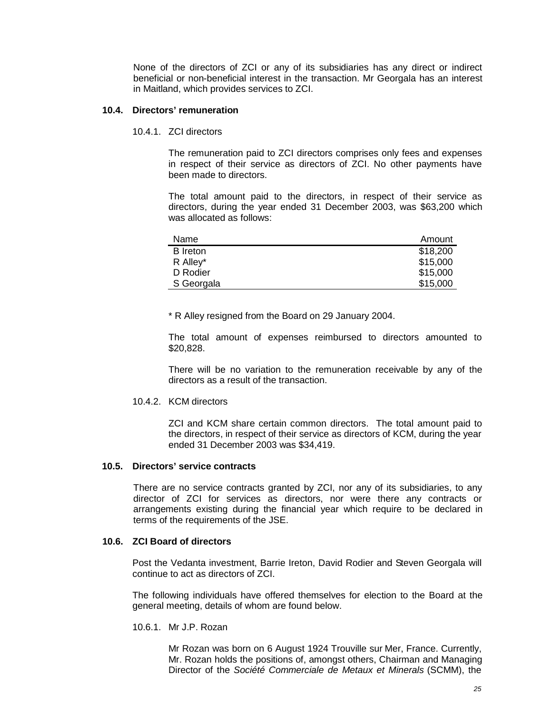None of the directors of ZCI or any of its subsidiaries has any direct or indirect beneficial or non-beneficial interest in the transaction. Mr Georgala has an interest in Maitland, which provides services to ZCI.

#### **10.4. Directors' remuneration**

10.4.1. ZCI directors

The remuneration paid to ZCI directors comprises only fees and expenses in respect of their service as directors of ZCI. No other payments have been made to directors.

The total amount paid to the directors, in respect of their service as directors, during the year ended 31 December 2003, was \$63,200 which was allocated as follows:

| Name            | Amount   |
|-----------------|----------|
| <b>B</b> Ireton | \$18,200 |
| R Alley*        | \$15,000 |
| D Rodier        | \$15,000 |
| S Georgala      | \$15,000 |

\* R Alley resigned from the Board on 29 January 2004.

The total amount of expenses reimbursed to directors amounted to \$20,828.

There will be no variation to the remuneration receivable by any of the directors as a result of the transaction.

#### 10.4.2. KCM directors

ZCI and KCM share certain common directors. The total amount paid to the directors, in respect of their service as directors of KCM, during the year ended 31 December 2003 was \$34,419.

#### **10.5. Directors' service contracts**

There are no service contracts granted by ZCI, nor any of its subsidiaries, to any director of ZCI for services as directors, nor were there any contracts or arrangements existing during the financial year which require to be declared in terms of the requirements of the JSE.

#### **10.6. ZCI Board of directors**

Post the Vedanta investment, Barrie Ireton, David Rodier and Steven Georgala will continue to act as directors of ZCI.

The following individuals have offered themselves for election to the Board at the general meeting, details of whom are found below.

10.6.1. Mr J.P. Rozan

Mr Rozan was born on 6 August 1924 Trouville sur Mer, France. Currently, Mr. Rozan holds the positions of, amongst others, Chairman and Managing Director of the *Société Commerciale de Metaux et Minerals* (SCMM), the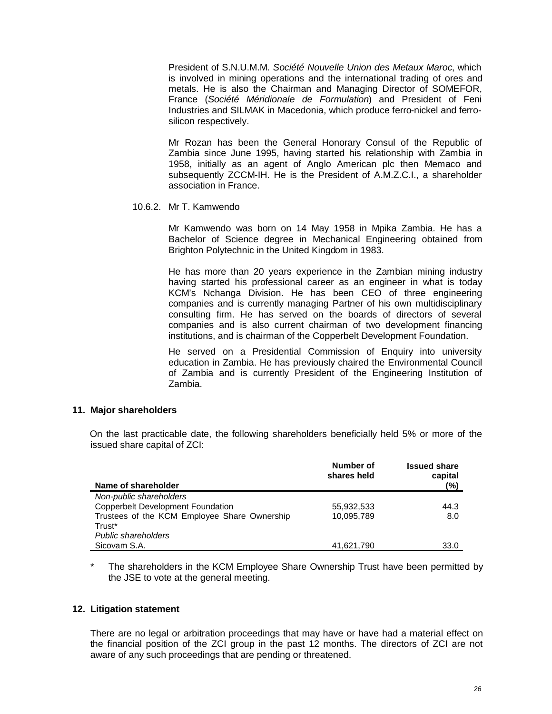President of S.N.U.M.M. *Société Nouvelle Union des Metaux Maroc*, which is involved in mining operations and the international trading of ores and metals. He is also the Chairman and Managing Director of SOMEFOR, France (*Société Méridionale de Formulation*) and President of Feni Industries and SILMAK in Macedonia, which produce ferro-nickel and ferrosilicon respectively.

Mr Rozan has been the General Honorary Consul of the Republic of Zambia since June 1995, having started his relationship with Zambia in 1958, initially as an agent of Anglo American plc then Memaco and subsequently ZCCM-IH. He is the President of A.M.Z.C.I., a shareholder association in France.

#### 10.6.2. Mr T. Kamwendo

Mr Kamwendo was born on 14 May 1958 in Mpika Zambia. He has a Bachelor of Science degree in Mechanical Engineering obtained from Brighton Polytechnic in the United Kingdom in 1983.

He has more than 20 years experience in the Zambian mining industry having started his professional career as an engineer in what is today KCM's Nchanga Division. He has been CEO of three engineering companies and is currently managing Partner of his own multidisciplinary consulting firm. He has served on the boards of directors of several companies and is also current chairman of two development financing institutions, and is chairman of the Copperbelt Development Foundation.

He served on a Presidential Commission of Enquiry into university education in Zambia. He has previously chaired the Environmental Council of Zambia and is currently President of the Engineering Institution of Zambia.

#### **11. Major shareholders**

On the last practicable date, the following shareholders beneficially held 5% or more of the issued share capital of ZCI:

|                                              | Number of<br>shares held | <b>Issued share</b><br>capital |
|----------------------------------------------|--------------------------|--------------------------------|
| Name of shareholder                          |                          | (%)                            |
| Non-public shareholders                      |                          |                                |
| <b>Copperbelt Development Foundation</b>     | 55,932,533               | 44.3                           |
| Trustees of the KCM Employee Share Ownership | 10,095,789               | 8.0                            |
| Trust*                                       |                          |                                |
| Public shareholders                          |                          |                                |
| Sicovam S.A.                                 | 41,621,790               | 33.0                           |

The shareholders in the KCM Employee Share Ownership Trust have been permitted by the JSE to vote at the general meeting.

#### **12. Litigation statement**

There are no legal or arbitration proceedings that may have or have had a material effect on the financial position of the ZCI group in the past 12 months. The directors of ZCI are not aware of any such proceedings that are pending or threatened.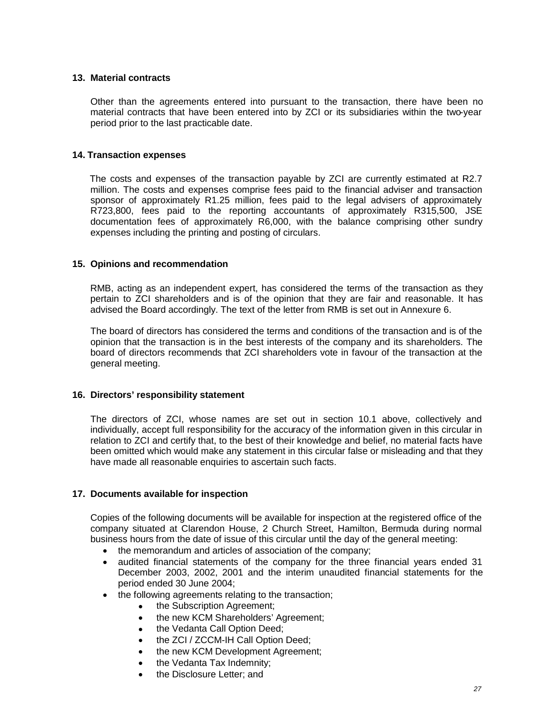#### **13. Material contracts**

Other than the agreements entered into pursuant to the transaction, there have been no material contracts that have been entered into by ZCI or its subsidiaries within the two-year period prior to the last practicable date.

#### **14. Transaction expenses**

The costs and expenses of the transaction payable by ZCI are currently estimated at R2.7 million. The costs and expenses comprise fees paid to the financial adviser and transaction sponsor of approximately R1.25 million, fees paid to the legal advisers of approximately R723,800, fees paid to the reporting accountants of approximately R315,500, JSE documentation fees of approximately R6,000, with the balance comprising other sundry expenses including the printing and posting of circulars.

#### **15. Opinions and recommendation**

RMB, acting as an independent expert, has considered the terms of the transaction as they pertain to ZCI shareholders and is of the opinion that they are fair and reasonable. It has advised the Board accordingly. The text of the letter from RMB is set out in Annexure 6.

The board of directors has considered the terms and conditions of the transaction and is of the opinion that the transaction is in the best interests of the company and its shareholders. The board of directors recommends that ZCI shareholders vote in favour of the transaction at the general meeting.

## **16. Directors' responsibility statement**

The directors of ZCI, whose names are set out in section 10.1 above, collectively and individually, accept full responsibility for the accuracy of the information given in this circular in relation to ZCI and certify that, to the best of their knowledge and belief, no material facts have been omitted which would make any statement in this circular false or misleading and that they have made all reasonable enquiries to ascertain such facts.

## **17. Documents available for inspection**

Copies of the following documents will be available for inspection at the registered office of the company situated at Clarendon House, 2 Church Street, Hamilton, Bermuda during normal business hours from the date of issue of this circular until the day of the general meeting:

- the memorandum and articles of association of the company;
- audited financial statements of the company for the three financial years ended 31 December 2003, 2002, 2001 and the interim unaudited financial statements for the period ended 30 June 2004;
- the following agreements relating to the transaction;
	- the Subscription Agreement;
	- the new KCM Shareholders' Agreement;
	- the Vedanta Call Option Deed;
	- the ZCI / ZCCM-IH Call Option Deed;
	- the new KCM Development Agreement;
	- the Vedanta Tax Indemnity;
	- the Disclosure Letter; and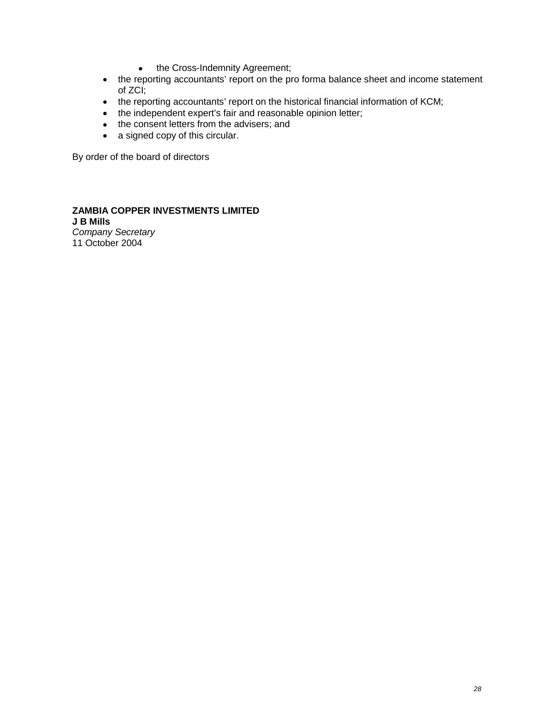- the Cross-Indemnity Agreement;
- the reporting accountants' report on the pro forma balance sheet and income statement of ZCI;
- the reporting accountants' report on the historical financial information of KCM;
- the independent expert's fair and reasonable opinion letter;
- the consent letters from the advisers; and
- a signed copy of this circular.

By order of the board of directors

#### **ZAMBIA COPPER INVESTMENTS LIMITED J B Mills**

*Company Secretary* 11 October 2004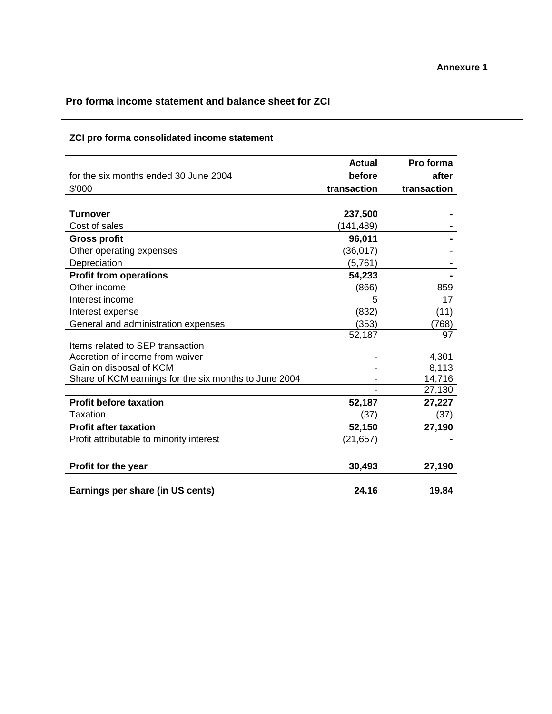# **Pro forma income statement and balance sheet for ZCI**

# **ZCI pro forma consolidated income statement**

|                                                       | <b>Actual</b> | Pro forma   |
|-------------------------------------------------------|---------------|-------------|
| for the six months ended 30 June 2004                 | before        | after       |
| \$'000                                                | transaction   | transaction |
|                                                       |               |             |
| <b>Turnover</b>                                       | 237,500       |             |
| Cost of sales                                         | (141, 489)    |             |
| <b>Gross profit</b>                                   | 96,011        |             |
| Other operating expenses                              | (36, 017)     |             |
| Depreciation                                          | (5,761)       |             |
| <b>Profit from operations</b>                         | 54,233        |             |
| Other income                                          | (866)         | 859         |
| Interest income                                       | 5             | 17          |
| Interest expense                                      | (832)         | (11)        |
| General and administration expenses                   | (353)         | (768)       |
|                                                       | 52,187        | 97          |
| Items related to SEP transaction                      |               |             |
| Accretion of income from waiver                       |               | 4,301       |
| Gain on disposal of KCM                               |               | 8,113       |
| Share of KCM earnings for the six months to June 2004 |               | 14,716      |
|                                                       |               | 27,130      |
| <b>Profit before taxation</b>                         | 52,187        | 27,227      |
| Taxation                                              | (37)          | (37)        |
| <b>Profit after taxation</b>                          | 52,150        | 27,190      |
| Profit attributable to minority interest              | (21,657)      |             |
|                                                       |               |             |
| Profit for the year                                   | 30,493        | 27,190      |
| Earnings per share (in US cents)                      | 24.16         | 19.84       |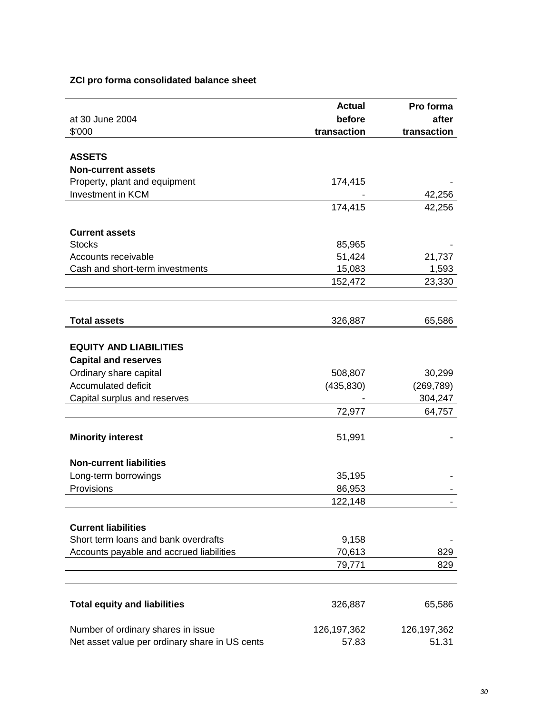## **ZCI pro forma consolidated balance sheet**

|                                                | <b>Actual</b> | Pro forma     |
|------------------------------------------------|---------------|---------------|
| at 30 June 2004                                | before        | after         |
| \$'000                                         | transaction   | transaction   |
|                                                |               |               |
| <b>ASSETS</b>                                  |               |               |
| <b>Non-current assets</b>                      |               |               |
| Property, plant and equipment                  | 174,415       |               |
| <b>Investment in KCM</b>                       |               | 42,256        |
|                                                | 174,415       | 42,256        |
|                                                |               |               |
| <b>Current assets</b>                          |               |               |
| <b>Stocks</b>                                  | 85,965        |               |
| Accounts receivable                            | 51,424        | 21,737        |
| Cash and short-term investments                | 15,083        | 1,593         |
|                                                | 152,472       | 23,330        |
|                                                |               |               |
|                                                |               |               |
| <b>Total assets</b>                            | 326,887       | 65,586        |
|                                                |               |               |
| <b>EQUITY AND LIABILITIES</b>                  |               |               |
| <b>Capital and reserves</b>                    |               |               |
| Ordinary share capital                         | 508,807       | 30,299        |
| Accumulated deficit                            | (435, 830)    | (269, 789)    |
| Capital surplus and reserves                   |               | 304,247       |
|                                                | 72,977        | 64,757        |
|                                                |               |               |
| <b>Minority interest</b>                       | 51,991        |               |
|                                                |               |               |
| <b>Non-current liabilities</b>                 |               |               |
| Long-term borrowings                           | 35,195        |               |
| Provisions                                     | 86,953        |               |
|                                                | 122,148       |               |
|                                                |               |               |
| <b>Current liabilities</b>                     |               |               |
| Short term loans and bank overdrafts           | 9,158         |               |
| Accounts payable and accrued liabilities       | 70,613        | 829           |
|                                                | 79,771        | 829           |
|                                                |               |               |
|                                                |               |               |
| <b>Total equity and liabilities</b>            | 326,887       | 65,586        |
|                                                |               |               |
| Number of ordinary shares in issue             | 126, 197, 362 | 126, 197, 362 |
| Net asset value per ordinary share in US cents | 57.83         | 51.31         |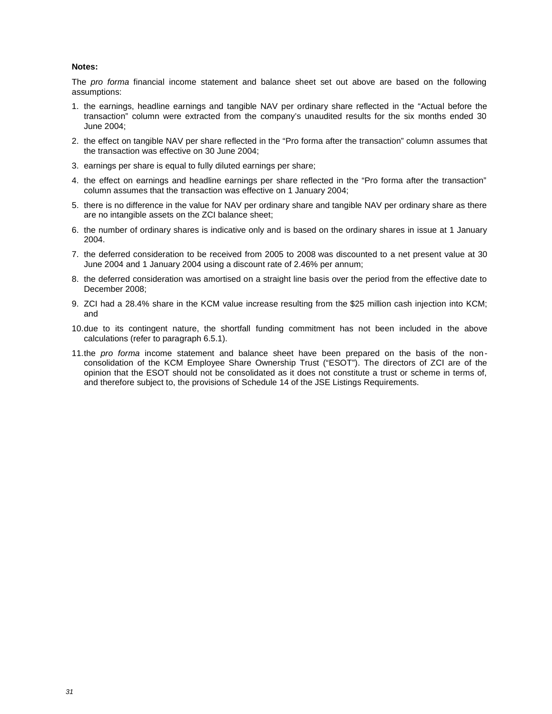#### **Notes:**

The *pro forma* financial income statement and balance sheet set out above are based on the following assumptions:

- 1. the earnings, headline earnings and tangible NAV per ordinary share reflected in the "Actual before the transaction" column were extracted from the company's unaudited results for the six months ended 30 June 2004;
- 2. the effect on tangible NAV per share reflected in the "Pro forma after the transaction" column assumes that the transaction was effective on 30 June 2004;
- 3. earnings per share is equal to fully diluted earnings per share;
- 4. the effect on earnings and headline earnings per share reflected in the "Pro forma after the transaction" column assumes that the transaction was effective on 1 January 2004;
- 5. there is no difference in the value for NAV per ordinary share and tangible NAV per ordinary share as there are no intangible assets on the ZCI balance sheet;
- 6. the number of ordinary shares is indicative only and is based on the ordinary shares in issue at 1 January 2004.
- 7. the deferred consideration to be received from 2005 to 2008 was discounted to a net present value at 30 June 2004 and 1 January 2004 using a discount rate of 2.46% per annum;
- 8. the deferred consideration was amortised on a straight line basis over the period from the effective date to December 2008;
- 9. ZCI had a 28.4% share in the KCM value increase resulting from the \$25 million cash injection into KCM; and
- 10.due to its contingent nature, the shortfall funding commitment has not been included in the above calculations (refer to paragraph 6.5.1).
- 11.the *pro forma* income statement and balance sheet have been prepared on the basis of the nonconsolidation of the KCM Employee Share Ownership Trust ("ESOT"). The directors of ZCI are of the opinion that the ESOT should not be consolidated as it does not constitute a trust or scheme in terms of, and therefore subject to, the provisions of Schedule 14 of the JSE Listings Requirements.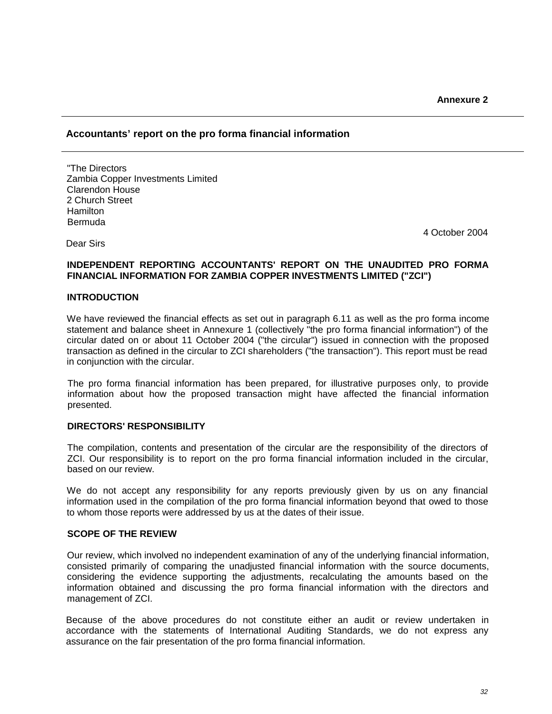## **Accountants' report on the pro forma financial information**

"The Directors Zambia Copper Investments Limited Clarendon House 2 Church Street Hamilton Bermuda

4 October 2004

#### **INDEPENDENT REPORTING ACCOUNTANTS' REPORT ON THE UNAUDITED PRO FORMA FINANCIAL INFORMATION FOR ZAMBIA COPPER INVESTMENTS LIMITED ("ZCI")**

#### **INTRODUCTION**

Dear Sirs

We have reviewed the financial effects as set out in paragraph 6.11 as well as the pro forma income statement and balance sheet in Annexure 1 (collectively "the pro forma financial information") of the circular dated on or about 11 October 2004 ("the circular") issued in connection with the proposed transaction as defined in the circular to ZCI shareholders ("the transaction"). This report must be read in conjunction with the circular.

The pro forma financial information has been prepared, for illustrative purposes only, to provide information about how the proposed transaction might have affected the financial information presented.

#### **DIRECTORS' RESPONSIBILITY**

The compilation, contents and presentation of the circular are the responsibility of the directors of ZCI. Our responsibility is to report on the pro forma financial information included in the circular, based on our review.

We do not accept any responsibility for any reports previously given by us on any financial information used in the compilation of the pro forma financial information beyond that owed to those to whom those reports were addressed by us at the dates of their issue.

#### **SCOPE OF THE REVIEW**

Our review, which involved no independent examination of any of the underlying financial information, consisted primarily of comparing the unadjusted financial information with the source documents, considering the evidence supporting the adjustments, recalculating the amounts based on the information obtained and discussing the pro forma financial information with the directors and management of ZCI.

Because of the above procedures do not constitute either an audit or review undertaken in accordance with the statements of International Auditing Standards, we do not express any assurance on the fair presentation of the pro forma financial information.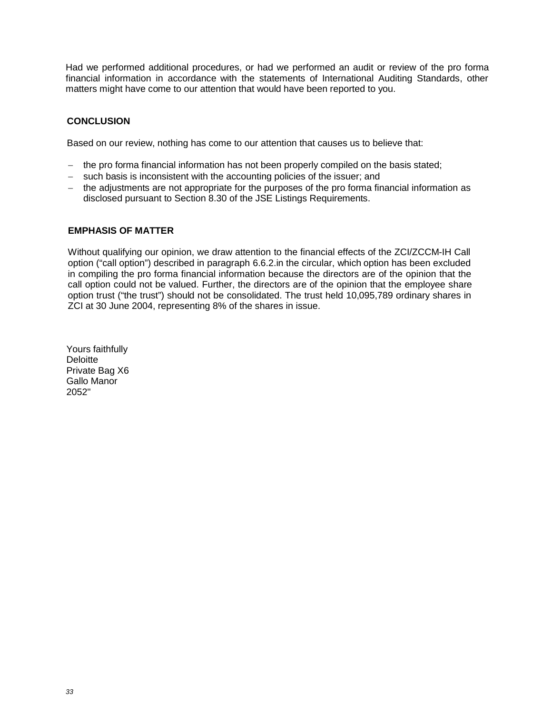Had we performed additional procedures, or had we performed an audit or review of the pro forma financial information in accordance with the statements of International Auditing Standards, other matters might have come to our attention that would have been reported to you.

## **CONCLUSION**

Based on our review, nothing has come to our attention that causes us to believe that:

- $-$  the pro forma financial information has not been properly compiled on the basis stated;
- such basis is inconsistent with the accounting policies of the issuer; and
- $-$  the adjustments are not appropriate for the purposes of the pro forma financial information as disclosed pursuant to Section 8.30 of the JSE Listings Requirements.

#### **EMPHASIS OF MATTER**

Without qualifying our opinion, we draw attention to the financial effects of the ZCI/ZCCM-IH Call option ("call option") described in paragraph 6.6.2.in the circular, which option has been excluded in compiling the pro forma financial information because the directors are of the opinion that the call option could not be valued. Further, the directors are of the opinion that the employee share option trust ("the trust") should not be consolidated. The trust held 10,095,789 ordinary shares in ZCI at 30 June 2004, representing 8% of the shares in issue.

Yours faithfully **Deloitte** Private Bag X6 Gallo Manor 2052"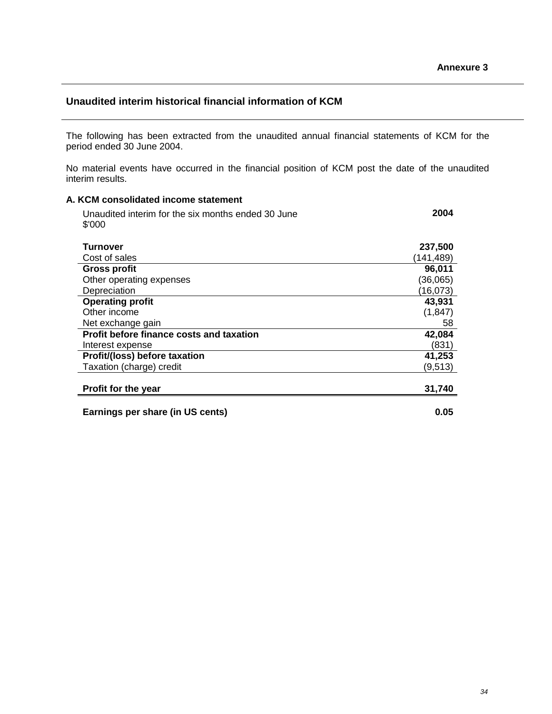# **Unaudited interim historical financial information of KCM**

The following has been extracted from the unaudited annual financial statements of KCM for the period ended 30 June 2004.

No material events have occurred in the financial position of KCM post the date of the unaudited interim results.

# **A. KCM consolidated income statement** Unaudited interim for the six months ended 30 June \$'000 **2004 Turnover 237,500** Cost of sales (141,489) **Gross profit 96,011** Other operating expenses (36,065) Depreciation (16,073) **Operating profit 43,931** Other income (1,847) Net exchange gain 58 **Profit before finance costs and taxation 42,084** Interest expense (831) **Profit/(loss) before taxation 41,253** Taxation (charge) credit (9,513) **Profit for the year 31,740 Earnings per share (in US cents) 0.05**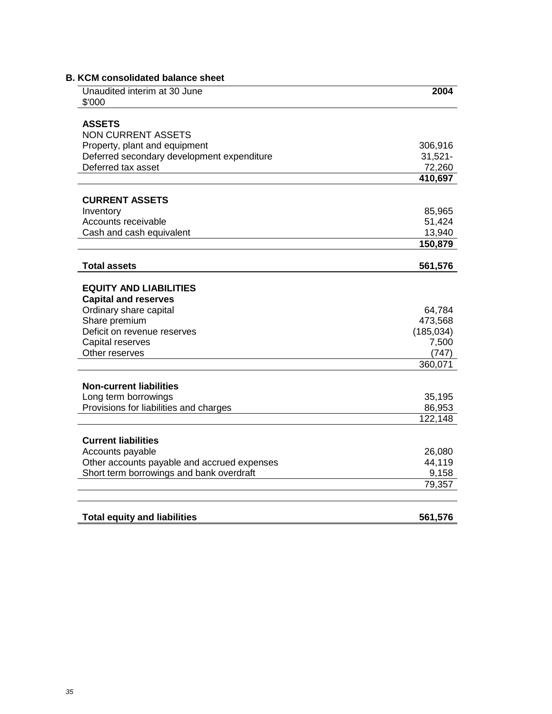| Unaudited interim at 30 June<br>\$'000                                                                                                                     | 2004                                     |
|------------------------------------------------------------------------------------------------------------------------------------------------------------|------------------------------------------|
| <b>ASSETS</b>                                                                                                                                              |                                          |
| <b>NON CURRENT ASSETS</b>                                                                                                                                  |                                          |
| Property, plant and equipment                                                                                                                              | 306,916                                  |
| Deferred secondary development expenditure                                                                                                                 | $31,521 -$                               |
| Deferred tax asset                                                                                                                                         | 72,260                                   |
|                                                                                                                                                            | 410,697                                  |
| <b>CURRENT ASSETS</b>                                                                                                                                      |                                          |
| Inventory                                                                                                                                                  | 85,965                                   |
| Accounts receivable                                                                                                                                        | 51,424                                   |
| Cash and cash equivalent                                                                                                                                   | 13,940                                   |
|                                                                                                                                                            | 150,879                                  |
| <b>Total assets</b>                                                                                                                                        | 561,576                                  |
| <b>EQUITY AND LIABILITIES</b><br><b>Capital and reserves</b><br>Ordinary share capital<br>Share premium<br>Deficit on revenue reserves<br>Capital reserves | 64,784<br>473,568<br>(185, 034)<br>7,500 |
| Other reserves                                                                                                                                             | (747)<br>360,071                         |
|                                                                                                                                                            |                                          |
| <b>Non-current liabilities</b>                                                                                                                             |                                          |
| Long term borrowings                                                                                                                                       | 35,195                                   |
| Provisions for liabilities and charges                                                                                                                     | 86,953<br>122,148                        |
|                                                                                                                                                            |                                          |
| <b>Current liabilities</b>                                                                                                                                 |                                          |
| Accounts payable                                                                                                                                           | 26,080                                   |
| Other accounts payable and accrued expenses                                                                                                                | 44,119                                   |
| Short term borrowings and bank overdraft                                                                                                                   | 9,158                                    |
|                                                                                                                                                            | 79,357                                   |
|                                                                                                                                                            |                                          |
| <b>Total equity and liabilities</b>                                                                                                                        | 561,576                                  |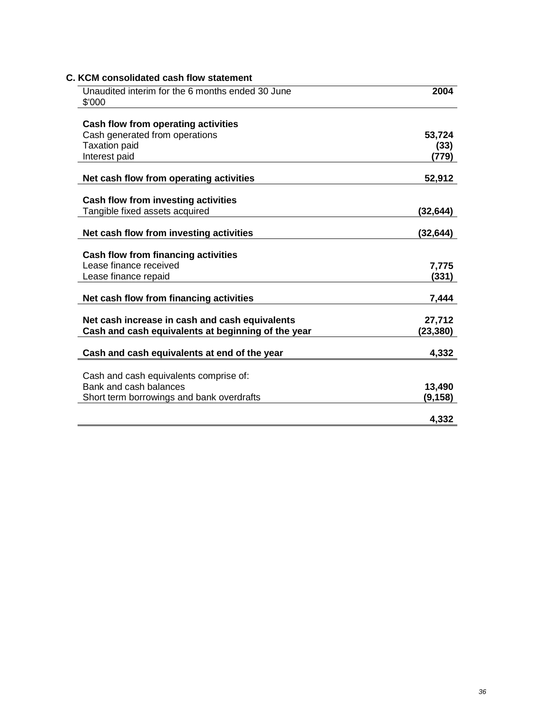| Unaudited interim for the 6 months ended 30 June<br>\$'000 | 2004      |
|------------------------------------------------------------|-----------|
|                                                            |           |
| Cash flow from operating activities                        |           |
| Cash generated from operations                             | 53,724    |
| <b>Taxation paid</b>                                       | (33)      |
| Interest paid                                              | (779)     |
| Net cash flow from operating activities                    | 52,912    |
|                                                            |           |
| Cash flow from investing activities                        |           |
| Tangible fixed assets acquired                             | (32,644)  |
| Net cash flow from investing activities                    | (32,644)  |
|                                                            |           |
| Cash flow from financing activities                        |           |
| Lease finance received                                     | 7,775     |
| Lease finance repaid                                       | (331)     |
| Net cash flow from financing activities                    | 7,444     |
|                                                            |           |
| Net cash increase in cash and cash equivalents             | 27,712    |
| Cash and cash equivalents at beginning of the year         | (23, 380) |
| Cash and cash equivalents at end of the year               | 4,332     |
|                                                            |           |
| Cash and cash equivalents comprise of:                     |           |
| Bank and cash balances                                     | 13,490    |
| Short term borrowings and bank overdrafts                  | (9, 158)  |
|                                                            |           |
|                                                            | 4,332     |

# **C. KCM consolidated cash flow statement**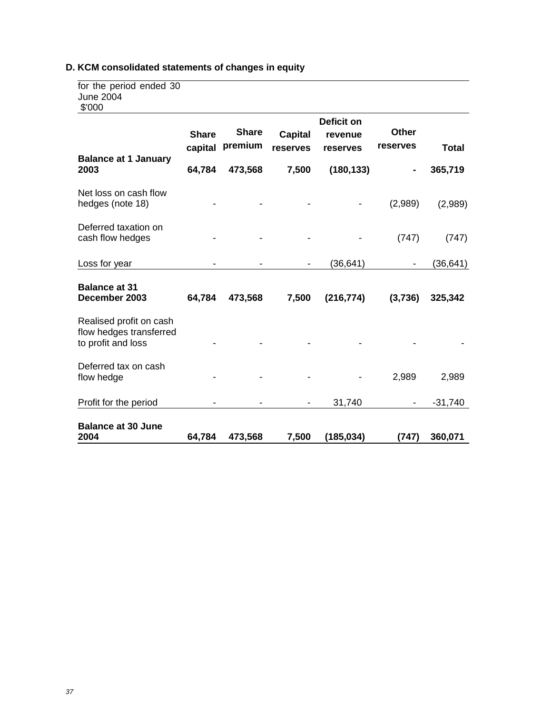# **D. KCM consolidated statements of changes in equity**

| for the period ended 30 |  |
|-------------------------|--|
| June 2004               |  |
| \$'000                  |  |

| <b>DOO</b>                                                               |                         |                         |                            |                                          |                          |              |
|--------------------------------------------------------------------------|-------------------------|-------------------------|----------------------------|------------------------------------------|--------------------------|--------------|
| <b>Balance at 1 January</b>                                              | <b>Share</b><br>capital | <b>Share</b><br>premium | <b>Capital</b><br>reserves | <b>Deficit on</b><br>revenue<br>reserves | <b>Other</b><br>reserves | <b>Total</b> |
| 2003                                                                     | 64,784                  | 473,568                 | 7,500                      | (180, 133)                               | ۰                        | 365,719      |
| Net loss on cash flow<br>hedges (note 18)                                |                         |                         |                            |                                          | (2,989)                  | (2,989)      |
| Deferred taxation on<br>cash flow hedges                                 |                         |                         |                            |                                          | (747)                    | (747)        |
| Loss for year                                                            |                         |                         |                            | (36,641)                                 |                          | (36,641)     |
| <b>Balance at 31</b><br>December 2003                                    | 64,784                  | 473,568                 | 7,500                      | (216, 774)                               | (3,736)                  | 325,342      |
| Realised profit on cash<br>flow hedges transferred<br>to profit and loss |                         |                         |                            |                                          |                          |              |
| Deferred tax on cash<br>flow hedge                                       |                         |                         |                            |                                          | 2,989                    | 2,989        |
| Profit for the period                                                    |                         |                         |                            | 31,740                                   |                          | $-31,740$    |
| <b>Balance at 30 June</b><br>2004                                        | 64,784                  | 473,568                 | 7,500                      | (185, 034)                               | (747)                    | 360,071      |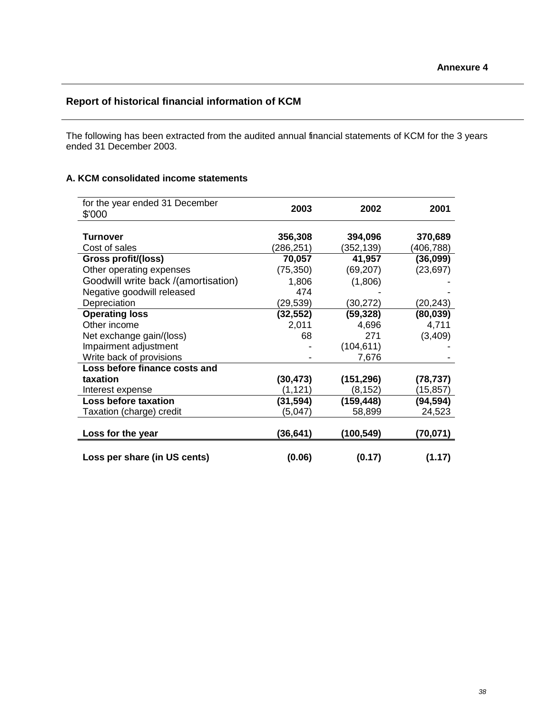# **Report of historical financial information of KCM**

The following has been extracted from the audited annual financial statements of KCM for the 3 years ended 31 December 2003.

# **A. KCM consolidated income statements**

| for the year ended 31 December<br>\$'000 | 2003      | 2002       | 2001       |
|------------------------------------------|-----------|------------|------------|
|                                          |           |            |            |
| <b>Turnover</b>                          | 356,308   | 394,096    | 370,689    |
| Cost of sales                            | (286,251) | (352, 139) | (406, 788) |
| Gross profit/(loss)                      | 70,057    | 41,957     | (36,099)   |
| Other operating expenses                 | (75, 350) | (69, 207)  | (23, 697)  |
| Goodwill write back /(amortisation)      | 1,806     | (1,806)    |            |
| Negative goodwill released               | 474       |            |            |
| Depreciation                             | (29,539)  | (30,272)   | (20,243)   |
| <b>Operating loss</b>                    | (32,552)  | (59, 328)  | (80, 039)  |
| Other income                             | 2,011     | 4,696      | 4,711      |
| Net exchange gain/(loss)                 | 68        | 271        | (3,409)    |
| Impairment adjustment                    |           | (104, 611) |            |
| Write back of provisions                 |           | 7,676      |            |
| Loss before finance costs and            |           |            |            |
| taxation                                 | (30, 473) | (151, 296) | (78, 737)  |
| Interest expense                         | (1, 121)  | (8, 152)   | (15,857)   |
| <b>Loss before taxation</b>              | (31, 594) | (159, 448) | (94, 594)  |
| Taxation (charge) credit                 | (5,047)   | 58,899     | 24,523     |
|                                          |           |            |            |
| Loss for the year                        | (36, 641) | (100, 549) | (70,071)   |
|                                          |           |            |            |
| Loss per share (in US cents)             | (0.06)    | (0.17)     | (1.17)     |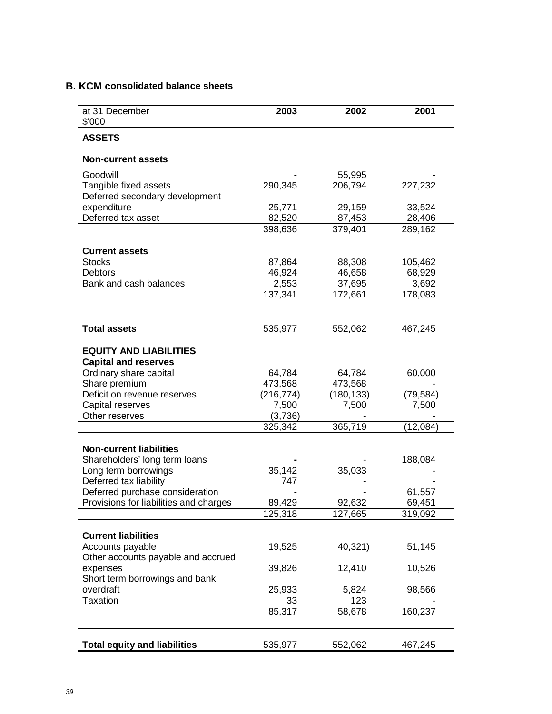# **B. KCM consolidated balance sheets**

| at 31 December<br>\$'000               | 2003       | 2002       | 2001      |
|----------------------------------------|------------|------------|-----------|
| <b>ASSETS</b>                          |            |            |           |
| <b>Non-current assets</b>              |            |            |           |
| Goodwill                               |            | 55,995     |           |
| Tangible fixed assets                  | 290,345    | 206,794    | 227,232   |
| Deferred secondary development         |            |            |           |
| expenditure                            | 25,771     | 29,159     | 33,524    |
| Deferred tax asset                     | 82,520     | 87,453     | 28,406    |
|                                        | 398,636    | 379,401    | 289,162   |
|                                        |            |            |           |
| <b>Current assets</b><br><b>Stocks</b> | 87,864     | 88,308     | 105,462   |
| <b>Debtors</b>                         | 46,924     | 46,658     | 68,929    |
| Bank and cash balances                 | 2,553      | 37,695     | 3,692     |
|                                        | 137,341    | 172,661    | 178,083   |
|                                        |            |            |           |
|                                        |            |            |           |
| <b>Total assets</b>                    | 535,977    | 552,062    | 467,245   |
|                                        |            |            |           |
| <b>EQUITY AND LIABILITIES</b>          |            |            |           |
| <b>Capital and reserves</b>            |            |            |           |
| Ordinary share capital                 | 64,784     | 64,784     | 60,000    |
| Share premium                          | 473,568    | 473,568    |           |
| Deficit on revenue reserves            | (216, 774) | (180, 133) | (79, 584) |
| Capital reserves                       | 7,500      | 7,500      | 7,500     |
| Other reserves                         | (3,736)    |            |           |
|                                        | 325,342    | 365,719    | (12,084)  |
| <b>Non-current liabilities</b>         |            |            |           |
| Shareholders' long term loans          |            |            | 188,084   |
| Long term borrowings                   | 35,142     | 35,033     |           |
| Deferred tax liability                 | 747        |            |           |
| Deferred purchase consideration        |            |            | 61,557    |
| Provisions for liabilities and charges | 89,429     | 92,632     | 69,451    |
|                                        | 125,318    | 127,665    | 319,092   |
|                                        |            |            |           |
| <b>Current liabilities</b>             |            |            |           |
| Accounts payable                       | 19,525     | 40,321)    | 51,145    |
| Other accounts payable and accrued     |            |            |           |
| expenses                               | 39,826     | 12,410     | 10,526    |
| Short term borrowings and bank         |            |            |           |
| overdraft                              | 25,933     | 5,824      | 98,566    |
| <b>Taxation</b>                        | 33         | 123        |           |
|                                        | 85,317     | 58,678     | 160,237   |
|                                        |            |            |           |
| <b>Total equity and liabilities</b>    | 535,977    | 552,062    | 467,245   |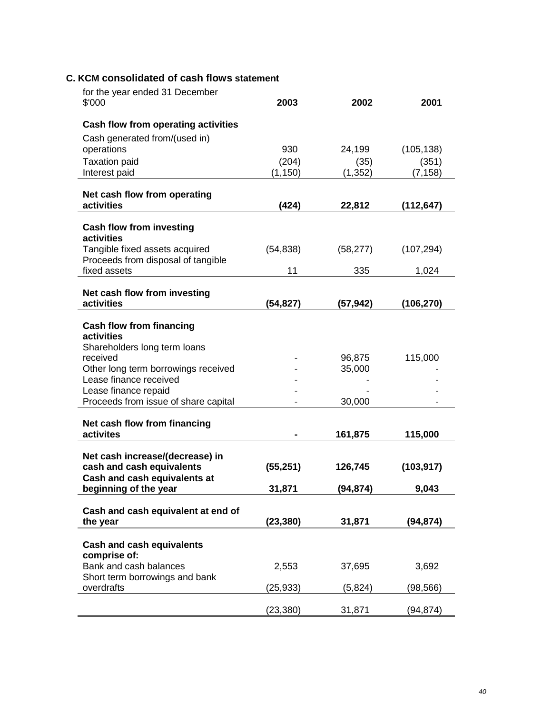# **C. KCM consolidated of cash flows statement**

| for the year ended 31 December<br>\$'000                             | 2003      | 2002      | 2001       |
|----------------------------------------------------------------------|-----------|-----------|------------|
| Cash flow from operating activities                                  |           |           |            |
| Cash generated from/(used in)                                        |           |           |            |
| operations                                                           | 930       | 24,199    | (105, 138) |
| <b>Taxation paid</b>                                                 | (204)     | (35)      | (351)      |
| Interest paid                                                        | (1, 150)  | (1, 352)  | (7, 158)   |
| Net cash flow from operating                                         |           |           |            |
| activities                                                           | (424)     | 22,812    | (112, 647) |
| <b>Cash flow from investing</b><br>activities                        |           |           |            |
| Tangible fixed assets acquired<br>Proceeds from disposal of tangible | (54, 838) | (58, 277) | (107, 294) |
| fixed assets                                                         | 11        | 335       | 1,024      |
| Net cash flow from investing                                         |           |           |            |
| activities                                                           | (54, 827) | (57,942)  | (106, 270) |
| <b>Cash flow from financing</b><br>activities                        |           |           |            |
| Shareholders long term loans<br>received                             |           | 96,875    | 115,000    |
| Other long term borrowings received                                  |           | 35,000    |            |
| Lease finance received                                               |           |           |            |
| Lease finance repaid<br>Proceeds from issue of share capital         |           | 30,000    |            |
|                                                                      |           |           |            |
| Net cash flow from financing                                         |           |           |            |
| activites                                                            |           | 161,875   | 115,000    |
| Net cash increase/(decrease) in                                      |           |           |            |
| cash and cash equivalents                                            | (55, 251) | 126,745   | (103, 917) |
| Cash and cash equivalents at<br>beginning of the year                | 31,871    | (94, 874) | 9,043      |
|                                                                      |           |           |            |
| Cash and cash equivalent at end of<br>the year                       | (23,380)  | 31,871    | (94,874)   |
|                                                                      |           |           |            |
| <b>Cash and cash equivalents</b><br>comprise of:                     |           |           |            |
| Bank and cash balances<br>Short term borrowings and bank             | 2,553     | 37,695    | 3,692      |
| overdrafts                                                           | (25,933)  | (5, 824)  | (98,566)   |
|                                                                      | (23,380)  | 31,871    | (94, 874)  |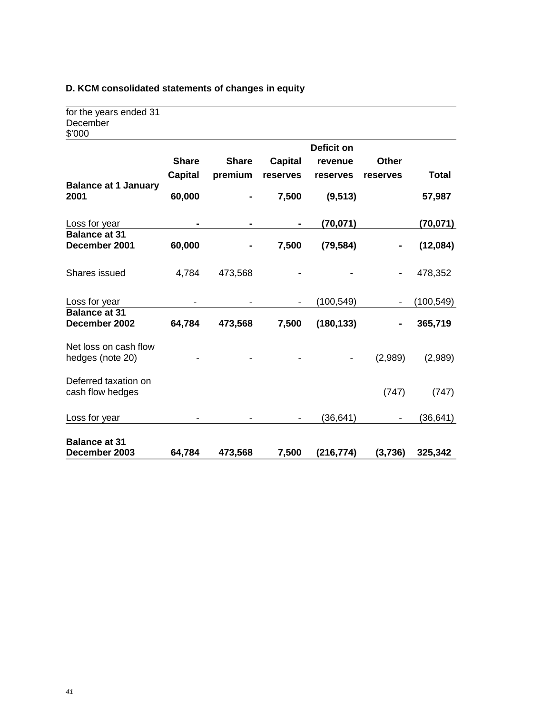# **D. KCM consolidated statements of changes in equity**

| <b>Balance at 31</b><br>December 2003        | 64,784                         | 473,568                 | 7,500                      | (216, 774)          | (3,736)                  | 325,342      |
|----------------------------------------------|--------------------------------|-------------------------|----------------------------|---------------------|--------------------------|--------------|
| Loss for year                                |                                |                         |                            | (36, 641)           |                          | (36,641)     |
| Deferred taxation on<br>cash flow hedges     |                                |                         |                            |                     | (747)                    | (747)        |
| Net loss on cash flow<br>hedges (note 20)    |                                |                         |                            |                     | (2,989)                  | (2,989)      |
| <b>Balance at 31</b><br>December 2002        | 64,784                         | 473,568                 | 7,500                      | (180, 133)          |                          | 365,719      |
| Loss for year                                |                                |                         |                            | (100, 549)          |                          | (100, 549)   |
| Shares issued                                | 4,784                          | 473,568                 |                            |                     |                          | 478,352      |
| <b>Balance at 31</b><br>December 2001        | 60,000                         |                         | 7,500                      | (79, 584)           |                          | (12,084)     |
| Loss for year                                |                                |                         |                            | (70, 071)           |                          | (70, 071)    |
| <b>Balance at 1 January</b><br>2001          | 60,000                         |                         | 7,500                      | (9, 513)            |                          | 57,987       |
|                                              | <b>Share</b><br><b>Capital</b> | <b>Share</b><br>premium | <b>Capital</b><br>reserves | revenue<br>reserves | <b>Other</b><br>reserves | <b>Total</b> |
|                                              |                                |                         |                            | <b>Deficit on</b>   |                          |              |
| for the years ended 31<br>December<br>\$'000 |                                |                         |                            |                     |                          |              |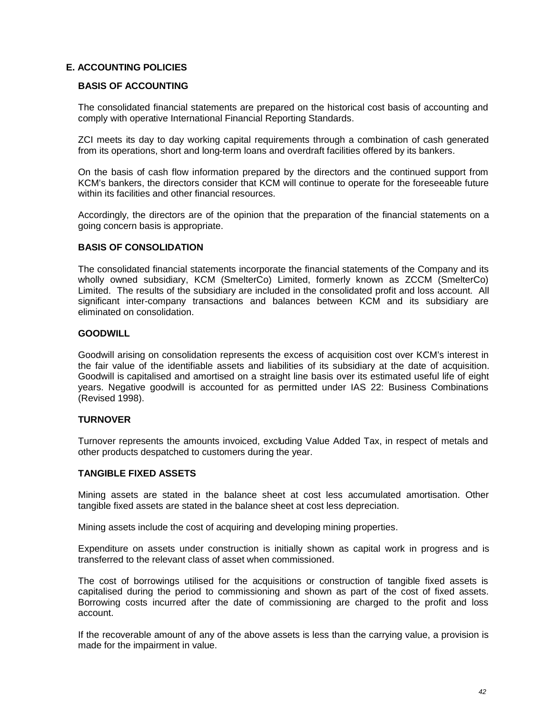# **E. ACCOUNTING POLICIES**

## **BASIS OF ACCOUNTING**

The consolidated financial statements are prepared on the historical cost basis of accounting and comply with operative International Financial Reporting Standards.

ZCI meets its day to day working capital requirements through a combination of cash generated from its operations, short and long-term loans and overdraft facilities offered by its bankers.

On the basis of cash flow information prepared by the directors and the continued support from KCM's bankers, the directors consider that KCM will continue to operate for the foreseeable future within its facilities and other financial resources.

Accordingly, the directors are of the opinion that the preparation of the financial statements on a going concern basis is appropriate.

## **BASIS OF CONSOLIDATION**

The consolidated financial statements incorporate the financial statements of the Company and its wholly owned subsidiary, KCM (SmelterCo) Limited, formerly known as ZCCM (SmelterCo) Limited. The results of the subsidiary are included in the consolidated profit and loss account. All significant inter-company transactions and balances between KCM and its subsidiary are eliminated on consolidation.

### **GOODWILL**

Goodwill arising on consolidation represents the excess of acquisition cost over KCM's interest in the fair value of the identifiable assets and liabilities of its subsidiary at the date of acquisition. Goodwill is capitalised and amortised on a straight line basis over its estimated useful life of eight years. Negative goodwill is accounted for as permitted under IAS 22: Business Combinations (Revised 1998).

### **TURNOVER**

Turnover represents the amounts invoiced, excluding Value Added Tax, in respect of metals and other products despatched to customers during the year.

### **TANGIBLE FIXED ASSETS**

Mining assets are stated in the balance sheet at cost less accumulated amortisation. Other tangible fixed assets are stated in the balance sheet at cost less depreciation.

Mining assets include the cost of acquiring and developing mining properties.

Expenditure on assets under construction is initially shown as capital work in progress and is transferred to the relevant class of asset when commissioned.

The cost of borrowings utilised for the acquisitions or construction of tangible fixed assets is capitalised during the period to commissioning and shown as part of the cost of fixed assets. Borrowing costs incurred after the date of commissioning are charged to the profit and loss account.

If the recoverable amount of any of the above assets is less than the carrying value, a provision is made for the impairment in value.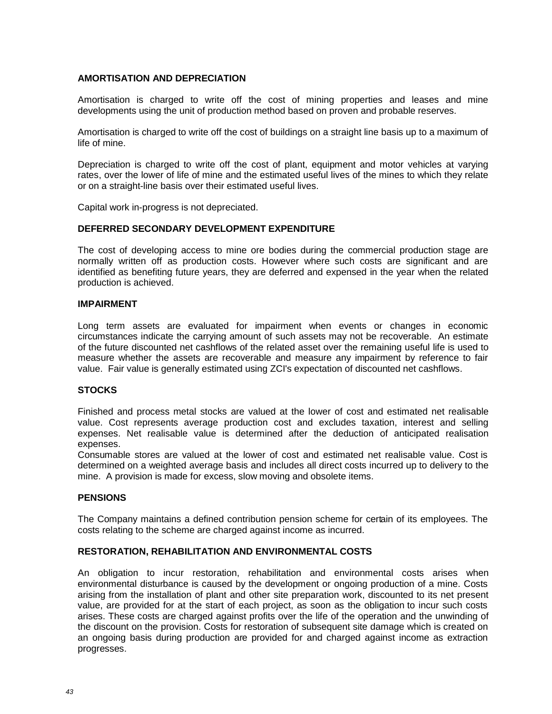## **AMORTISATION AND DEPRECIATION**

Amortisation is charged to write off the cost of mining properties and leases and mine developments using the unit of production method based on proven and probable reserves.

Amortisation is charged to write off the cost of buildings on a straight line basis up to a maximum of life of mine.

Depreciation is charged to write off the cost of plant, equipment and motor vehicles at varying rates, over the lower of life of mine and the estimated useful lives of the mines to which they relate or on a straight-line basis over their estimated useful lives.

Capital work in-progress is not depreciated.

### **DEFERRED SECONDARY DEVELOPMENT EXPENDITURE**

The cost of developing access to mine ore bodies during the commercial production stage are normally written off as production costs. However where such costs are significant and are identified as benefiting future years, they are deferred and expensed in the year when the related production is achieved.

### **IMPAIRMENT**

Long term assets are evaluated for impairment when events or changes in economic circumstances indicate the carrying amount of such assets may not be recoverable. An estimate of the future discounted net cashflows of the related asset over the remaining useful life is used to measure whether the assets are recoverable and measure any impairment by reference to fair value. Fair value is generally estimated using ZCI's expectation of discounted net cashflows.

### **STOCKS**

Finished and process metal stocks are valued at the lower of cost and estimated net realisable value. Cost represents average production cost and excludes taxation, interest and selling expenses. Net realisable value is determined after the deduction of anticipated realisation expenses.

Consumable stores are valued at the lower of cost and estimated net realisable value. Cost is determined on a weighted average basis and includes all direct costs incurred up to delivery to the mine. A provision is made for excess, slow moving and obsolete items.

### **PENSIONS**

The Company maintains a defined contribution pension scheme for certain of its employees. The costs relating to the scheme are charged against income as incurred.

### **RESTORATION, REHABILITATION AND ENVIRONMENTAL COSTS**

An obligation to incur restoration, rehabilitation and environmental costs arises when environmental disturbance is caused by the development or ongoing production of a mine. Costs arising from the installation of plant and other site preparation work, discounted to its net present value, are provided for at the start of each project, as soon as the obligation to incur such costs arises. These costs are charged against profits over the life of the operation and the unwinding of the discount on the provision. Costs for restoration of subsequent site damage which is created on an ongoing basis during production are provided for and charged against income as extraction progresses.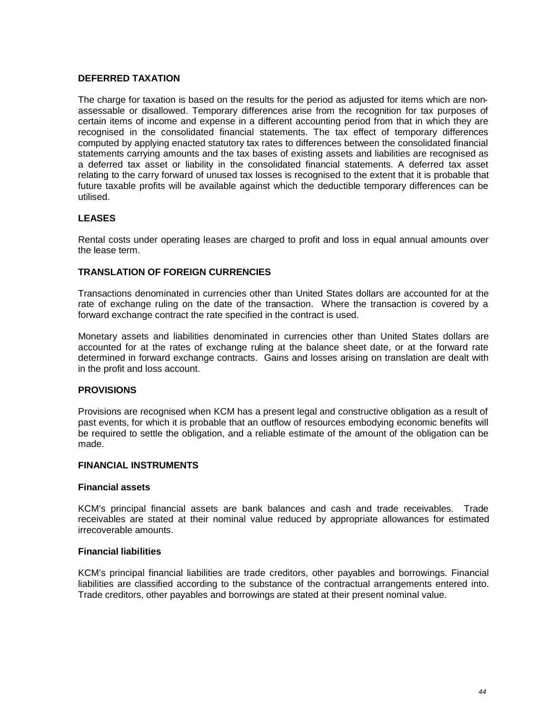## **DEFERRED TAXATION**

The charge for taxation is based on the results for the period as adjusted for items which are nonassessable or disallowed. Temporary differences arise from the recognition for tax purposes of certain items of income and expense in a different accounting period from that in which they are recognised in the consolidated financial statements. The tax effect of temporary differences computed by applying enacted statutory tax rates to differences between the consolidated financial statements carrying amounts and the tax bases of existing assets and liabilities are recognised as a deferred tax asset or liability in the consolidated financial statements. A deferred tax asset relating to the carry forward of unused tax losses is recognised to the extent that it is probable that future taxable profits will be available against which the deductible temporary differences can be utilised.

# **LEASES**

Rental costs under operating leases are charged to profit and loss in equal annual amounts over the lease term.

### **TRANSLATION OF FOREIGN CURRENCIES**

Transactions denominated in currencies other than United States dollars are accounted for at the rate of exchange ruling on the date of the transaction. Where the transaction is covered by a forward exchange contract the rate specified in the contract is used.

Monetary assets and liabilities denominated in currencies other than United States dollars are accounted for at the rates of exchange ruling at the balance sheet date, or at the forward rate determined in forward exchange contracts. Gains and losses arising on translation are dealt with in the profit and loss account.

### **PROVISIONS**

Provisions are recognised when KCM has a present legal and constructive obligation as a result of past events, for which it is probable that an outflow of resources embodying economic benefits will be required to settle the obligation, and a reliable estimate of the amount of the obligation can be made.

### **FINANCIAL INSTRUMENTS**

#### **Financial assets**

KCM's principal financial assets are bank balances and cash and trade receivables. Trade receivables are stated at their nominal value reduced by appropriate allowances for estimated irrecoverable amounts.

## **Financial liabilities**

KCM's principal financial liabilities are trade creditors, other payables and borrowings. Financial liabilities are classified according to the substance of the contractual arrangements entered into. Trade creditors, other payables and borrowings are stated at their present nominal value.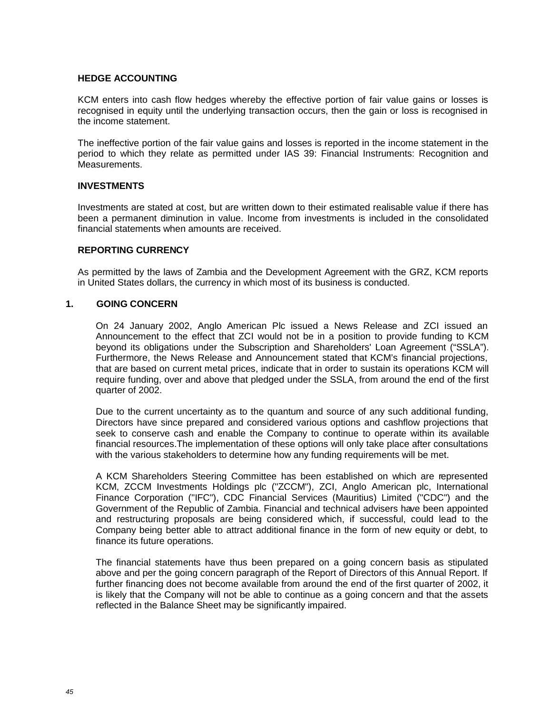### **HEDGE ACCOUNTING**

KCM enters into cash flow hedges whereby the effective portion of fair value gains or losses is recognised in equity until the underlying transaction occurs, then the gain or loss is recognised in the income statement.

The ineffective portion of the fair value gains and losses is reported in the income statement in the period to which they relate as permitted under IAS 39: Financial Instruments: Recognition and Measurements.

## **INVESTMENTS**

Investments are stated at cost, but are written down to their estimated realisable value if there has been a permanent diminution in value. Income from investments is included in the consolidated financial statements when amounts are received.

## **REPORTING CURRENCY**

As permitted by the laws of Zambia and the Development Agreement with the GRZ, KCM reports in United States dollars, the currency in which most of its business is conducted.

## **1. GOING CONCERN**

On 24 January 2002, Anglo American Plc issued a News Release and ZCI issued an Announcement to the effect that ZCI would not be in a position to provide funding to KCM beyond its obligations under the Subscription and Shareholders' Loan Agreement ("SSLA"). Furthermore, the News Release and Announcement stated that KCM's financial projections, that are based on current metal prices, indicate that in order to sustain its operations KCM will require funding, over and above that pledged under the SSLA, from around the end of the first quarter of 2002.

Due to the current uncertainty as to the quantum and source of any such additional funding, Directors have since prepared and considered various options and cashflow projections that seek to conserve cash and enable the Company to continue to operate within its available financial resources.The implementation of these options will only take place after consultations with the various stakeholders to determine how any funding requirements will be met.

A KCM Shareholders Steering Committee has been established on which are represented KCM, ZCCM Investments Holdings plc ("ZCCM"), ZCI, Anglo American plc, International Finance Corporation ("IFC"), CDC Financial Services (Mauritius) Limited ("CDC") and the Government of the Republic of Zambia. Financial and technical advisers have been appointed and restructuring proposals are being considered which, if successful, could lead to the Company being better able to attract additional finance in the form of new equity or debt, to finance its future operations.

The financial statements have thus been prepared on a going concern basis as stipulated above and per the going concern paragraph of the Report of Directors of this Annual Report. If further financing does not become available from around the end of the first quarter of 2002, it is likely that the Company will not be able to continue as a going concern and that the assets reflected in the Balance Sheet may be significantly impaired.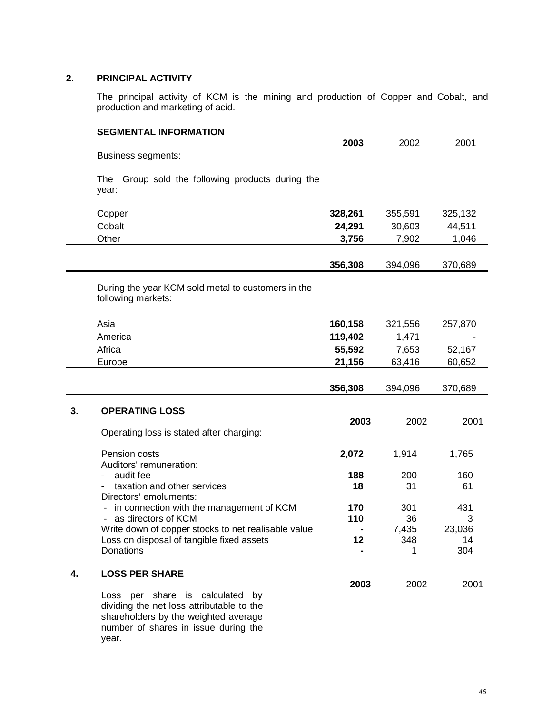# **2. PRINCIPAL ACTIVITY**

The principal activity of KCM is the mining and production of Copper and Cobalt, and production and marketing of acid.

|    | <b>SEGMENTAL INFORMATION</b>                                                                                            | 2003       | 2002      | 2001     |
|----|-------------------------------------------------------------------------------------------------------------------------|------------|-----------|----------|
|    | <b>Business segments:</b>                                                                                               |            |           |          |
|    | The<br>Group sold the following products during the<br>year:                                                            |            |           |          |
|    | Copper                                                                                                                  | 328,261    | 355,591   | 325,132  |
|    | Cobalt                                                                                                                  | 24,291     | 30,603    | 44,511   |
|    | Other                                                                                                                   | 3,756      | 7,902     | 1,046    |
|    |                                                                                                                         | 356,308    | 394,096   | 370,689  |
|    | During the year KCM sold metal to customers in the<br>following markets:                                                |            |           |          |
|    | Asia                                                                                                                    | 160,158    | 321,556   | 257,870  |
|    | America                                                                                                                 | 119,402    | 1,471     |          |
|    | Africa                                                                                                                  | 55,592     | 7,653     | 52,167   |
|    | Europe                                                                                                                  | 21,156     | 63,416    | 60,652   |
|    |                                                                                                                         | 356,308    | 394,096   | 370,689  |
| 3. | <b>OPERATING LOSS</b>                                                                                                   | 2003       | 2002      | 2001     |
|    | Operating loss is stated after charging:                                                                                |            |           |          |
|    | Pension costs<br>Auditors' remuneration:                                                                                | 2,072      | 1,914     | 1,765    |
|    | audit fee                                                                                                               | 188        | 200       | 160      |
|    | taxation and other services                                                                                             | 18         | 31        | 61       |
|    | Directors' emoluments:<br>in connection with the management of KCM<br>as directors of KCM                               | 170<br>110 | 301<br>36 | 431<br>3 |
|    | Write down of copper stocks to net realisable value                                                                     |            | 7,435     | 23,036   |
|    | Loss on disposal of tangible fixed assets                                                                               | 12         | 348       | 14       |
|    | <b>Donations</b>                                                                                                        |            |           | 304      |
| 4. | <b>LOSS PER SHARE</b>                                                                                                   | 2003       | 2002      | 2001     |
|    | Loss per share is calculated<br>by<br>dividing the net loss attributable to the<br>shareholders by the weighted average |            |           |          |

number of shares in issue during the year.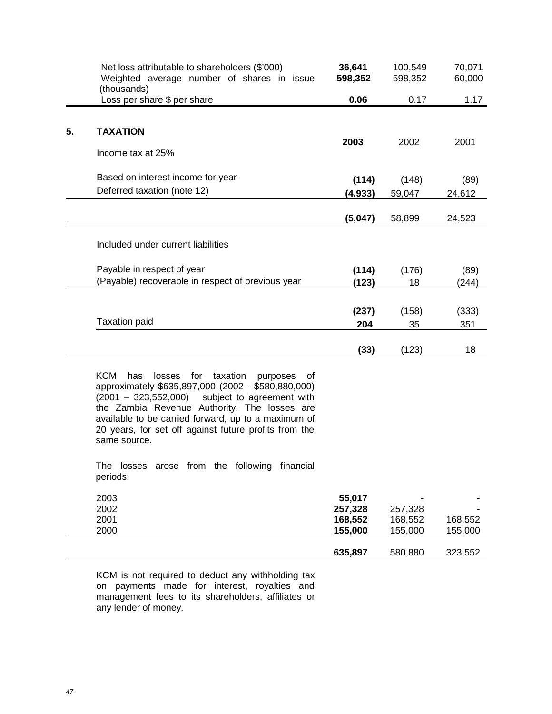|    | Net loss attributable to shareholders (\$'000)<br>Weighted average number of shares in issue<br>(thousands) | 36,641<br>598,352 | 100,549<br>598,352 | 70,071<br>60,000 |
|----|-------------------------------------------------------------------------------------------------------------|-------------------|--------------------|------------------|
|    | Loss per share \$ per share                                                                                 | 0.06              | 0.17               | 1.17             |
|    |                                                                                                             |                   |                    |                  |
| 5. | <b>TAXATION</b>                                                                                             |                   |                    |                  |
|    | Income tax at 25%                                                                                           | 2003              | 2002               | 2001             |
|    | Based on interest income for year                                                                           | (114)             | (148)              | (89)             |
|    | Deferred taxation (note 12)                                                                                 | (4,933)           | 59,047             | 24,612           |
|    |                                                                                                             | (5,047)           | 58,899             | 24,523           |
|    | Included under current liabilities                                                                          |                   |                    |                  |
|    | Payable in respect of year                                                                                  | (114)             | (176)              | (89)             |
|    | (Payable) recoverable in respect of previous year                                                           | (123)             | 18                 | (244)            |
|    |                                                                                                             |                   |                    |                  |
|    |                                                                                                             | (237)             | (158)              | (333)            |
|    | <b>Taxation paid</b>                                                                                        | 204               | 35                 | 351              |
|    |                                                                                                             | (33)              | (123)              | 18               |
|    |                                                                                                             |                   |                    |                  |

KCM has losses for taxation purposes of approximately \$635,897,000 (2002 - \$580,880,000) (2001 – 323,552,000) subject to agreement with the Zambia Revenue Authority. The losses are available to be carried forward, up to a maximum of 20 years, for set off against future profits from the same source.

The losses arose from the following financial periods:

| 2003 | 55,017  | $\overline{\phantom{0}}$ |         |
|------|---------|--------------------------|---------|
| 2002 | 257,328 | 257,328                  |         |
| 2001 | 168,552 | 168,552                  | 168,552 |
| 2000 | 155,000 | 155.000                  | 155,000 |
|      |         |                          |         |
|      | 635,897 | 580,880                  | 323,552 |

KCM is not required to deduct any withholding tax on payments made for interest, royalties and management fees to its shareholders, affiliates or any lender of money.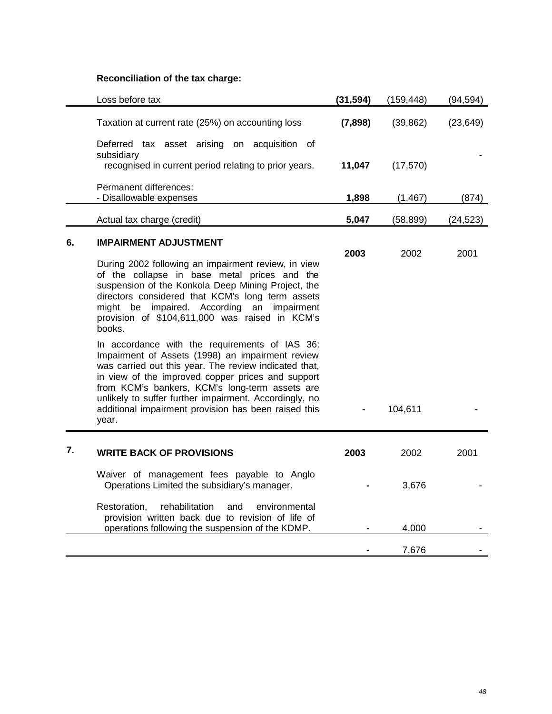# **Reconciliation of the tax charge:**

|    | Loss before tax                                                                                                                                                                                                                                                                                                                                                                               | (31, 594) | (159, 448) | (94, 594) |
|----|-----------------------------------------------------------------------------------------------------------------------------------------------------------------------------------------------------------------------------------------------------------------------------------------------------------------------------------------------------------------------------------------------|-----------|------------|-----------|
|    | Taxation at current rate (25%) on accounting loss                                                                                                                                                                                                                                                                                                                                             | (7,898)   | (39, 862)  | (23, 649) |
|    | Deferred tax asset arising on acquisition of<br>subsidiary<br>recognised in current period relating to prior years.                                                                                                                                                                                                                                                                           | 11,047    | (17, 570)  |           |
|    | Permanent differences:<br>- Disallowable expenses                                                                                                                                                                                                                                                                                                                                             | 1,898     | (1, 467)   | (874)     |
|    | Actual tax charge (credit)                                                                                                                                                                                                                                                                                                                                                                    | 5,047     | (58, 899)  | (24, 523) |
| 6. | <b>IMPAIRMENT ADJUSTMENT</b><br>During 2002 following an impairment review, in view<br>of the collapse in base metal prices and the<br>suspension of the Konkola Deep Mining Project, the<br>directors considered that KCM's long term assets<br>might be impaired. According an impairment<br>provision of \$104,611,000 was raised in KCM's<br>books.                                       | 2003      | 2002       | 2001      |
|    | In accordance with the requirements of IAS 36:<br>Impairment of Assets (1998) an impairment review<br>was carried out this year. The review indicated that,<br>in view of the improved copper prices and support<br>from KCM's bankers, KCM's long-term assets are<br>unlikely to suffer further impairment. Accordingly, no<br>additional impairment provision has been raised this<br>year. |           | 104,611    |           |
| 7. | <b>WRITE BACK OF PROVISIONS</b>                                                                                                                                                                                                                                                                                                                                                               | 2003      | 2002       | 2001      |
|    | Waiver of management fees payable to Anglo<br>Operations Limited the subsidiary's manager.                                                                                                                                                                                                                                                                                                    |           | 3,676      |           |
|    | rehabilitation<br>Restoration.<br>environmental<br>and<br>provision written back due to revision of life of<br>operations following the suspension of the KDMP.                                                                                                                                                                                                                               |           | 4,000      |           |
|    |                                                                                                                                                                                                                                                                                                                                                                                               |           | 7,676      |           |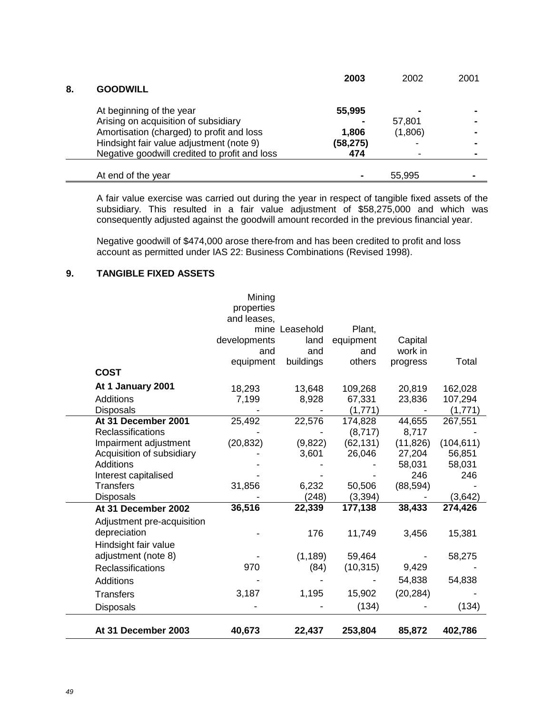| 8. | <b>GOODWILL</b>                               | 2003      | 2002    | 2001 |
|----|-----------------------------------------------|-----------|---------|------|
|    |                                               |           |         |      |
|    | At beginning of the year                      | 55,995    |         |      |
|    | Arising on acquisition of subsidiary          |           | 57,801  |      |
|    | Amortisation (charged) to profit and loss     | 1,806     | (1,806) |      |
|    | Hindsight fair value adjustment (note 9)      | (58, 275) | -       |      |
|    | Negative goodwill credited to profit and loss | 474       |         |      |
|    |                                               |           |         |      |
|    | At end of the year                            |           | 55,995  |      |
|    |                                               |           |         |      |

A fair value exercise was carried out during the year in respect of tangible fixed assets of the subsidiary. This resulted in a fair value adjustment of \$58,275,000 and which was consequently adjusted against the goodwill amount recorded in the previous financial year.

Negative goodwill of \$474,000 arose there-from and has been credited to profit and loss account as permitted under IAS 22: Business Combinations (Revised 1998).

# **9. TANGIBLE FIXED ASSETS**

|                            | Mining<br>properties |                |           |           |            |
|----------------------------|----------------------|----------------|-----------|-----------|------------|
|                            | and leases,          |                |           |           |            |
|                            |                      | mine Leasehold | Plant,    |           |            |
|                            | developments         | land           | equipment | Capital   |            |
|                            | and                  | and            | and       | work in   |            |
|                            | equipment            | buildings      | others    | progress  | Total      |
| <b>COST</b>                |                      |                |           |           |            |
| At 1 January 2001          | 18,293               | 13,648         | 109,268   | 20,819    | 162,028    |
| <b>Additions</b>           | 7,199                | 8,928          | 67,331    | 23,836    | 107,294    |
| <b>Disposals</b>           |                      |                | (1,771)   |           | (1,771)    |
| At 31 December 2001        | 25,492               | 22,576         | 174,828   | 44,655    | 267,551    |
| Reclassifications          |                      |                | (8,717)   | 8,717     |            |
| Impairment adjustment      | (20, 832)            | (9,822)        | (62, 131) | (11, 826) | (104, 611) |
| Acquisition of subsidiary  |                      | 3,601          | 26,046    | 27,204    | 56,851     |
| Additions                  |                      |                |           | 58,031    | 58,031     |
| Interest capitalised       |                      |                |           | 246       | 246        |
| <b>Transfers</b>           | 31,856               | 6,232          | 50,506    | (88, 594) |            |
| <b>Disposals</b>           |                      | (248)          | (3, 394)  |           | (3,642)    |
| At 31 December 2002        | 36,516               | 22,339         | 177,138   | 38,433    | 274,426    |
| Adjustment pre-acquisition |                      |                |           |           |            |
| depreciation               |                      | 176            | 11,749    | 3,456     | 15,381     |
| Hindsight fair value       |                      |                |           |           |            |
| adjustment (note 8)        |                      | (1, 189)       | 59,464    |           | 58,275     |
| Reclassifications          | 970                  | (84)           | (10, 315) | 9,429     |            |
| <b>Additions</b>           |                      |                |           | 54,838    | 54,838     |
| <b>Transfers</b>           | 3,187                | 1,195          | 15,902    | (20, 284) |            |
| <b>Disposals</b>           |                      |                | (134)     |           | (134)      |
| At 31 December 2003        | 40,673               | 22,437         | 253,804   | 85,872    | 402,786    |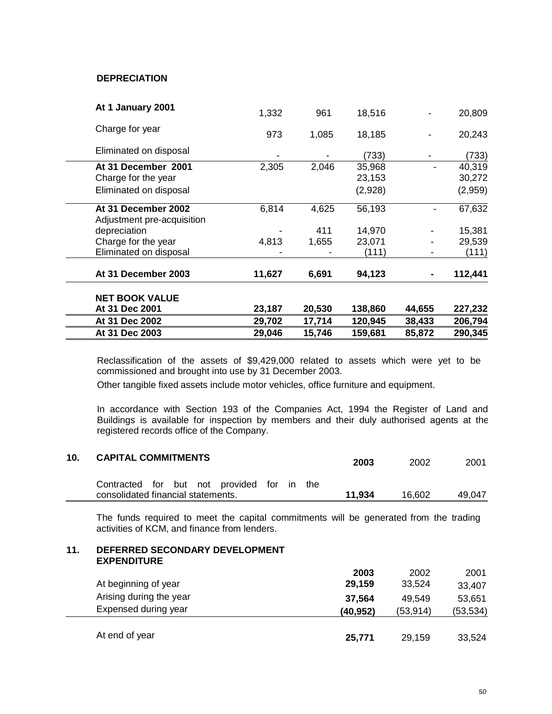# **DEPRECIATION**

| At 1 January 2001                                 | 1,332  | 961    | 18,516  |        | 20,809  |
|---------------------------------------------------|--------|--------|---------|--------|---------|
| Charge for year                                   | 973    | 1,085  | 18,185  |        | 20,243  |
| Eliminated on disposal                            |        |        | (733)   |        | (733)   |
| At 31 December 2001                               | 2,305  | 2,046  | 35,968  |        | 40,319  |
| Charge for the year                               |        |        | 23,153  |        | 30,272  |
| Eliminated on disposal                            |        |        | (2,928) |        | (2,959) |
| At 31 December 2002<br>Adjustment pre-acquisition | 6,814  | 4,625  | 56,193  |        | 67,632  |
| depreciation                                      |        | 411    | 14,970  |        | 15,381  |
| Charge for the year                               | 4,813  | 1,655  | 23,071  |        | 29,539  |
| Eliminated on disposal                            |        |        | (111)   |        | (111)   |
| At 31 December 2003                               | 11,627 | 6,691  | 94,123  | ٠      | 112,441 |
| <b>NET BOOK VALUE</b>                             |        |        |         |        |         |
| At 31 Dec 2001                                    | 23,187 | 20,530 | 138,860 | 44,655 | 227,232 |
| At 31 Dec 2002                                    | 29,702 | 17,714 | 120,945 | 38,433 | 206,794 |
| At 31 Dec 2003                                    | 29,046 | 15,746 | 159,681 | 85,872 | 290,345 |
|                                                   |        |        |         |        |         |

Reclassification of the assets of \$9,429,000 related to assets which were yet to be commissioned and brought into use by 31 December 2003.

Other tangible fixed assets include motor vehicles, office furniture and equipment.

In accordance with Section 193 of the Companies Act, 1994 the Register of Land and Buildings is available for inspection by members and their duly authorised agents at the registered records office of the Company.

| 10. | <b>CAPITAL COMMITMENTS</b>                                                       |  |  |  | 2003   | 2002   | 2001   |
|-----|----------------------------------------------------------------------------------|--|--|--|--------|--------|--------|
|     | Contracted for but not provided for in the<br>consolidated financial statements. |  |  |  | 11.934 | 16.602 | 49.047 |

The funds required to meet the capital commitments will be generated from the trading activities of KCM, and finance from lenders.

### **11. DEFERRED SECONDARY DEVELOPMENT EXPENDITURE**

|                         | 2003      | 2002      | 2001      |
|-------------------------|-----------|-----------|-----------|
| At beginning of year    | 29,159    | 33,524    | 33,407    |
| Arising during the year | 37,564    | 49.549    | 53,651    |
| Expensed during year    | (40, 952) | (53, 914) | (53, 534) |
| At end of year          | 25,771    | 29,159    | 33,524    |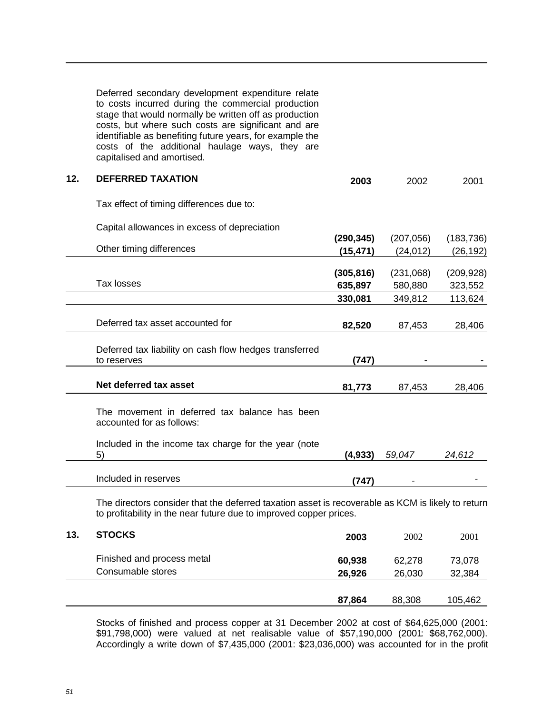|     | Deferred secondary development expenditure relate<br>to costs incurred during the commercial production<br>stage that would normally be written off as production<br>costs, but where such costs are significant and are<br>identifiable as benefiting future years, for example the<br>costs of the additional haulage ways, they are<br>capitalised and amortised. |            |            |            |
|-----|----------------------------------------------------------------------------------------------------------------------------------------------------------------------------------------------------------------------------------------------------------------------------------------------------------------------------------------------------------------------|------------|------------|------------|
| 12. | <b>DEFERRED TAXATION</b>                                                                                                                                                                                                                                                                                                                                             | 2003       | 2002       | 2001       |
|     | Tax effect of timing differences due to:                                                                                                                                                                                                                                                                                                                             |            |            |            |
|     | Capital allowances in excess of depreciation                                                                                                                                                                                                                                                                                                                         |            |            |            |
|     |                                                                                                                                                                                                                                                                                                                                                                      | (290, 345) | (207, 056) | (183, 736) |
|     | Other timing differences                                                                                                                                                                                                                                                                                                                                             | (15, 471)  | (24, 012)  | (26, 192)  |
|     |                                                                                                                                                                                                                                                                                                                                                                      | (305, 816) | (231,068)  | (209, 928) |
|     | Tax losses                                                                                                                                                                                                                                                                                                                                                           | 635,897    | 580,880    | 323,552    |
|     |                                                                                                                                                                                                                                                                                                                                                                      | 330,081    | 349,812    | 113,624    |
|     |                                                                                                                                                                                                                                                                                                                                                                      |            |            |            |
|     | Deferred tax asset accounted for                                                                                                                                                                                                                                                                                                                                     | 82,520     | 87,453     | 28,406     |
|     | Deferred tax liability on cash flow hedges transferred<br>to reserves                                                                                                                                                                                                                                                                                                | (747)      |            |            |
|     | Net deferred tax asset                                                                                                                                                                                                                                                                                                                                               | 81,773     | 87,453     | 28,406     |
|     | The movement in deferred tax balance has been<br>accounted for as follows:                                                                                                                                                                                                                                                                                           |            |            |            |
|     | Included in the income tax charge for the year (note<br>5)                                                                                                                                                                                                                                                                                                           | (4, 933)   | 59,047     | 24,612     |
|     | Included in reserves                                                                                                                                                                                                                                                                                                                                                 | (747)      |            |            |
|     | The directors consider that the deferred taxation asset is recoverable as KCM is likely to return<br>to profitability in the near future due to improved copper prices.                                                                                                                                                                                              |            |            |            |
| 13. | <b>STOCKS</b>                                                                                                                                                                                                                                                                                                                                                        | 2003       | 2002       | 2001       |
|     | Finished and process metal                                                                                                                                                                                                                                                                                                                                           | 60,938     | 62,278     | 73,078     |
|     | Consumable stores                                                                                                                                                                                                                                                                                                                                                    | 26,926     | 26,030     | 32,384     |
|     |                                                                                                                                                                                                                                                                                                                                                                      |            |            |            |
|     |                                                                                                                                                                                                                                                                                                                                                                      | 87,864     | 88,308     | 105,462    |

Stocks of finished and process copper at 31 December 2002 at cost of \$64,625,000 (2001: \$91,798,000) were valued at net realisable value of \$57,190,000 (2001: \$68,762,000). Accordingly a write down of \$7,435,000 (2001: \$23,036,000) was accounted for in the profit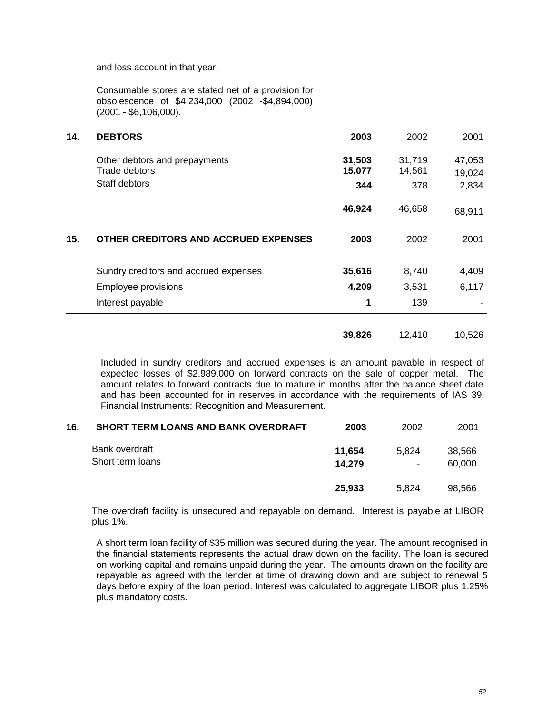and loss account in that year.

Consumable stores are stated net of a provision for obsolescence of \$4,234,000 (2002 -\$4,894,000) (2001 - \$6,106,000).

| 14. | <b>DEBTORS</b>                                 | 2003             | 2002             | 2001             |
|-----|------------------------------------------------|------------------|------------------|------------------|
|     | Other debtors and prepayments<br>Trade debtors | 31,503<br>15,077 | 31,719<br>14,561 | 47,053<br>19,024 |
|     | Staff debtors                                  | 344              | 378              | 2,834            |
|     |                                                | 46,924           | 46,658           | 68,911           |
| 15. | OTHER CREDITORS AND ACCRUED EXPENSES           | 2003             | 2002             | 2001             |
|     | Sundry creditors and accrued expenses          | 35,616           | 8,740            | 4,409            |
|     | Employee provisions                            | 4,209            | 3,531            | 6,117            |
|     | Interest payable                               | 1                | 139              |                  |
|     |                                                | 39,826           | 12,410           | 10,526           |

Included in sundry creditors and accrued expenses is an amount payable in respect of expected losses of \$2,989,000 on forward contracts on the sale of copper metal. The amount relates to forward contracts due to mature in months after the balance sheet date and has been accounted for in reserves in accordance with the requirements of IAS 39: Financial Instruments: Recognition and Measurement.

| 16. | <b>SHORT TERM LOANS AND BANK OVERDRAFT</b> | 2003   | 2002           | 2001   |
|-----|--------------------------------------------|--------|----------------|--------|
|     | Bank overdraft                             | 11.654 | 5.824          | 38,566 |
|     | Short term loans                           | 14.279 | $\blacksquare$ | 60,000 |
|     |                                            | 25,933 | 5.824          | 98,566 |

The overdraft facility is unsecured and repayable on demand. Interest is payable at LIBOR plus 1%.

A short term loan facility of \$35 million was secured during the year. The amount recognised in the financial statements represents the actual draw down on the facility. The loan is secured on working capital and remains unpaid during the year. The amounts drawn on the facility are repayable as agreed with the lender at time of drawing down and are subject to renewal 5 days before expiry of the loan period. Interest was calculated to aggregate LIBOR plus 1.25% plus mandatory costs.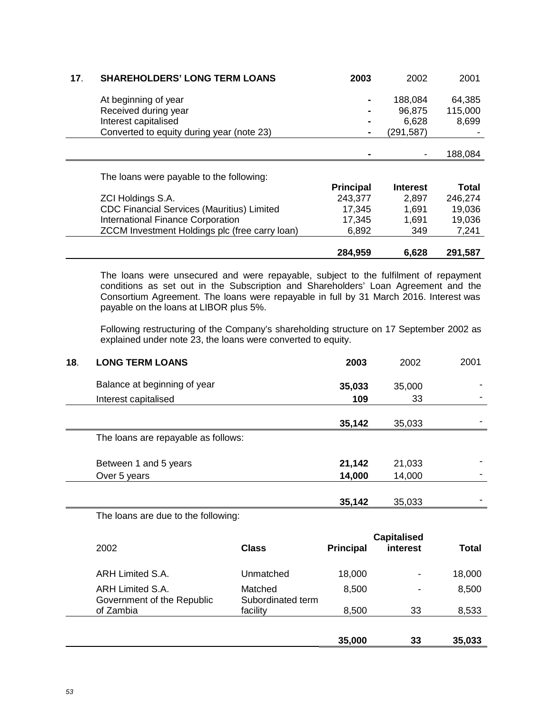| 17. | <b>SHAREHOLDERS' LONG TERM LOANS</b>              | 2003             | 2002            | 2001    |
|-----|---------------------------------------------------|------------------|-----------------|---------|
|     | At beginning of year                              |                  | 188,084         | 64,385  |
|     | Received during year                              |                  | 96,875          | 115,000 |
|     | Interest capitalised                              |                  | 6,628           | 8,699   |
|     | Converted to equity during year (note 23)         | ۰                | (291,587)       |         |
|     |                                                   |                  |                 |         |
|     |                                                   |                  |                 | 188,084 |
|     |                                                   |                  |                 |         |
|     | The loans were payable to the following:          |                  |                 |         |
|     |                                                   | <b>Principal</b> | <b>Interest</b> | Total   |
|     | ZCI Holdings S.A.                                 | 243,377          | 2,897           | 246,274 |
|     | <b>CDC Financial Services (Mauritius) Limited</b> | 17,345           | 1,691           | 19,036  |
|     | <b>International Finance Corporation</b>          | 17,345           | 1,691           | 19,036  |
|     | ZCCM Investment Holdings plc (free carry loan)    | 6,892            | 349             | 7,241   |
|     |                                                   |                  |                 |         |
|     |                                                   | 284,959          | 6,628           | 291,587 |

The loans were unsecured and were repayable, subject to the fulfilment of repayment conditions as set out in the Subscription and Shareholders' Loan Agreement and the Consortium Agreement. The loans were repayable in full by 31 March 2016. Interest was payable on the loans at LIBOR plus 5%.

Following restructuring of the Company's shareholding structure on 17 September 2002 as explained under note 23, the loans were converted to equity.

| 18. | <b>LONG TERM LOANS</b>                                                                                          | 2003   | 2002   | 2001 |
|-----|-----------------------------------------------------------------------------------------------------------------|--------|--------|------|
|     | Balance at beginning of year                                                                                    | 35,033 | 35,000 |      |
|     | Interest capitalised                                                                                            | 109    | 33     |      |
|     |                                                                                                                 | 35,142 | 35,033 |      |
|     | The loans are repayable as follows:                                                                             |        |        |      |
|     | Between 1 and 5 years                                                                                           | 21,142 | 21,033 |      |
|     | Over 5 years                                                                                                    | 14,000 | 14,000 |      |
|     |                                                                                                                 | 35,142 | 35,033 |      |
|     | the contract of the contract of the contract of the contract of the contract of the contract of the contract of |        |        |      |

The loans are due to the following:

|                                                |                              |                  | <b>Capitalised</b> |        |
|------------------------------------------------|------------------------------|------------------|--------------------|--------|
| 2002                                           | <b>Class</b>                 | <b>Principal</b> | interest           | Total  |
| ARH Limited S.A.                               | Unmatched                    | 18,000           | $\blacksquare$     | 18,000 |
| ARH Limited S.A.<br>Government of the Republic | Matched<br>Subordinated term | 8,500            | $\blacksquare$     | 8,500  |
| of Zambia                                      | facility                     | 8,500            | 33                 | 8,533  |
|                                                |                              |                  |                    |        |
|                                                |                              | 35,000           | 33                 | 35,033 |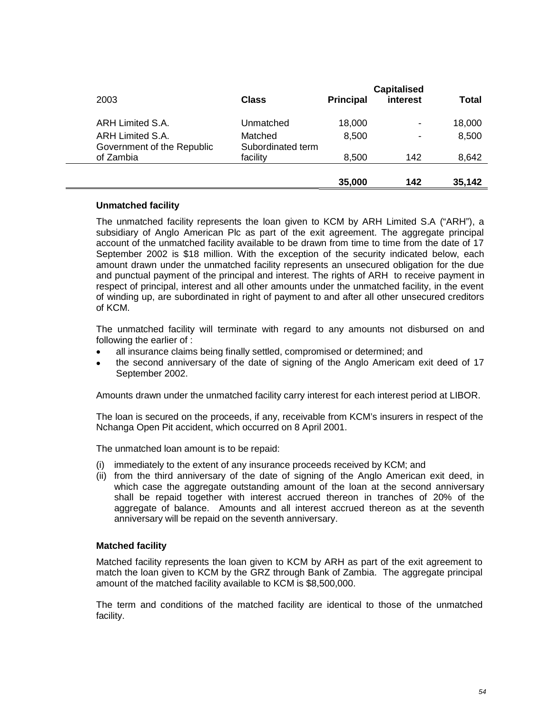|                                                |                              |                  | <b>Capitalised</b> |        |
|------------------------------------------------|------------------------------|------------------|--------------------|--------|
| 2003                                           | <b>Class</b>                 | <b>Principal</b> | interest           | Total  |
| ARH Limited S.A.                               | Unmatched                    | 18,000           | $\blacksquare$     | 18,000 |
| ARH Limited S.A.<br>Government of the Republic | Matched<br>Subordinated term | 8,500            | $\blacksquare$     | 8,500  |
| of Zambia                                      | facility                     | 8,500            | 142                | 8,642  |
|                                                |                              | 35,000           | 142                | 35,142 |

# **Unmatched facility**

The unmatched facility represents the loan given to KCM by ARH Limited S.A ("ARH"), a subsidiary of Anglo American Plc as part of the exit agreement. The aggregate principal account of the unmatched facility available to be drawn from time to time from the date of 17 September 2002 is \$18 million. With the exception of the security indicated below, each amount drawn under the unmatched facility represents an unsecured obligation for the due and punctual payment of the principal and interest. The rights of ARH to receive payment in respect of principal, interest and all other amounts under the unmatched facility, in the event of winding up, are subordinated in right of payment to and after all other unsecured creditors of KCM.

The unmatched facility will terminate with regard to any amounts not disbursed on and following the earlier of :

- all insurance claims being finally settled, compromised or determined; and
- the second anniversary of the date of signing of the Anglo Americam exit deed of 17 September 2002.

Amounts drawn under the unmatched facility carry interest for each interest period at LIBOR.

The loan is secured on the proceeds, if any, receivable from KCM's insurers in respect of the Nchanga Open Pit accident, which occurred on 8 April 2001.

The unmatched loan amount is to be repaid:

- (i) immediately to the extent of any insurance proceeds received by KCM; and
- (ii) from the third anniversary of the date of signing of the Anglo American exit deed, in which case the aggregate outstanding amount of the loan at the second anniversary shall be repaid together with interest accrued thereon in tranches of 20% of the aggregate of balance. Amounts and all interest accrued thereon as at the seventh anniversary will be repaid on the seventh anniversary.

### **Matched facility**

Matched facility represents the loan given to KCM by ARH as part of the exit agreement to match the loan given to KCM by the GRZ through Bank of Zambia. The aggregate principal amount of the matched facility available to KCM is \$8,500,000.

The term and conditions of the matched facility are identical to those of the unmatched facility.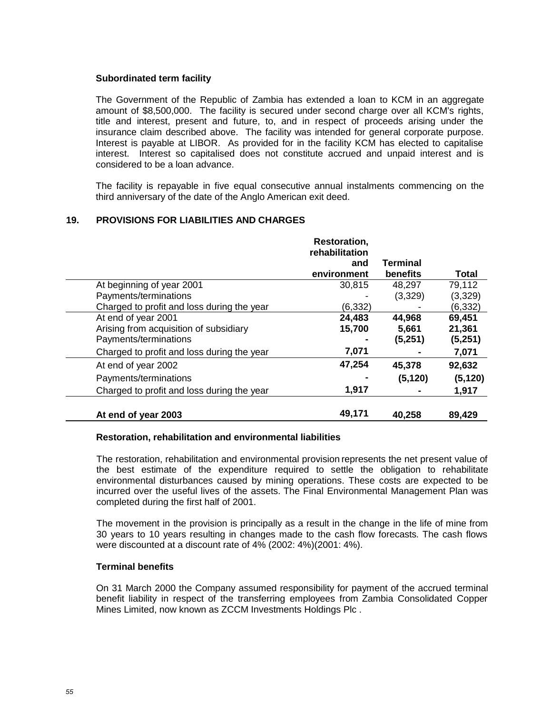## **Subordinated term facility**

The Government of the Republic of Zambia has extended a loan to KCM in an aggregate amount of \$8,500,000. The facility is secured under second charge over all KCM's rights, title and interest, present and future, to, and in respect of proceeds arising under the insurance claim described above. The facility was intended for general corporate purpose. Interest is payable at LIBOR. As provided for in the facility KCM has elected to capitalise interest. Interest so capitalised does not constitute accrued and unpaid interest and is considered to be a loan advance.

The facility is repayable in five equal consecutive annual instalments commencing on the third anniversary of the date of the Anglo American exit deed.

# **19. PROVISIONS FOR LIABILITIES AND CHARGES**

|                                            | <b>Restoration,</b><br>rehabilitation |                 |          |
|--------------------------------------------|---------------------------------------|-----------------|----------|
|                                            | and                                   | <b>Terminal</b> |          |
|                                            | environment                           | benefits        | Total    |
| At beginning of year 2001                  | 30,815                                | 48,297          | 79,112   |
| Payments/terminations                      |                                       | (3,329)         | (3,329)  |
| Charged to profit and loss during the year | (6, 332)                              |                 | (6, 332) |
| At end of year 2001                        | 24,483                                | 44,968          | 69,451   |
| Arising from acquisition of subsidiary     | 15,700                                | 5,661           | 21,361   |
| Payments/terminations                      |                                       | (5,251)         | (5,251)  |
| Charged to profit and loss during the year | 7,071                                 |                 | 7,071    |
| At end of year 2002                        | 47,254                                | 45,378          | 92,632   |
| Payments/terminations                      |                                       | (5, 120)        | (5, 120) |
| Charged to profit and loss during the year | 1,917                                 |                 | 1,917    |
| At end of year 2003                        | 49,171                                | 40,258          | 89,429   |

### **Restoration, rehabilitation and environmental liabilities**

The restoration, rehabilitation and environmental provision represents the net present value of the best estimate of the expenditure required to settle the obligation to rehabilitate environmental disturbances caused by mining operations. These costs are expected to be incurred over the useful lives of the assets. The Final Environmental Management Plan was completed during the first half of 2001.

The movement in the provision is principally as a result in the change in the life of mine from 30 years to 10 years resulting in changes made to the cash flow forecasts. The cash flows were discounted at a discount rate of 4% (2002: 4%)(2001: 4%).

### **Terminal benefits**

On 31 March 2000 the Company assumed responsibility for payment of the accrued terminal benefit liability in respect of the transferring employees from Zambia Consolidated Copper Mines Limited, now known as ZCCM Investments Holdings Plc .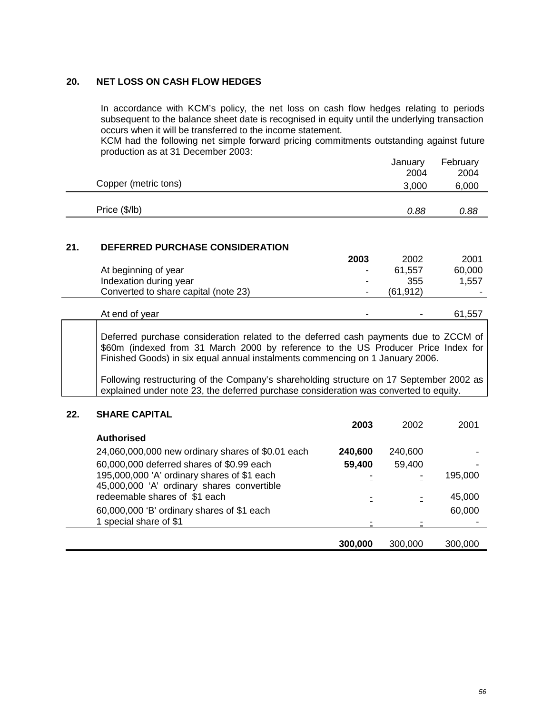# **20. NET LOSS ON CASH FLOW HEDGES**

In accordance with KCM's policy, the net loss on cash flow hedges relating to periods subsequent to the balance sheet date is recognised in equity until the underlying transaction occurs when it will be transferred to the income statement.

KCM had the following net simple forward pricing commitments outstanding against future production as at 31 December 2003:

|     |                                                                                                                                                                                                                                                                                                                                                                                                                                                |         | January       | February      |  |  |
|-----|------------------------------------------------------------------------------------------------------------------------------------------------------------------------------------------------------------------------------------------------------------------------------------------------------------------------------------------------------------------------------------------------------------------------------------------------|---------|---------------|---------------|--|--|
|     | Copper (metric tons)                                                                                                                                                                                                                                                                                                                                                                                                                           |         | 2004<br>3,000 | 2004<br>6,000 |  |  |
|     |                                                                                                                                                                                                                                                                                                                                                                                                                                                |         |               |               |  |  |
|     | Price (\$/lb)                                                                                                                                                                                                                                                                                                                                                                                                                                  |         | 0.88          | 0.88          |  |  |
|     |                                                                                                                                                                                                                                                                                                                                                                                                                                                |         |               |               |  |  |
| 21. | DEFERRED PURCHASE CONSIDERATION                                                                                                                                                                                                                                                                                                                                                                                                                |         |               |               |  |  |
|     |                                                                                                                                                                                                                                                                                                                                                                                                                                                | 2003    | 2002          | 2001          |  |  |
|     | At beginning of year                                                                                                                                                                                                                                                                                                                                                                                                                           |         | 61,557        | 60,000        |  |  |
|     | Indexation during year                                                                                                                                                                                                                                                                                                                                                                                                                         |         | 355           | 1,557         |  |  |
|     | Converted to share capital (note 23)                                                                                                                                                                                                                                                                                                                                                                                                           |         | (61, 912)     |               |  |  |
|     | At end of year                                                                                                                                                                                                                                                                                                                                                                                                                                 |         |               | 61,557        |  |  |
|     | Deferred purchase consideration related to the deferred cash payments due to ZCCM of<br>\$60m (indexed from 31 March 2000 by reference to the US Producer Price Index for<br>Finished Goods) in six equal annual instalments commencing on 1 January 2006.<br>Following restructuring of the Company's shareholding structure on 17 September 2002 as<br>explained under note 23, the deferred purchase consideration was converted to equity. |         |               |               |  |  |
| 22. | <b>SHARE CAPITAL</b>                                                                                                                                                                                                                                                                                                                                                                                                                           |         |               |               |  |  |
|     |                                                                                                                                                                                                                                                                                                                                                                                                                                                | 2003    | 2002          | 2001          |  |  |
|     | <b>Authorised</b>                                                                                                                                                                                                                                                                                                                                                                                                                              |         |               |               |  |  |
|     | 24,060,000,000 new ordinary shares of \$0.01 each                                                                                                                                                                                                                                                                                                                                                                                              | 240,600 | 240,600       |               |  |  |
|     | 60,000,000 deferred shares of \$0.99 each                                                                                                                                                                                                                                                                                                                                                                                                      | 59,400  | 59,400        |               |  |  |
|     | 195,000,000 'A' ordinary shares of \$1 each<br>45,000,000 'A' ordinary shares convertible                                                                                                                                                                                                                                                                                                                                                      |         |               | 195,000       |  |  |
|     | redeemable shares of \$1 each                                                                                                                                                                                                                                                                                                                                                                                                                  |         |               | 45,000        |  |  |
|     | 60,000,000 'B' ordinary shares of \$1 each                                                                                                                                                                                                                                                                                                                                                                                                     |         |               | 60,000        |  |  |

| special share of \$1 |         | -<br>-  | -       |
|----------------------|---------|---------|---------|
|                      |         |         |         |
|                      | 300,000 | 300,000 | 300,000 |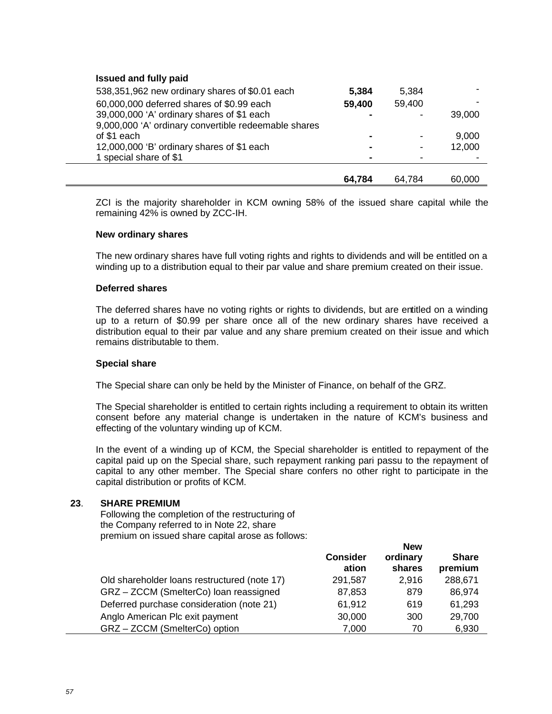## **Issued and fully paid**

| 538,351,962 new ordinary shares of \$0.01 each       | 5,384  | 5,384          |        |
|------------------------------------------------------|--------|----------------|--------|
| 60,000,000 deferred shares of \$0.99 each            | 59,400 | 59,400         |        |
| 39,000,000 'A' ordinary shares of \$1 each           |        | $\blacksquare$ | 39,000 |
| 9,000,000 'A' ordinary convertible redeemable shares |        |                |        |
| of \$1 each                                          |        | $\blacksquare$ | 9,000  |
| 12,000,000 'B' ordinary shares of \$1 each           |        | $\blacksquare$ | 12,000 |
| 1 special share of \$1                               |        |                |        |
|                                                      |        |                |        |
|                                                      | 64.784 | 64,784         | 60,000 |

ZCI is the majority shareholder in KCM owning 58% of the issued share capital while the remaining 42% is owned by ZCC-IH.

### **New ordinary shares**

The new ordinary shares have full voting rights and rights to dividends and will be entitled on a winding up to a distribution equal to their par value and share premium created on their issue.

### **Deferred shares**

The deferred shares have no voting rights or rights to dividends, but are entitled on a winding up to a return of \$0.99 per share once all of the new ordinary shares have received a distribution equal to their par value and any share premium created on their issue and which remains distributable to them.

### **Special share**

The Special share can only be held by the Minister of Finance, on behalf of the GRZ.

The Special shareholder is entitled to certain rights including a requirement to obtain its written consent before any material change is undertaken in the nature of KCM's business and effecting of the voluntary winding up of KCM.

In the event of a winding up of KCM, the Special shareholder is entitled to repayment of the capital paid up on the Special share, such repayment ranking pari passu to the repayment of capital to any other member. The Special share confers no other right to participate in the capital distribution or profits of KCM.

### **23**. **SHARE PREMIUM**

Following the completion of the restructuring of the Company referred to in Note 22, share premium on issued share capital arose as follows:

|                                              | <b>Consider</b><br>ation | <b>New</b><br>ordinary<br>shares | <b>Share</b><br>premium |
|----------------------------------------------|--------------------------|----------------------------------|-------------------------|
| Old shareholder loans restructured (note 17) | 291,587                  | 2,916                            | 288,671                 |
| GRZ-ZCCM (SmelterCo) loan reassigned         | 87,853                   | 879                              | 86,974                  |
| Deferred purchase consideration (note 21)    | 61,912                   | 619                              | 61,293                  |
| Anglo American Plc exit payment              | 30,000                   | 300                              | 29,700                  |
| GRZ-ZCCM (SmelterCo) option                  | 7,000                    | 70                               | 6,930                   |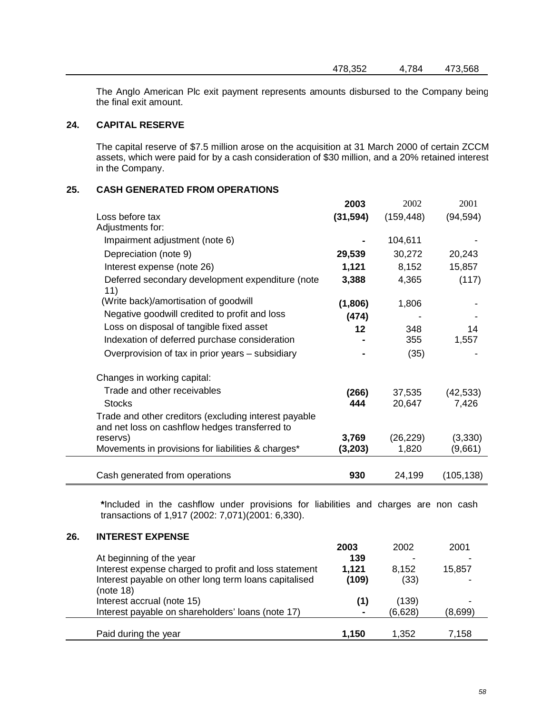The Anglo American Plc exit payment represents amounts disbursed to the Company being the final exit amount.

# **24. CAPITAL RESERVE**

The capital reserve of \$7.5 million arose on the acquisition at 31 March 2000 of certain ZCCM assets, which were paid for by a cash consideration of \$30 million, and a 20% retained interest in the Company.

# **25. CASH GENERATED FROM OPERATIONS**

|                                                                                                         | 2003      | 2002       | 2001       |
|---------------------------------------------------------------------------------------------------------|-----------|------------|------------|
| Loss before tax                                                                                         | (31, 594) | (159, 448) | (94, 594)  |
| Adjustments for:                                                                                        |           |            |            |
| Impairment adjustment (note 6)                                                                          |           | 104,611    |            |
| Depreciation (note 9)                                                                                   | 29,539    | 30,272     | 20,243     |
| Interest expense (note 26)                                                                              | 1,121     | 8,152      | 15,857     |
| Deferred secondary development expenditure (note<br>11)                                                 | 3,388     | 4,365      | (117)      |
| (Write back)/amortisation of goodwill                                                                   | (1,806)   | 1,806      |            |
| Negative goodwill credited to profit and loss                                                           | (474)     |            |            |
| Loss on disposal of tangible fixed asset                                                                | 12        | 348        | 14         |
| Indexation of deferred purchase consideration                                                           |           | 355        | 1,557      |
| Overprovision of tax in prior years – subsidiary                                                        |           | (35)       |            |
| Changes in working capital:                                                                             |           |            |            |
| Trade and other receivables                                                                             | (266)     | 37,535     | (42, 533)  |
| <b>Stocks</b>                                                                                           | 444       | 20,647     | 7,426      |
| Trade and other creditors (excluding interest payable<br>and net loss on cashflow hedges transferred to |           |            |            |
| reservs)                                                                                                | 3,769     | (26, 229)  | (3,330)    |
| Movements in provisions for liabilities & charges*                                                      | (3,203)   | 1,820      | (9,661)    |
|                                                                                                         |           |            |            |
| Cash generated from operations                                                                          | 930       | 24,199     | (105, 138) |

**\***Included in the cashflow under provisions for liabilities and charges are non cash transactions of 1,917 (2002: 7,071)(2001: 6,330).

# **26. INTEREST EXPENSE**

|                                                                    | 2003  | 2002    | 2001    |
|--------------------------------------------------------------------|-------|---------|---------|
| At beginning of the year                                           | 139   |         |         |
| Interest expense charged to profit and loss statement              | 1,121 | 8.152   | 15,857  |
| Interest payable on other long term loans capitalised<br>(note 18) | (109) | (33)    |         |
| Interest accrual (note 15)                                         | (1)   | (139)   |         |
| Interest payable on shareholders' loans (note 17)                  |       | (6,628) | (8,699) |
| Paid during the year                                               | 1,150 | 1.352   | 7.158   |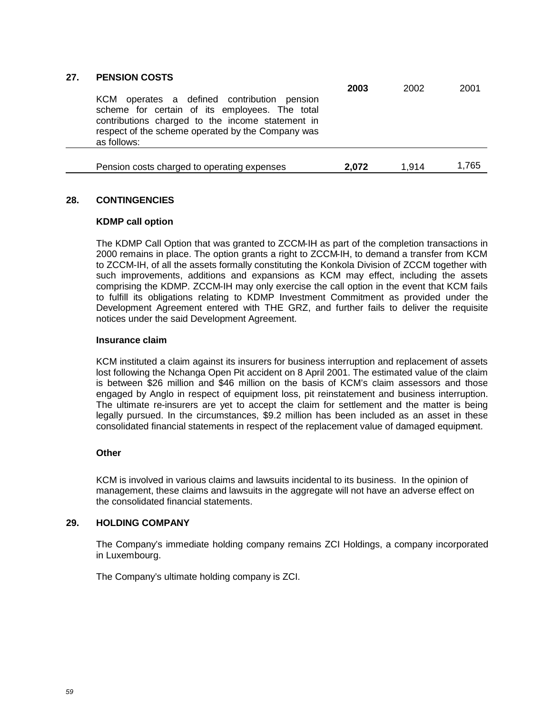| 27. | <b>PENSION COSTS</b>                                                                                                                                                                                                     | 2003  | 2002  | 2001  |
|-----|--------------------------------------------------------------------------------------------------------------------------------------------------------------------------------------------------------------------------|-------|-------|-------|
|     | operates a defined contribution pension<br>KCM<br>scheme for certain of its employees. The total<br>contributions charged to the income statement in<br>respect of the scheme operated by the Company was<br>as follows: |       |       |       |
|     | Pension costs charged to operating expenses                                                                                                                                                                              | 2.072 | 1.914 | 1.765 |

# **28. CONTINGENCIES**

## **KDMP call option**

The KDMP Call Option that was granted to ZCCM-IH as part of the completion transactions in 2000 remains in place. The option grants a right to ZCCM-IH, to demand a transfer from KCM to ZCCM-IH, of all the assets formally constituting the Konkola Division of ZCCM together with such improvements, additions and expansions as KCM may effect, including the assets comprising the KDMP. ZCCM-IH may only exercise the call option in the event that KCM fails to fulfill its obligations relating to KDMP Investment Commitment as provided under the Development Agreement entered with THE GRZ, and further fails to deliver the requisite notices under the said Development Agreement.

## **Insurance claim**

KCM instituted a claim against its insurers for business interruption and replacement of assets lost following the Nchanga Open Pit accident on 8 April 2001. The estimated value of the claim is between \$26 million and \$46 million on the basis of KCM's claim assessors and those engaged by Anglo in respect of equipment loss, pit reinstatement and business interruption. The ultimate re-insurers are yet to accept the claim for settlement and the matter is being legally pursued. In the circumstances, \$9.2 million has been included as an asset in these consolidated financial statements in respect of the replacement value of damaged equipment.

# **Other**

KCM is involved in various claims and lawsuits incidental to its business. In the opinion of management, these claims and lawsuits in the aggregate will not have an adverse effect on the consolidated financial statements.

# **29. HOLDING COMPANY**

The Company's immediate holding company remains ZCI Holdings, a company incorporated in Luxembourg.

The Company's ultimate holding company is ZCI.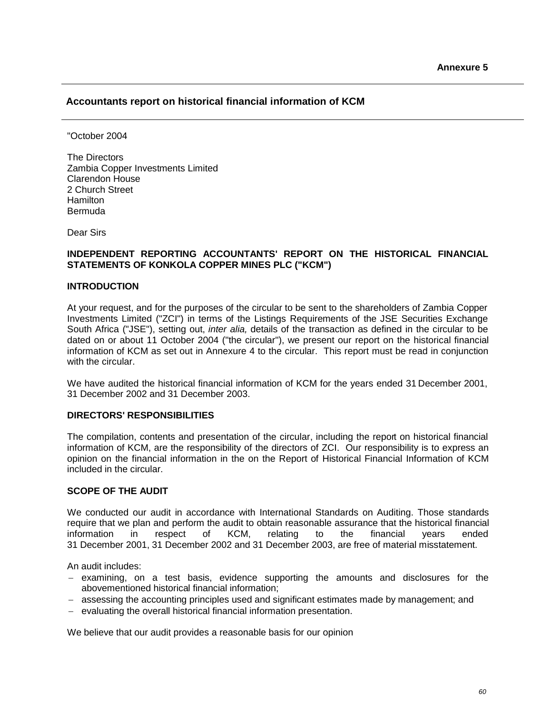# **Accountants report on historical financial information of KCM**

"October 2004

The Directors Zambia Copper Investments Limited Clarendon House 2 Church Street **Hamilton** Bermuda

Dear Sirs

## **INDEPENDENT REPORTING ACCOUNTANTS' REPORT ON THE HISTORICAL FINANCIAL STATEMENTS OF KONKOLA COPPER MINES PLC ("KCM")**

### **INTRODUCTION**

At your request, and for the purposes of the circular to be sent to the shareholders of Zambia Copper Investments Limited ("ZCI") in terms of the Listings Requirements of the JSE Securities Exchange South Africa ("JSE"), setting out, *inter alia,* details of the transaction as defined in the circular to be dated on or about 11 October 2004 ("the circular"), we present our report on the historical financial information of KCM as set out in Annexure 4 to the circular. This report must be read in conjunction with the circular.

We have audited the historical financial information of KCM for the years ended 31 December 2001, 31 December 2002 and 31 December 2003.

#### **DIRECTORS' RESPONSIBILITIES**

The compilation, contents and presentation of the circular, including the report on historical financial information of KCM, are the responsibility of the directors of ZCI. Our responsibility is to express an opinion on the financial information in the on the Report of Historical Financial Information of KCM included in the circular.

### **SCOPE OF THE AUDIT**

We conducted our audit in accordance with International Standards on Auditing. Those standards require that we plan and perform the audit to obtain reasonable assurance that the historical financial information in respect of KCM, relating to the financial years ended 31 December 2001, 31 December 2002 and 31 December 2003, are free of material misstatement.

An audit includes:

- $-$  examining, on a test basis, evidence supporting the amounts and disclosures for the abovementioned historical financial information;
- assessing the accounting principles used and significant estimates made by management; and
- evaluating the overall historical financial information presentation.

We believe that our audit provides a reasonable basis for our opinion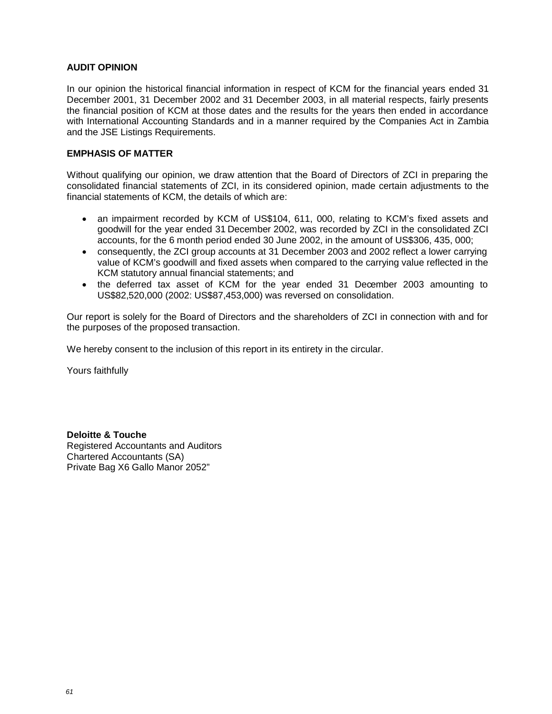## **AUDIT OPINION**

In our opinion the historical financial information in respect of KCM for the financial years ended 31 December 2001, 31 December 2002 and 31 December 2003, in all material respects, fairly presents the financial position of KCM at those dates and the results for the years then ended in accordance with International Accounting Standards and in a manner required by the Companies Act in Zambia and the JSE Listings Requirements.

### **EMPHASIS OF MATTER**

Without qualifying our opinion, we draw attention that the Board of Directors of ZCI in preparing the consolidated financial statements of ZCI, in its considered opinion, made certain adjustments to the financial statements of KCM, the details of which are:

- an impairment recorded by KCM of US\$104, 611, 000, relating to KCM's fixed assets and goodwill for the year ended 31 December 2002, was recorded by ZCI in the consolidated ZCI accounts, for the 6 month period ended 30 June 2002, in the amount of US\$306, 435, 000;
- consequently, the ZCI group accounts at 31 December 2003 and 2002 reflect a lower carrying value of KCM's goodwill and fixed assets when compared to the carrying value reflected in the KCM statutory annual financial statements; and
- the deferred tax asset of KCM for the year ended 31 December 2003 amounting to US\$82,520,000 (2002: US\$87,453,000) was reversed on consolidation.

Our report is solely for the Board of Directors and the shareholders of ZCI in connection with and for the purposes of the proposed transaction.

We hereby consent to the inclusion of this report in its entirety in the circular.

Yours faithfully

**Deloitte & Touche** Registered Accountants and Auditors Chartered Accountants (SA) Private Bag X6 Gallo Manor 2052"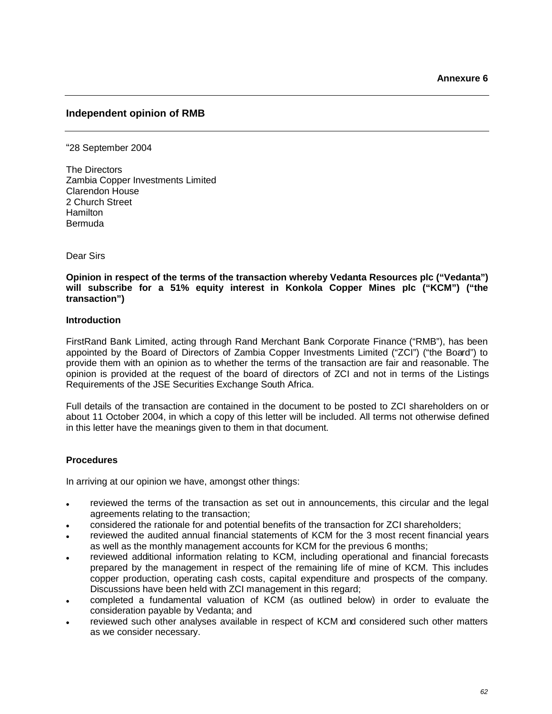## **Independent opinion of RMB**

"28 September 2004

The Directors Zambia Copper Investments Limited Clarendon House 2 Church Street Hamilton Bermuda

Dear Sirs

**Opinion in respect of the terms of the transaction whereby Vedanta Resources plc ("Vedanta") will subscribe for a 51% equity interest in Konkola Copper Mines plc ("KCM") ("the transaction")**

### **Introduction**

FirstRand Bank Limited, acting through Rand Merchant Bank Corporate Finance ("RMB"), has been appointed by the Board of Directors of Zambia Copper Investments Limited ("ZCI") ("the Board") to provide them with an opinion as to whether the terms of the transaction are fair and reasonable. The opinion is provided at the request of the board of directors of ZCI and not in terms of the Listings Requirements of the JSE Securities Exchange South Africa.

Full details of the transaction are contained in the document to be posted to ZCI shareholders on or about 11 October 2004, in which a copy of this letter will be included. All terms not otherwise defined in this letter have the meanings given to them in that document.

### **Procedures**

In arriving at our opinion we have, amongst other things:

- reviewed the terms of the transaction as set out in announcements, this circular and the legal agreements relating to the transaction;
- considered the rationale for and potential benefits of the transaction for ZCI shareholders;
- reviewed the audited annual financial statements of KCM for the 3 most recent financial years as well as the monthly management accounts for KCM for the previous 6 months;
- reviewed additional information relating to KCM, including operational and financial forecasts prepared by the management in respect of the remaining life of mine of KCM. This includes copper production, operating cash costs, capital expenditure and prospects of the company. Discussions have been held with ZCI management in this regard;
- completed a fundamental valuation of KCM (as outlined below) in order to evaluate the consideration payable by Vedanta; and
- reviewed such other analyses available in respect of KCM and considered such other matters as we consider necessary.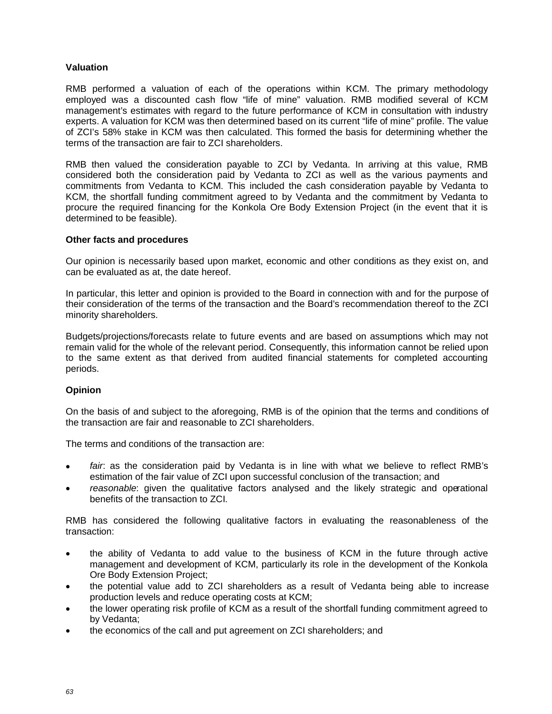# **Valuation**

RMB performed a valuation of each of the operations within KCM. The primary methodology employed was a discounted cash flow "life of mine" valuation. RMB modified several of KCM management's estimates with regard to the future performance of KCM in consultation with industry experts. A valuation for KCM was then determined based on its current "life of mine" profile. The value of ZCI's 58% stake in KCM was then calculated. This formed the basis for determining whether the terms of the transaction are fair to ZCI shareholders.

RMB then valued the consideration payable to ZCI by Vedanta. In arriving at this value, RMB considered both the consideration paid by Vedanta to ZCI as well as the various payments and commitments from Vedanta to KCM. This included the cash consideration payable by Vedanta to KCM, the shortfall funding commitment agreed to by Vedanta and the commitment by Vedanta to procure the required financing for the Konkola Ore Body Extension Project (in the event that it is determined to be feasible).

## **Other facts and procedures**

Our opinion is necessarily based upon market, economic and other conditions as they exist on, and can be evaluated as at, the date hereof.

In particular, this letter and opinion is provided to the Board in connection with and for the purpose of their consideration of the terms of the transaction and the Board's recommendation thereof to the ZCI minority shareholders.

Budgets/projections/forecasts relate to future events and are based on assumptions which may not remain valid for the whole of the relevant period. Consequently, this information cannot be relied upon to the same extent as that derived from audited financial statements for completed accounting periods.

# **Opinion**

On the basis of and subject to the aforegoing, RMB is of the opinion that the terms and conditions of the transaction are fair and reasonable to ZCI shareholders.

The terms and conditions of the transaction are:

- *fair*: as the consideration paid by Vedanta is in line with what we believe to reflect RMB's estimation of the fair value of ZCI upon successful conclusion of the transaction; and
- *reasonable*: given the qualitative factors analysed and the likely strategic and operational benefits of the transaction to ZCI.

RMB has considered the following qualitative factors in evaluating the reasonableness of the transaction:

- the ability of Vedanta to add value to the business of KCM in the future through active management and development of KCM, particularly its role in the development of the Konkola Ore Body Extension Project;
- the potential value add to ZCI shareholders as a result of Vedanta being able to increase production levels and reduce operating costs at KCM;
- the lower operating risk profile of KCM as a result of the shortfall funding commitment agreed to by Vedanta;
- the economics of the call and put agreement on ZCI shareholders; and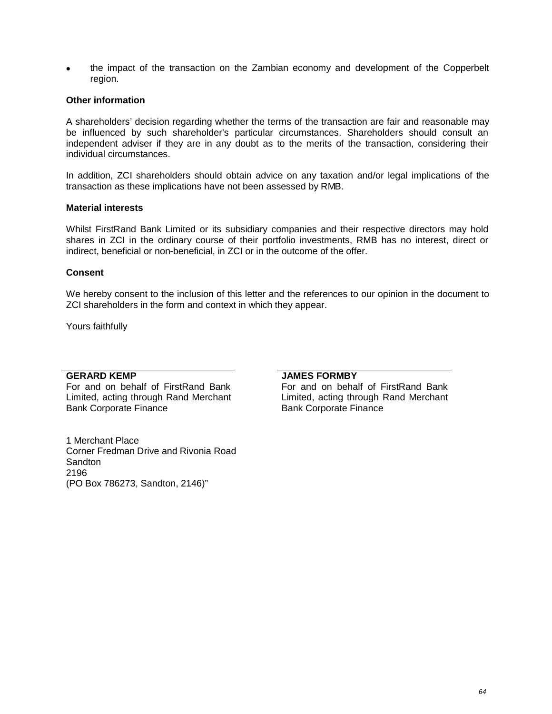the impact of the transaction on the Zambian economy and development of the Copperbelt region.

### **Other information**

A shareholders' decision regarding whether the terms of the transaction are fair and reasonable may be influenced by such shareholder's particular circumstances. Shareholders should consult an independent adviser if they are in any doubt as to the merits of the transaction, considering their individual circumstances.

In addition, ZCI shareholders should obtain advice on any taxation and/or legal implications of the transaction as these implications have not been assessed by RMB.

### **Material interests**

Whilst FirstRand Bank Limited or its subsidiary companies and their respective directors may hold shares in ZCI in the ordinary course of their portfolio investments, RMB has no interest, direct or indirect, beneficial or non-beneficial, in ZCI or in the outcome of the offer.

### **Consent**

We hereby consent to the inclusion of this letter and the references to our opinion in the document to ZCI shareholders in the form and context in which they appear.

Yours faithfully

### **GERARD KEMP**

For and on behalf of FirstRand Bank Limited, acting through Rand Merchant Bank Corporate Finance

1 Merchant Place Corner Fredman Drive and Rivonia Road Sandton 2196 (PO Box 786273, Sandton, 2146)"

#### **JAMES FORMBY**

For and on behalf of FirstRand Bank Limited, acting through Rand Merchant Bank Corporate Finance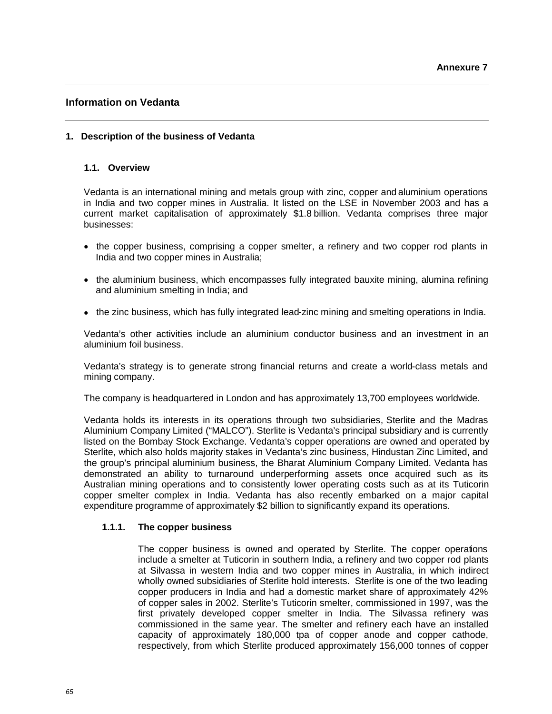# **Information on Vedanta**

## **1. Description of the business of Vedanta**

### **1.1. Overview**

Vedanta is an international mining and metals group with zinc, copper and aluminium operations in India and two copper mines in Australia. It listed on the LSE in November 2003 and has a current market capitalisation of approximately \$1.8 billion. Vedanta comprises three major businesses:

- the copper business, comprising a copper smelter, a refinery and two copper rod plants in India and two copper mines in Australia;
- the aluminium business, which encompasses fully integrated bauxite mining, alumina refining and aluminium smelting in India; and
- the zinc business, which has fully integrated lead-zinc mining and smelting operations in India.

Vedanta's other activities include an aluminium conductor business and an investment in an aluminium foil business.

Vedanta's strategy is to generate strong financial returns and create a world-class metals and mining company.

The company is headquartered in London and has approximately 13,700 employees worldwide.

Vedanta holds its interests in its operations through two subsidiaries, Sterlite and the Madras Aluminium Company Limited ("MALCO"). Sterlite is Vedanta's principal subsidiary and is currently listed on the Bombay Stock Exchange. Vedanta's copper operations are owned and operated by Sterlite, which also holds majority stakes in Vedanta's zinc business, Hindustan Zinc Limited, and the group's principal aluminium business, the Bharat Aluminium Company Limited. Vedanta has demonstrated an ability to turnaround underperforming assets once acquired such as its Australian mining operations and to consistently lower operating costs such as at its Tuticorin copper smelter complex in India. Vedanta has also recently embarked on a major capital expenditure programme of approximately \$2 billion to significantly expand its operations.

### **1.1.1. The copper business**

The copper business is owned and operated by Sterlite. The copper operations include a smelter at Tuticorin in southern India, a refinery and two copper rod plants at Silvassa in western India and two copper mines in Australia, in which indirect wholly owned subsidiaries of Sterlite hold interests. Sterlite is one of the two leading copper producers in India and had a domestic market share of approximately 42% of copper sales in 2002. Sterlite's Tuticorin smelter, commissioned in 1997, was the first privately developed copper smelter in India. The Silvassa refinery was commissioned in the same year. The smelter and refinery each have an installed capacity of approximately 180,000 tpa of copper anode and copper cathode, respectively, from which Sterlite produced approximately 156,000 tonnes of copper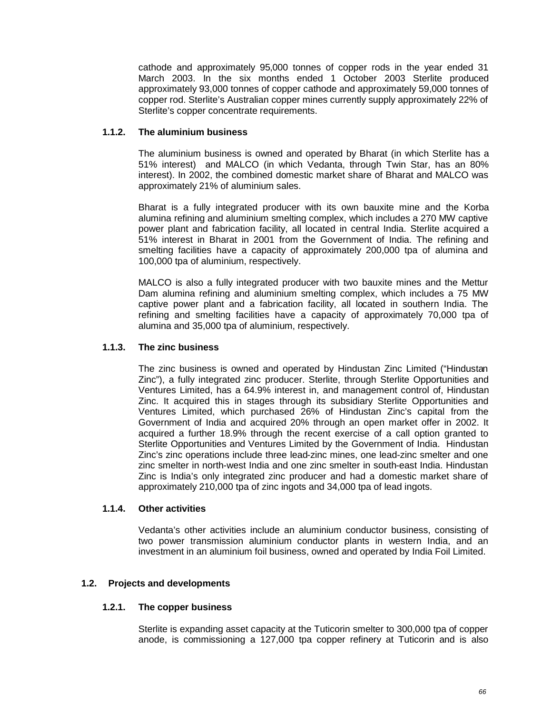cathode and approximately 95,000 tonnes of copper rods in the year ended 31 March 2003. In the six months ended 1 October 2003 Sterlite produced approximately 93,000 tonnes of copper cathode and approximately 59,000 tonnes of copper rod. Sterlite's Australian copper mines currently supply approximately 22% of Sterlite's copper concentrate requirements.

## **1.1.2. The aluminium business**

The aluminium business is owned and operated by Bharat (in which Sterlite has a 51% interest) and MALCO (in which Vedanta, through Twin Star, has an 80% interest). In 2002, the combined domestic market share of Bharat and MALCO was approximately 21% of aluminium sales.

Bharat is a fully integrated producer with its own bauxite mine and the Korba alumina refining and aluminium smelting complex, which includes a 270 MW captive power plant and fabrication facility, all located in central India. Sterlite acquired a 51% interest in Bharat in 2001 from the Government of India. The refining and smelting facilities have a capacity of approximately 200,000 tpa of alumina and 100,000 tpa of aluminium, respectively.

MALCO is also a fully integrated producer with two bauxite mines and the Mettur Dam alumina refining and aluminium smelting complex, which includes a 75 MW captive power plant and a fabrication facility, all located in southern India. The refining and smelting facilities have a capacity of approximately 70,000 tpa of alumina and 35,000 tpa of aluminium, respectively.

## **1.1.3. The zinc business**

The zinc business is owned and operated by Hindustan Zinc Limited ("Hindustan Zinc"), a fully integrated zinc producer. Sterlite, through Sterlite Opportunities and Ventures Limited, has a 64.9% interest in, and management control of, Hindustan Zinc. It acquired this in stages through its subsidiary Sterlite Opportunities and Ventures Limited, which purchased 26% of Hindustan Zinc's capital from the Government of India and acquired 20% through an open market offer in 2002. It acquired a further 18.9% through the recent exercise of a call option granted to Sterlite Opportunities and Ventures Limited by the Government of India. Hindustan Zinc's zinc operations include three lead-zinc mines, one lead-zinc smelter and one zinc smelter in north-west India and one zinc smelter in south-east India. Hindustan Zinc is India's only integrated zinc producer and had a domestic market share of approximately 210,000 tpa of zinc ingots and 34,000 tpa of lead ingots.

### **1.1.4. Other activities**

Vedanta's other activities include an aluminium conductor business, consisting of two power transmission aluminium conductor plants in western India, and an investment in an aluminium foil business, owned and operated by India Foil Limited.

### **1.2. Projects and developments**

### **1.2.1. The copper business**

Sterlite is expanding asset capacity at the Tuticorin smelter to 300,000 tpa of copper anode, is commissioning a 127,000 tpa copper refinery at Tuticorin and is also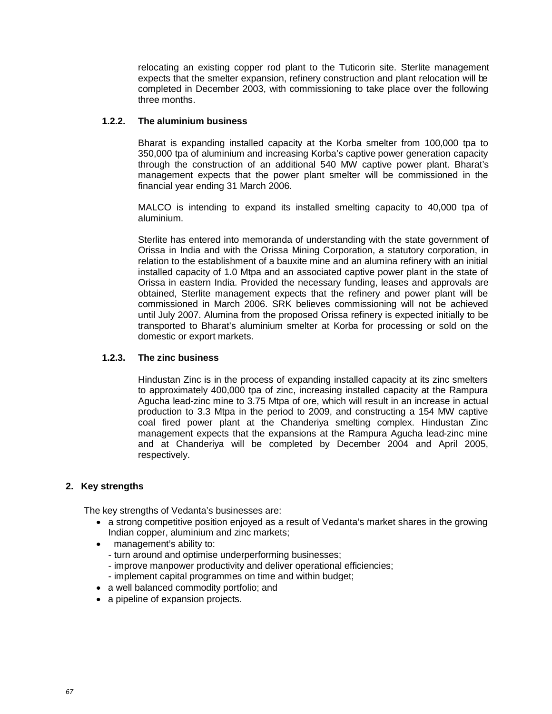relocating an existing copper rod plant to the Tuticorin site. Sterlite management expects that the smelter expansion, refinery construction and plant relocation will be completed in December 2003, with commissioning to take place over the following three months.

# **1.2.2. The aluminium business**

Bharat is expanding installed capacity at the Korba smelter from 100,000 tpa to 350,000 tpa of aluminium and increasing Korba's captive power generation capacity through the construction of an additional 540 MW captive power plant. Bharat's management expects that the power plant smelter will be commissioned in the financial year ending 31 March 2006.

MALCO is intending to expand its installed smelting capacity to 40,000 tpa of aluminium.

Sterlite has entered into memoranda of understanding with the state government of Orissa in India and with the Orissa Mining Corporation, a statutory corporation, in relation to the establishment of a bauxite mine and an alumina refinery with an initial installed capacity of 1.0 Mtpa and an associated captive power plant in the state of Orissa in eastern India. Provided the necessary funding, leases and approvals are obtained, Sterlite management expects that the refinery and power plant will be commissioned in March 2006. SRK believes commissioning will not be achieved until July 2007. Alumina from the proposed Orissa refinery is expected initially to be transported to Bharat's aluminium smelter at Korba for processing or sold on the domestic or export markets.

### **1.2.3. The zinc business**

Hindustan Zinc is in the process of expanding installed capacity at its zinc smelters to approximately 400,000 tpa of zinc, increasing installed capacity at the Rampura Agucha lead-zinc mine to 3.75 Mtpa of ore, which will result in an increase in actual production to 3.3 Mtpa in the period to 2009, and constructing a 154 MW captive coal fired power plant at the Chanderiya smelting complex. Hindustan Zinc management expects that the expansions at the Rampura Agucha lead-zinc mine and at Chanderiya will be completed by December 2004 and April 2005, respectively.

# **2. Key strengths**

The key strengths of Vedanta's businesses are:

- a strong competitive position enjoyed as a result of Vedanta's market shares in the growing Indian copper, aluminium and zinc markets;
- management's ability to:
	- turn around and optimise underperforming businesses;
	- improve manpower productivity and deliver operational efficiencies;
	- implement capital programmes on time and within budget;
- a well balanced commodity portfolio; and
- a pipeline of expansion projects.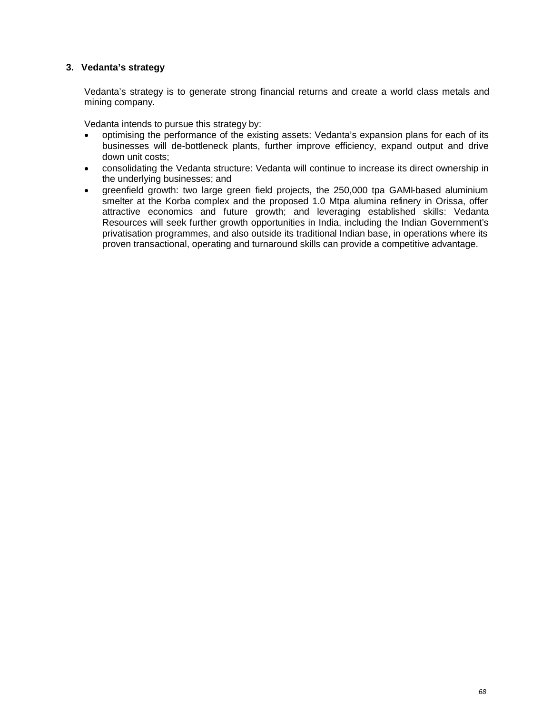# **3. Vedanta's strategy**

Vedanta's strategy is to generate strong financial returns and create a world class metals and mining company.

Vedanta intends to pursue this strategy by:

- optimising the performance of the existing assets: Vedanta's expansion plans for each of its businesses will de-bottleneck plants, further improve efficiency, expand output and drive down unit costs;
- consolidating the Vedanta structure: Vedanta will continue to increase its direct ownership in the underlying businesses; and
- greenfield growth: two large green field projects, the 250,000 tpa GAMI-based aluminium smelter at the Korba complex and the proposed 1.0 Mtpa alumina refinery in Orissa, offer attractive economics and future growth; and leveraging established skills: Vedanta Resources will seek further growth opportunities in India, including the Indian Government's privatisation programmes, and also outside its traditional Indian base, in operations where its proven transactional, operating and turnaround skills can provide a competitive advantage.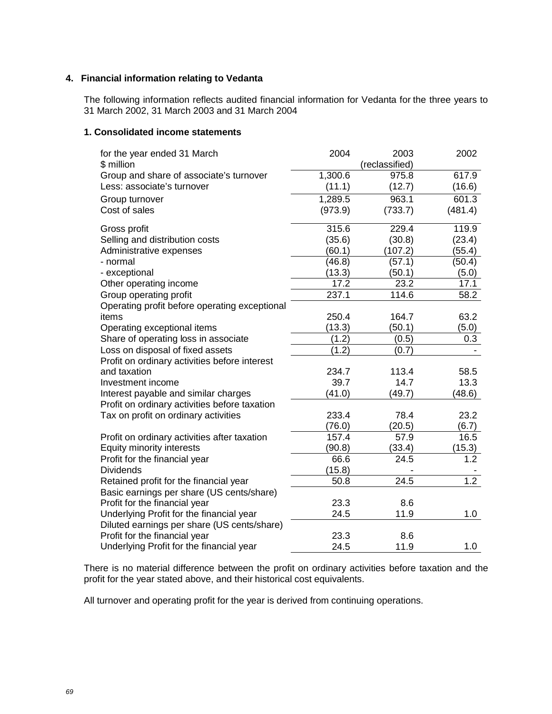# **4. Financial information relating to Vedanta**

The following information reflects audited financial information for Vedanta for the three years to 31 March 2002, 31 March 2003 and 31 March 2004

### **1. Consolidated income statements**

| for the year ended 31 March                   | 2004    | 2003           | 2002             |
|-----------------------------------------------|---------|----------------|------------------|
| \$ million                                    |         | (reclassified) |                  |
| Group and share of associate's turnover       | 1,300.6 | 975.8          | 617.9            |
| Less: associate's turnover                    | (11.1)  | (12.7)         | (16.6)           |
| Group turnover                                | 1,289.5 | 963.1          | 601.3            |
| Cost of sales                                 | (973.9) | (733.7)        | (481.4)          |
| Gross profit                                  | 315.6   | 229.4          | 119.9            |
| Selling and distribution costs                | (35.6)  | (30.8)         | (23.4)           |
| Administrative expenses                       | (60.1)  | (107.2)        | (55.4)           |
| - normal                                      | (46.8)  | (57.1)         | (50.4)           |
| - exceptional                                 | (13.3)  | (50.1)         | (5.0)            |
| Other operating income                        | 17.2    | 23.2           | 17.1             |
| Group operating profit                        | 237.1   | 114.6          | 58.2             |
| Operating profit before operating exceptional |         |                |                  |
| items                                         | 250.4   | 164.7          | 63.2             |
| Operating exceptional items                   | (13.3)  | (50.1)         | (5.0)            |
| Share of operating loss in associate          | (1.2)   | (0.5)          | 0.3              |
| Loss on disposal of fixed assets              | (1.2)   | (0.7)          |                  |
| Profit on ordinary activities before interest |         |                |                  |
| and taxation                                  | 234.7   | 113.4          | 58.5             |
| Investment income                             | 39.7    | 14.7           | 13.3             |
| Interest payable and similar charges          | (41.0)  | (49.7)         | (48.6)           |
| Profit on ordinary activities before taxation |         |                |                  |
| Tax on profit on ordinary activities          | 233.4   | 78.4           | 23.2             |
|                                               | (76.0)  | (20.5)         | (6.7)            |
| Profit on ordinary activities after taxation  | 157.4   | 57.9           | 16.5             |
| Equity minority interests                     | (90.8)  | (33.4)         | (15.3)           |
| Profit for the financial year                 | 66.6    | 24.5           | 1.2              |
| <b>Dividends</b>                              | (15.8)  |                |                  |
| Retained profit for the financial year        | 50.8    | 24.5           | $\overline{1.2}$ |
| Basic earnings per share (US cents/share)     |         |                |                  |
| Profit for the financial year                 | 23.3    | 8.6            |                  |
| Underlying Profit for the financial year      | 24.5    | 11.9           | 1.0              |
| Diluted earnings per share (US cents/share)   |         |                |                  |
| Profit for the financial year                 | 23.3    | 8.6            |                  |
| Underlying Profit for the financial year      | 24.5    | 11.9           | 1.0              |

There is no material difference between the profit on ordinary activities before taxation and the profit for the year stated above, and their historical cost equivalents.

All turnover and operating profit for the year is derived from continuing operations.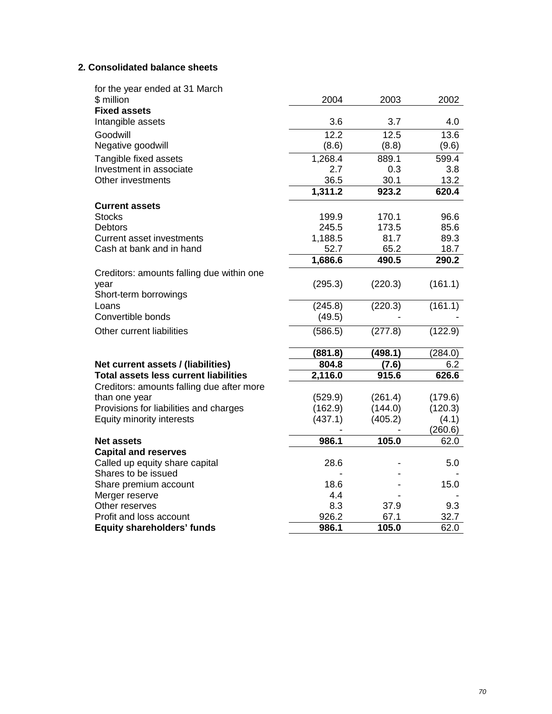# **2***.* **Consolidated balance sheets**

| for the year ended at 31 March               |                   |              |             |
|----------------------------------------------|-------------------|--------------|-------------|
| \$ million                                   | 2004              | 2003         | 2002        |
| <b>Fixed assets</b>                          |                   |              |             |
| Intangible assets                            | 3.6               | 3.7          | 4.0         |
| Goodwill                                     | $\overline{12.2}$ | 12.5         | 13.6        |
| Negative goodwill                            | (8.6)             | (8.8)        | (9.6)       |
| Tangible fixed assets                        | 1,268.4           | 889.1        | 599.4       |
| Investment in associate                      | 2.7               | 0.3          | 3.8         |
| Other investments                            | 36.5              | 30.1         | 13.2        |
|                                              | 1,311.2           | 923.2        | 620.4       |
| <b>Current assets</b>                        |                   |              |             |
| <b>Stocks</b>                                | 199.9             | 170.1        | 96.6        |
| <b>Debtors</b>                               | 245.5             | 173.5        | 85.6        |
| <b>Current asset investments</b>             | 1,188.5           | 81.7         | 89.3        |
| Cash at bank and in hand                     | 52.7              | 65.2         | 18.7        |
|                                              | 1,686.6           | 490.5        | 290.2       |
| Creditors: amounts falling due within one    |                   |              |             |
| year                                         | (295.3)           | (220.3)      | (161.1)     |
| Short-term borrowings                        |                   |              |             |
| Loans                                        | (245.8)           | (220.3)      | (161.1)     |
| Convertible bonds                            | (49.5)            |              |             |
| Other current liabilities                    | (586.5)           | (277.8)      | (122.9)     |
|                                              | (881.8)           | (498.1)      | (284.0)     |
| Net current assets / (liabilities)           | 804.8             | (7.6)        | 6.2         |
| <b>Total assets less current liabilities</b> | 2,116.0           | 915.6        | 626.6       |
| Creditors: amounts falling due after more    |                   |              |             |
| than one year                                | (529.9)           | (261.4)      | (179.6)     |
| Provisions for liabilities and charges       | (162.9)           | (144.0)      | (120.3)     |
| Equity minority interests                    | (437.1)           | (405.2)      | (4.1)       |
|                                              |                   |              | (260.6)     |
| <b>Net assets</b>                            | 986.1             | 105.0        | 62.0        |
| <b>Capital and reserves</b>                  |                   |              |             |
| Called up equity share capital               | 28.6              |              | 5.0         |
| Shares to be issued                          |                   |              |             |
| Share premium account                        | 18.6              |              | 15.0        |
| Merger reserve                               | 4.4               |              |             |
| Other reserves<br>Profit and loss account    | 8.3<br>926.2      | 37.9<br>67.1 | 9.3<br>32.7 |
| <b>Equity shareholders' funds</b>            | 986.1             | 105.0        | 62.0        |
|                                              |                   |              |             |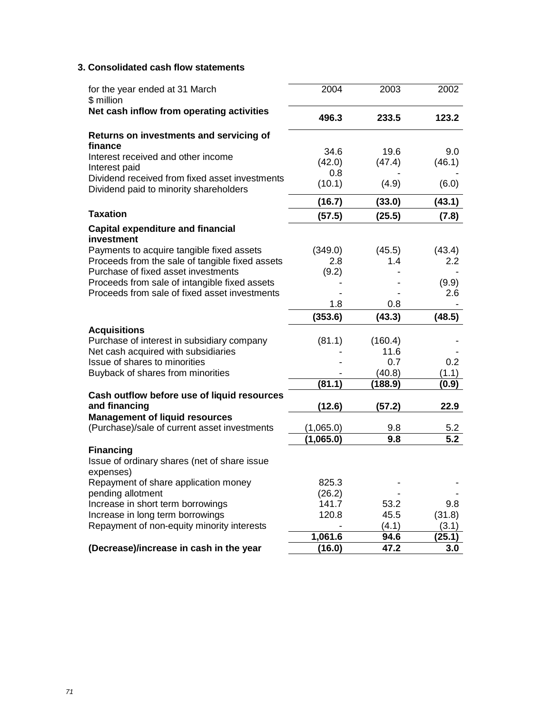# **3. Consolidated cash flow statements**

| for the year ended at 31 March<br>\$ million                                             | 2004           | 2003           | 2002             |
|------------------------------------------------------------------------------------------|----------------|----------------|------------------|
| Net cash inflow from operating activities                                                | 496.3          | 233.5          | 123.2            |
| Returns on investments and servicing of<br>finance                                       |                |                |                  |
| Interest received and other income                                                       | 34.6<br>(42.0) | 19.6<br>(47.4) | 9.0<br>(46.1)    |
| Interest paid                                                                            | 0.8            |                |                  |
| Dividend received from fixed asset investments<br>Dividend paid to minority shareholders | (10.1)         | (4.9)          | (6.0)            |
|                                                                                          | (16.7)         | (33.0)         | (43.1)           |
| <b>Taxation</b>                                                                          | (57.5)         | (25.5)         | (7.8)            |
| <b>Capital expenditure and financial</b><br>investment                                   |                |                |                  |
| Payments to acquire tangible fixed assets                                                | (349.0)        | (45.5)         | (43.4)           |
| Proceeds from the sale of tangible fixed assets                                          | 2.8            | 1.4            | 2.2              |
| Purchase of fixed asset investments                                                      | (9.2)          |                |                  |
| Proceeds from sale of intangible fixed assets                                            |                |                | (9.9)            |
| Proceeds from sale of fixed asset investments                                            |                |                | 2.6              |
|                                                                                          | 1.8            | 0.8            |                  |
|                                                                                          | (353.6)        | (43.3)         | (48.5)           |
| <b>Acquisitions</b>                                                                      |                |                |                  |
| Purchase of interest in subsidiary company                                               | (81.1)         | (160.4)        |                  |
| Net cash acquired with subsidiaries                                                      |                | 11.6           |                  |
| Issue of shares to minorities                                                            |                | 0.7            | 0.2              |
| Buyback of shares from minorities                                                        |                | (40.8)         | (1.1)            |
|                                                                                          | (81.1)         | (188.9)        | (0.9)            |
| Cash outflow before use of liquid resources<br>and financing                             | (12.6)         | (57.2)         | 22.9             |
| <b>Management of liquid resources</b>                                                    |                |                |                  |
| (Purchase)/sale of current asset investments                                             | (1,065.0)      | 9.8            | 5.2              |
|                                                                                          | (1,065.0)      | 9.8            | $\overline{5.2}$ |
| <b>Financing</b>                                                                         |                |                |                  |
| Issue of ordinary shares (net of share issue<br>expenses)                                |                |                |                  |
| Repayment of share application money                                                     | 825.3          |                |                  |
| pending allotment                                                                        | (26.2)         |                |                  |
| Increase in short term borrowings                                                        | 141.7          | 53.2           | 9.8              |
| Increase in long term borrowings                                                         | 120.8          | 45.5           | (31.8)           |
| Repayment of non-equity minority interests                                               |                | (4.1)          | (3.1)            |
|                                                                                          | 1,061.6        | 94.6           | (25.1)           |
| (Decrease)/increase in cash in the year                                                  | (16.0)         | 47.2           | 3.0              |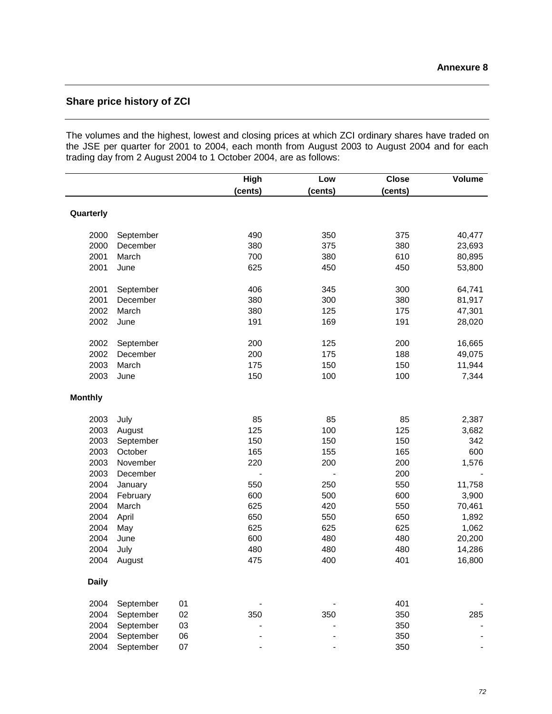# **Share price history of ZCI**

The volumes and the highest, lowest and closing prices at which ZCI ordinary shares have traded on the JSE per quarter for 2001 to 2004, each month from August 2003 to August 2004 and for each trading day from 2 August 2004 to 1 October 2004, are as follows:

|                |           |        | <b>High</b> | Low     | <b>Close</b> | Volume |
|----------------|-----------|--------|-------------|---------|--------------|--------|
|                |           |        | (cents)     | (cents) | (cents)      |        |
|                |           |        |             |         |              |        |
| Quarterly      |           |        |             |         |              |        |
|                |           |        |             |         |              |        |
| 2000           | September |        | 490         | 350     | 375          | 40,477 |
| 2000           | December  |        | 380         | 375     | 380          | 23,693 |
| 2001           | March     |        | 700         | 380     | 610          | 80,895 |
| 2001           | June      |        | 625         | 450     | 450          | 53,800 |
| 2001           | September |        | 406         | 345     | 300          | 64,741 |
| 2001           | December  |        | 380         | 300     | 380          | 81,917 |
| 2002           | March     |        | 380         | 125     | 175          | 47,301 |
| 2002           | June      |        | 191         | 169     | 191          | 28,020 |
|                |           |        |             |         |              |        |
| 2002           | September |        | 200         | 125     | 200          | 16,665 |
| 2002           | December  |        | 200         | 175     | 188          | 49,075 |
| 2003           | March     |        | 175         | 150     | 150          | 11,944 |
| 2003           | June      |        | 150         | 100     | 100          | 7,344  |
| <b>Monthly</b> |           |        |             |         |              |        |
|                |           |        |             |         |              |        |
| 2003           | July      |        | 85          | 85      | 85           | 2,387  |
| 2003           | August    |        | 125         | 100     | 125          | 3,682  |
| 2003           | September |        | 150         | 150     | 150          | 342    |
| 2003           | October   |        | 165         | 155     | 165          | 600    |
| 2003           | November  |        | 220         | 200     | 200          | 1,576  |
| 2003           | December  |        |             |         | 200          |        |
| 2004           | January   |        | 550         | 250     | 550          | 11,758 |
| 2004           | February  |        | 600         | 500     | 600          | 3,900  |
| 2004           | March     |        | 625         | 420     | 550          | 70,461 |
| 2004           | April     |        | 650         | 550     | 650          | 1,892  |
| 2004           | May       |        | 625         | 625     | 625          | 1,062  |
| 2004           | June      |        | 600         | 480     | 480          | 20,200 |
| 2004           | July      |        | 480         | 480     | 480          | 14,286 |
| 2004           | August    |        | 475         | 400     | 401          | 16,800 |
| <b>Daily</b>   |           |        |             |         |              |        |
| 2004           | September | 01     |             |         | 401          |        |
| 2004           | September | 02     | 350         | 350     | 350          | 285    |
| 2004           | September | 03     |             |         | 350          |        |
| 2004           | September | 06     |             |         | 350          |        |
| 2004           | September | $07\,$ |             |         | 350          |        |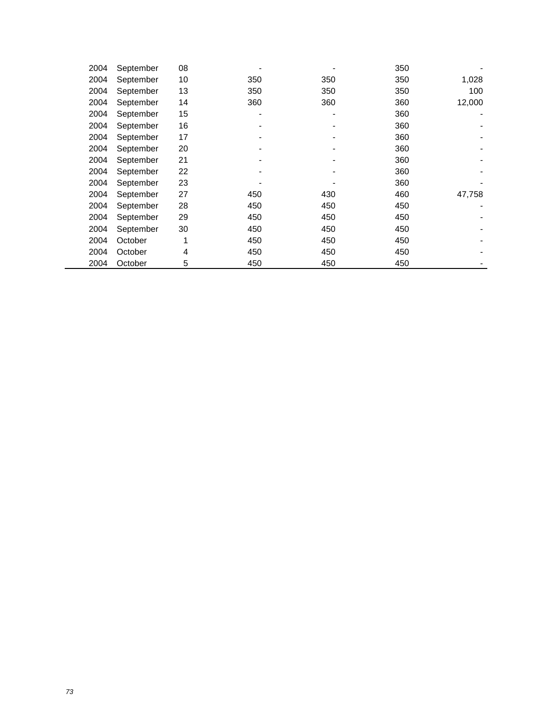| 2004 | September | 08 |     |     | 350 |        |
|------|-----------|----|-----|-----|-----|--------|
| 2004 | September | 10 | 350 | 350 | 350 | 1,028  |
| 2004 | September | 13 | 350 | 350 | 350 | 100    |
| 2004 | September | 14 | 360 | 360 | 360 | 12,000 |
| 2004 | September | 15 |     | ۰   | 360 |        |
| 2004 | September | 16 |     |     | 360 |        |
| 2004 | September | 17 |     |     | 360 |        |
| 2004 | September | 20 |     |     | 360 |        |
| 2004 | September | 21 |     |     | 360 |        |
| 2004 | September | 22 |     |     | 360 |        |
| 2004 | September | 23 |     |     | 360 |        |
| 2004 | September | 27 | 450 | 430 | 460 | 47,758 |
| 2004 | September | 28 | 450 | 450 | 450 |        |
| 2004 | September | 29 | 450 | 450 | 450 |        |
| 2004 | September | 30 | 450 | 450 | 450 |        |
| 2004 | October   | 1  | 450 | 450 | 450 |        |
| 2004 | October   | 4  | 450 | 450 | 450 |        |
| 2004 | October   | 5  | 450 | 450 | 450 |        |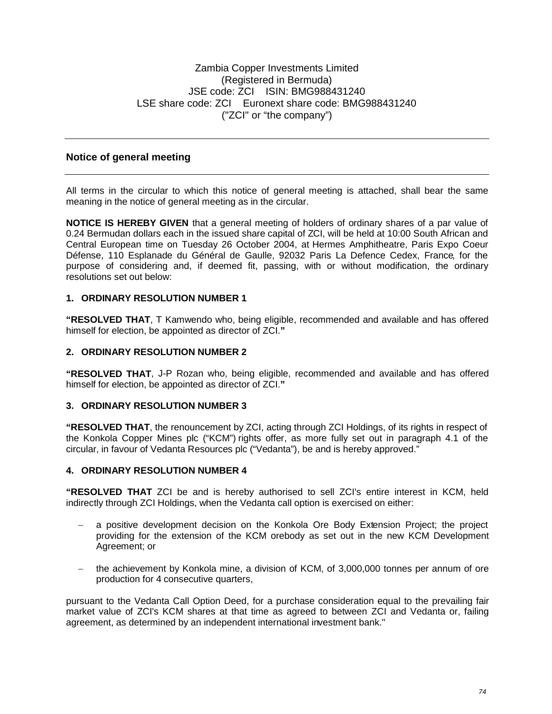# **Notice of general meeting**

All terms in the circular to which this notice of general meeting is attached, shall bear the same meaning in the notice of general meeting as in the circular.

**NOTICE IS HEREBY GIVEN** that a general meeting of holders of ordinary shares of a par value of 0.24 Bermudan dollars each in the issued share capital of ZCI, will be held at 10:00 South African and Central European time on Tuesday 26 October 2004, at Hermes Amphitheatre, Paris Expo Coeur Défense, 110 Esplanade du Général de Gaulle, 92032 Paris La Defence Cedex, France, for the purpose of considering and, if deemed fit, passing, with or without modification, the ordinary resolutions set out below:

## **1. ORDINARY RESOLUTION NUMBER 1**

**"RESOLVED THAT**, T Kamwendo who, being eligible, recommended and available and has offered himself for election, be appointed as director of ZCI.**"**

#### **2. ORDINARY RESOLUTION NUMBER 2**

**"RESOLVED THAT**, J-P Rozan who, being eligible, recommended and available and has offered himself for election, be appointed as director of ZCI.**"**

#### **3. ORDINARY RESOLUTION NUMBER 3**

**"RESOLVED THAT**, the renouncement by ZCI, acting through ZCI Holdings, of its rights in respect of the Konkola Copper Mines plc ("KCM") rights offer, as more fully set out in paragraph 4.1 of the circular, in favour of Vedanta Resources plc ("Vedanta"), be and is hereby approved."

#### **4. ORDINARY RESOLUTION NUMBER 4**

**"RESOLVED THAT** ZCI be and is hereby authorised to sell ZCI's entire interest in KCM, held indirectly through ZCI Holdings, when the Vedanta call option is exercised on either:

- a positive development decision on the Konkola Ore Body Extension Project; the project providing for the extension of the KCM orebody as set out in the new KCM Development Agreement; or
- the achievement by Konkola mine, a division of KCM, of 3,000,000 tonnes per annum of ore production for 4 consecutive quarters,

pursuant to the Vedanta Call Option Deed, for a purchase consideration equal to the prevailing fair market value of ZCI's KCM shares at that time as agreed to between ZCI and Vedanta or, failing agreement, as determined by an independent international investment bank."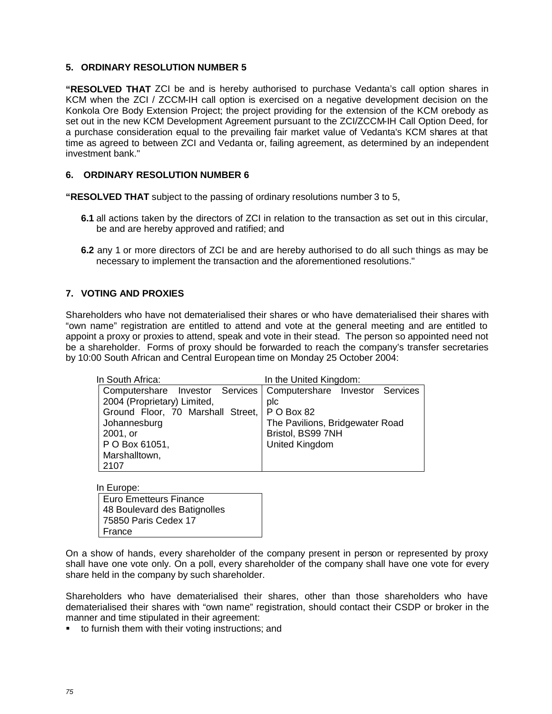## **5. ORDINARY RESOLUTION NUMBER 5**

**"RESOLVED THAT** ZCI be and is hereby authorised to purchase Vedanta's call option shares in KCM when the ZCI / ZCCM-IH call option is exercised on a negative development decision on the Konkola Ore Body Extension Project; the project providing for the extension of the KCM orebody as set out in the new KCM Development Agreement pursuant to the ZCI/ZCCM-IH Call Option Deed, for a purchase consideration equal to the prevailing fair market value of Vedanta's KCM shares at that time as agreed to between ZCI and Vedanta or, failing agreement, as determined by an independent investment bank."

## **6. ORDINARY RESOLUTION NUMBER 6**

**"RESOLVED THAT** subject to the passing of ordinary resolutions number 3 to 5,

- **6.1** all actions taken by the directors of ZCI in relation to the transaction as set out in this circular, be and are hereby approved and ratified; and
- **6.2** any 1 or more directors of ZCI be and are hereby authorised to do all such things as may be necessary to implement the transaction and the aforementioned resolutions."

## **7. VOTING AND PROXIES**

Shareholders who have not dematerialised their shares or who have dematerialised their shares with "own name" registration are entitled to attend and vote at the general meeting and are entitled to appoint a proxy or proxies to attend, speak and vote in their stead. The person so appointed need not be a shareholder. Forms of proxy should be forwarded to reach the company's transfer secretaries by 10:00 South African and Central European time on Monday 25 October 2004:

| In South Africa:                                                  | In the United Kingdom:          |  |  |
|-------------------------------------------------------------------|---------------------------------|--|--|
| Computershare Investor Services   Computershare Investor Services |                                 |  |  |
| 2004 (Proprietary) Limited,                                       | plc                             |  |  |
| Ground Floor, 70 Marshall Street,   P O Box 82                    |                                 |  |  |
| Johannesburg                                                      | The Pavilions, Bridgewater Road |  |  |
| 2001, or                                                          | Bristol, BS99 7NH               |  |  |
| P O Box 61051,                                                    | <b>United Kingdom</b>           |  |  |
| Marshalltown,                                                     |                                 |  |  |
| 2107                                                              |                                 |  |  |

In Europe: Euro Emetteurs Finance 48 Boulevard des Batignolles 75850 Paris Cedex 17 France

On a show of hands, every shareholder of the company present in person or represented by proxy shall have one vote only. On a poll, every shareholder of the company shall have one vote for every share held in the company by such shareholder.

Shareholders who have dematerialised their shares, other than those shareholders who have dematerialised their shares with "own name" registration, should contact their CSDP or broker in the manner and time stipulated in their agreement:

■ to furnish them with their voting instructions; and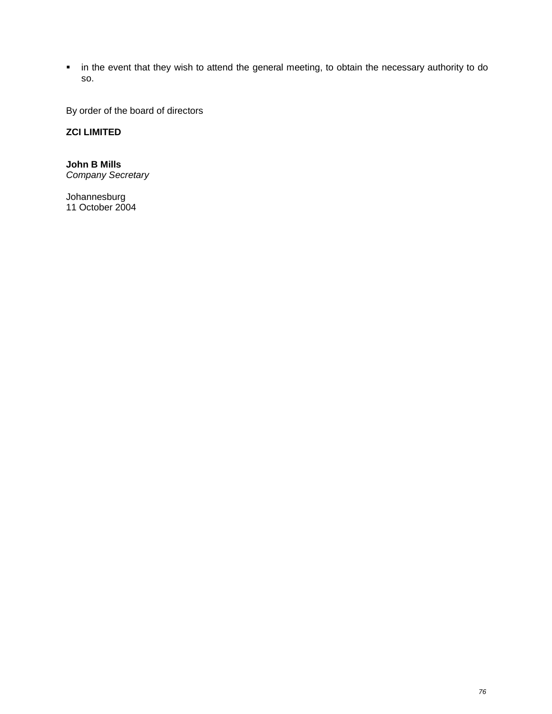**EXT** in the event that they wish to attend the general meeting, to obtain the necessary authority to do so.

By order of the board of directors

# **ZCI LIMITED**

**John B Mills** *Company Secretary*

Johannesburg 11 October 2004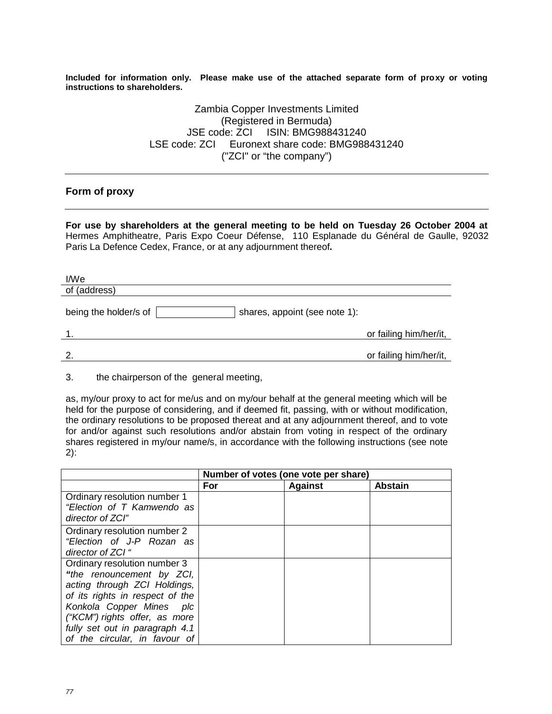**Included for information only. Please make use of the attached separate form of proxy or voting instructions to shareholders.**

> Zambia Copper Investments Limited (Registered in Bermuda) JSE code: ZCI ISIN: BMG988431240 LSE code: ZCI Euronext share code: BMG988431240 ("ZCI" or "the company")

## **Form of proxy**

**For use by shareholders at the general meeting to be held on Tuesday 26 October 2004 at**  Hermes Amphitheatre, Paris Expo Coeur Défense, 110 Esplanade du Général de Gaulle, 92032 Paris La Defence Cedex, France, or at any adjournment thereof**.**

| I/We                  |                               |                        |
|-----------------------|-------------------------------|------------------------|
| of (address)          |                               |                        |
| being the holder/s of | shares, appoint (see note 1): |                        |
| -1.                   |                               | or failing him/her/it, |
| 2.                    |                               | or failing him/her/it, |

3. the chairperson of the general meeting,

as, my/our proxy to act for me/us and on my/our behalf at the general meeting which will be held for the purpose of considering, and if deemed fit, passing, with or without modification, the ordinary resolutions to be proposed thereat and at any adjournment thereof, and to vote for and/or against such resolutions and/or abstain from voting in respect of the ordinary shares registered in my/our name/s, in accordance with the following instructions (see note 2):

|                                 | Number of votes (one vote per share) |                |                |
|---------------------------------|--------------------------------------|----------------|----------------|
|                                 | For                                  | <b>Against</b> | <b>Abstain</b> |
| Ordinary resolution number 1    |                                      |                |                |
| "Election of T Kamwendo as      |                                      |                |                |
| director of ZCI"                |                                      |                |                |
| Ordinary resolution number 2    |                                      |                |                |
| "Election of J-P Rozan as       |                                      |                |                |
| director of ZCI "               |                                      |                |                |
| Ordinary resolution number 3    |                                      |                |                |
| "the renouncement by ZCI,       |                                      |                |                |
| acting through ZCI Holdings,    |                                      |                |                |
| of its rights in respect of the |                                      |                |                |
| Konkola Copper Mines plc        |                                      |                |                |
| ("KCM") rights offer, as more   |                                      |                |                |
| fully set out in paragraph 4.1  |                                      |                |                |
| of the circular, in favour of   |                                      |                |                |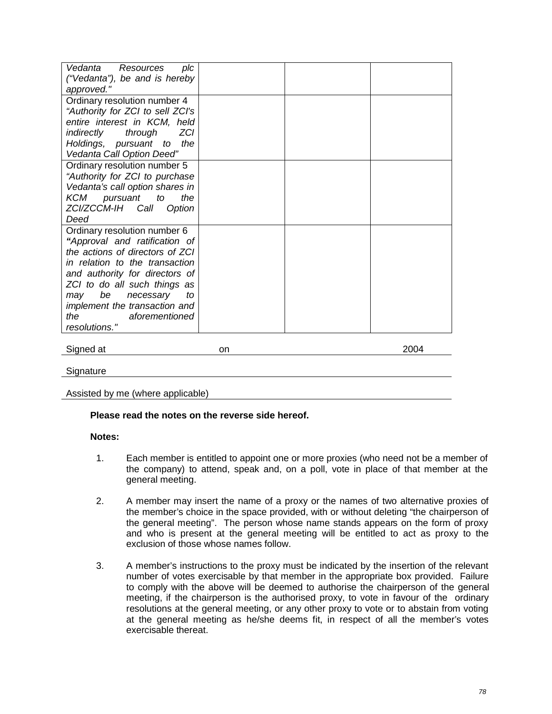| Vedanta<br>Resources<br>plc<br>("Vedanta"), be and is hereby<br>approved."                                                                                                                                                                                                                                      |    |      |
|-----------------------------------------------------------------------------------------------------------------------------------------------------------------------------------------------------------------------------------------------------------------------------------------------------------------|----|------|
| Ordinary resolution number 4<br>"Authority for ZCI to sell ZCI's<br>entire interest in KCM, held<br>ZCI<br>indirectly<br>through<br>Holdings, pursuant to the<br>Vedanta Call Option Deed"                                                                                                                      |    |      |
| Ordinary resolution number 5<br>"Authority for ZCI to purchase<br>Vedanta's call option shares in<br>KCM pursuant<br>the<br>to<br>ZCI/ZCCM-IH Call<br>Option<br>Deed                                                                                                                                            |    |      |
| Ordinary resolution number 6<br>"Approval and ratification of<br>the actions of directors of ZCI<br>in relation to the transaction<br>and authority for directors of<br>ZCI to do all such things as<br>be<br>may<br>necessary<br>to<br>implement the transaction and<br>aforementioned<br>the<br>resolutions." |    |      |
| Signed at                                                                                                                                                                                                                                                                                                       | on | 2004 |
| Signature                                                                                                                                                                                                                                                                                                       |    |      |

Assisted by me (where applicable)

#### **Please read the notes on the reverse side hereof.**

#### **Notes:**

- 1. Each member is entitled to appoint one or more proxies (who need not be a member of the company) to attend, speak and, on a poll, vote in place of that member at the general meeting.
- 2. A member may insert the name of a proxy or the names of two alternative proxies of the member's choice in the space provided, with or without deleting "the chairperson of the general meeting". The person whose name stands appears on the form of proxy and who is present at the general meeting will be entitled to act as proxy to the exclusion of those whose names follow.
- 3. A member's instructions to the proxy must be indicated by the insertion of the relevant number of votes exercisable by that member in the appropriate box provided. Failure to comply with the above will be deemed to authorise the chairperson of the general meeting, if the chairperson is the authorised proxy, to vote in favour of the ordinary resolutions at the general meeting, or any other proxy to vote or to abstain from voting at the general meeting as he/she deems fit, in respect of all the member's votes exercisable thereat.